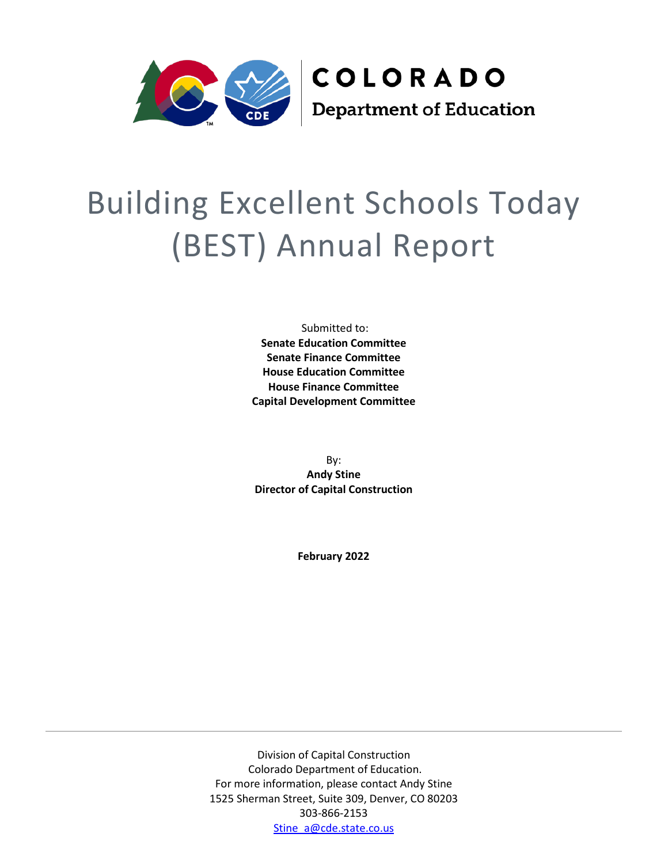

# Building Excellent Schools Today (BEST) Annual Report

Submitted to: **Senate Education Committee Senate Finance Committee House Education Committee House Finance Committee Capital Development Committee**

By: **Andy Stine Director of Capital Construction**

**February 2022**

Division of Capital Construction Colorado Department of Education. For more information, please contact Andy Stine 1525 Sherman Street, Suite 309, Denver, CO 80203 303-866-2153 [Stine\\_a@cde.state.co.us](mailto:Stine_A@cde.state.co.us)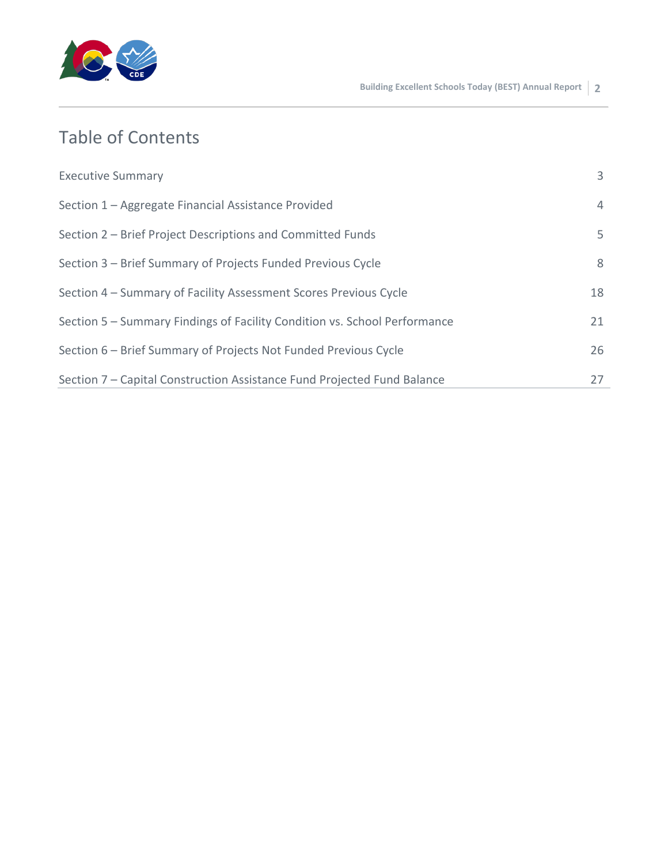

## Table of Contents

| <b>Executive Summary</b>                                                  | 3  |
|---------------------------------------------------------------------------|----|
| Section 1 – Aggregate Financial Assistance Provided                       | 4  |
| Section 2 – Brief Project Descriptions and Committed Funds                | 5. |
| Section 3 – Brief Summary of Projects Funded Previous Cycle               | 8  |
| Section 4 – Summary of Facility Assessment Scores Previous Cycle          | 18 |
| Section 5 - Summary Findings of Facility Condition vs. School Performance | 21 |
| Section 6 – Brief Summary of Projects Not Funded Previous Cycle           | 26 |
| Section 7 – Capital Construction Assistance Fund Projected Fund Balance   | 27 |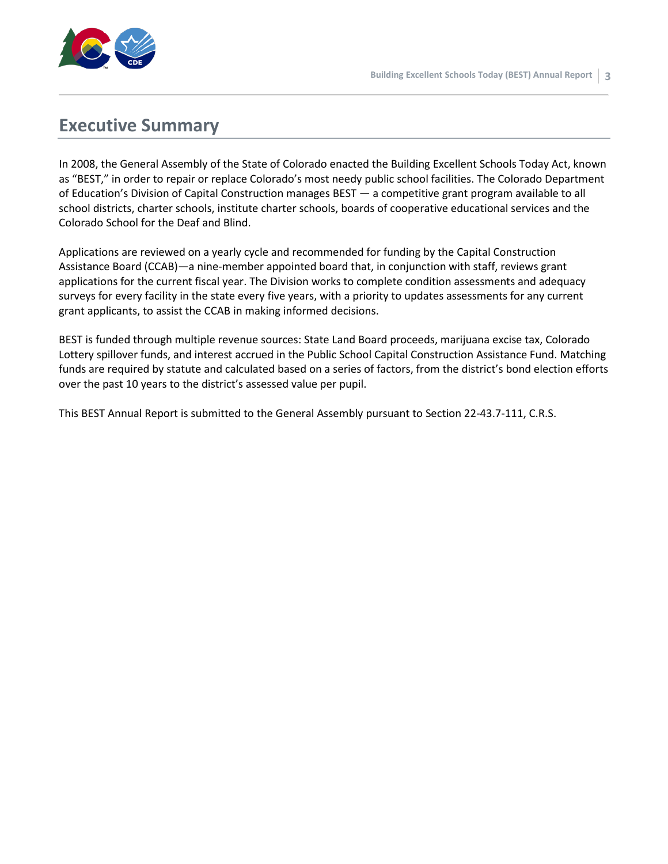

### **Executive Summary**

In 2008, the General Assembly of the State of Colorado enacted the Building Excellent Schools Today Act, known as "BEST," in order to repair or replace Colorado's most needy public school facilities. The Colorado Department of Education's Division of Capital Construction manages BEST — a competitive grant program available to all school districts, charter schools, institute charter schools, boards of cooperative educational services and the Colorado School for the Deaf and Blind.

Applications are reviewed on a yearly cycle and recommended for funding by the Capital Construction Assistance Board (CCAB)—a nine-member appointed board that, in conjunction with staff, reviews grant applications for the current fiscal year. The Division works to complete condition assessments and adequacy surveys for every facility in the state every five years, with a priority to updates assessments for any current grant applicants, to assist the CCAB in making informed decisions.

BEST is funded through multiple revenue sources: State Land Board proceeds, marijuana excise tax, Colorado Lottery spillover funds, and interest accrued in the Public School Capital Construction Assistance Fund. Matching funds are required by statute and calculated based on a series of factors, from the district's bond election efforts over the past 10 years to the district's assessed value per pupil.

This BEST Annual Report is submitted to the General Assembly pursuant to Section 22-43.7-111, C.R.S.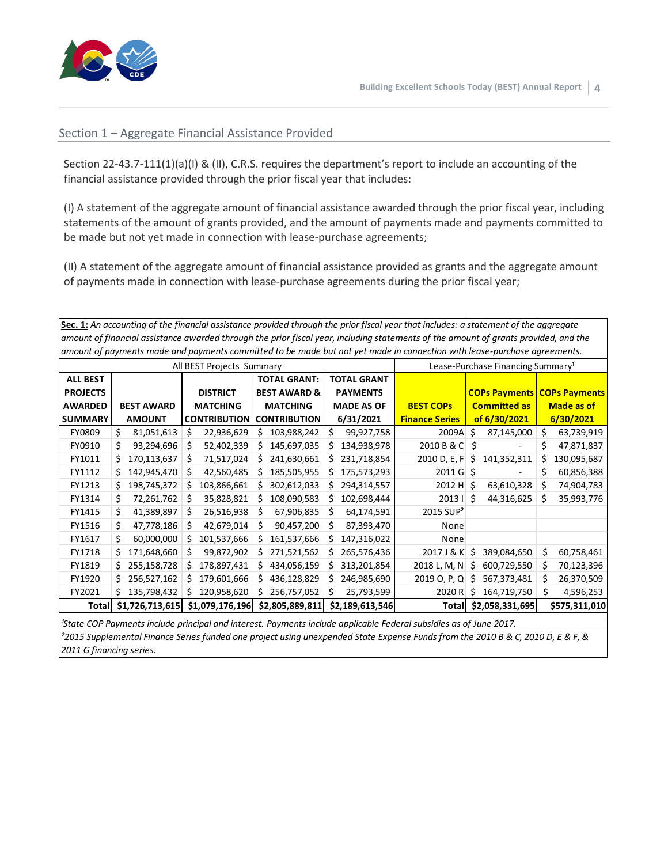

#### Section 1 – Aggregate Financial Assistance Provided

Section 22-43.7-111(1)(a)(I) & (II), C.R.S. requires the department's report to include an accounting of the financial assistance provided through the prior fiscal year that includes:

(I) A statement of the aggregate amount of financial assistance awarded through the prior fiscal year, including statements of the amount of grants provided, and the amount of payments made and payments committed to be made but not yet made in connection with lease-purchase agreements;

(II) A statement of the aggregate amount of financial assistance provided as grants and the aggregate amount of payments made in connection with lease-purchase agreements during the prior fiscal year;

**Sec. 1:** *An accounting of the financial assistance provided through the prior fiscal year that includes: a statement of the aggregate amount of financial assistance awarded through the prior fiscal year, including statements of the amount of grants provided, and the amount of payments made and payments committed to be made but not yet made in connection with lease-purchase agreements.*

| , , ,           |                    | All BEST Projects Summary | Lease-Purchase Financing Summary <sup>1</sup>                                                                      |                    |                            |                     |                                    |
|-----------------|--------------------|---------------------------|--------------------------------------------------------------------------------------------------------------------|--------------------|----------------------------|---------------------|------------------------------------|
| <b>ALL BEST</b> |                    |                           | <b>TOTAL GRANT:</b>                                                                                                | <b>TOTAL GRANT</b> |                            |                     |                                    |
| <b>PROJECTS</b> |                    | <b>DISTRICT</b>           | <b>BEST AWARD &amp;</b>                                                                                            | <b>PAYMENTS</b>    |                            |                     | <b>COPs Payments COPs Payments</b> |
| <b>AWARDED</b>  | <b>BEST AWARD</b>  | <b>MATCHING</b>           | <b>MATCHING</b>                                                                                                    | <b>MADE AS OF</b>  | <b>BEST COPS</b>           | <b>Committed as</b> | <b>Made as of</b>                  |
| <b>SUMMARY</b>  |                    | <b>CONTRIBUTION</b>       | <b>CONTRIBUTION</b>                                                                                                |                    |                            |                     |                                    |
|                 | <b>AMOUNT</b>      |                           |                                                                                                                    | 6/31/2021          | <b>Finance Series</b>      | of 6/30/2021        | 6/30/2021                          |
| FY0809          | 81,051,613<br>\$   | 22,936,629<br>\$          | 103,988,242<br>S                                                                                                   | 99,927,758<br>S.   | 2009A                      | \$<br>87,145,000    | \$<br>63,739,919                   |
| FY0910          | 93,294,696<br>\$   | 52,402,339<br>S           | 145,697,035<br>\$                                                                                                  | 134,938,978<br>S.  | $2010 B & C$ \$            |                     | \$<br>47,871,837                   |
| FY1011          | 170,113,637<br>\$. | 71,517,024<br>S           | 241,630,661<br>\$                                                                                                  | 231,718,854<br>S.  | 2010 D, E, F               | \$<br>141,352,311   | 130,095,687<br>\$                  |
| FY1112          | 142,945,470<br>S.  | 42,560,485<br>S           | 185,505,955<br>S                                                                                                   | 175,573,293<br>S.  | $2011 \text{ G}$ \$        |                     | 60,856,388<br>\$                   |
| FY1213          | 198,745,372<br>S.  | 103,866,661               | 302,612,033<br>S                                                                                                   | 294,314,557<br>S.  | $2012 H$ \$                | 63,610,328          | \$<br>74,904,783                   |
| FY1314          | 72,261,762<br>\$   | 35,828,821<br>S           | 108,090,583<br>S                                                                                                   | 102,698,444<br>S.  | $2013 \mid \zeta$          | 44,316,625          | \$<br>35,993,776                   |
| FY1415          | \$<br>41,389,897   | 26,516,938<br>S           | 67,906,835<br>S                                                                                                    | 64,174,591<br>\$   | 2015 SUP <sup>2</sup>      |                     |                                    |
| FY1516          | \$<br>47,778,186   | 42,679,014                | Ś<br>90,457,200                                                                                                    | 87,393,470<br>S    | None                       |                     |                                    |
| FY1617          | \$<br>60,000,000   | 101,537,666               | 161,537,666<br>S                                                                                                   | 147,316,022<br>S.  | None                       |                     |                                    |
| FY1718          | 171,648,660<br>Ś.  | 99,872,902<br>Ś           | 271,521,562<br>Ś                                                                                                   | \$.<br>265,576,436 | $2017$ J & K $\frac{1}{5}$ | 389,084,650         | \$<br>60,758,461                   |
| FY1819          | 255,158,728<br>\$. | 178,897,431               | 434,056,159<br>s                                                                                                   | 313,201,854<br>S.  | 2018 L, M, N               | 600,729,550<br>\$   | \$<br>70,123,396                   |
| FY1920          | 256,527,162<br>S.  | 179,601,666               | 436,128,829<br>S                                                                                                   | 246,985,690<br>S.  | 2019 O, P, Q               | 567,373,481<br>S    | \$<br>26,370,509                   |
| FY2021          | 135,798,432<br>S.  | 120,958,620<br>S          | 256,757,052<br>\$                                                                                                  | 25,793,599<br>S    | 2020 R                     | \$<br>164,719,750   | \$<br>4,596,253                    |
| Total           | \$1,726,713,615    | \$1,079,176,196           | \$2,805,889,811                                                                                                    | \$2,189,613,546    | Total                      | \$2,058,331,695     | \$575,311,010                      |
|                 |                    |                           | l'State COP Payments include principal and interest. Payments include applicable Federal subsidies as of June 2017 |                    |                            |                     |                                    |

*²2015 Supplemental Finance Series funded one project using unexpended State Expense Funds from the 2010 B & C, 2010 D, E & F, & 2011 G financing series. ¹State COP Payments include principal and interest. Payments include applicable Federal subsidies as of June 2017.*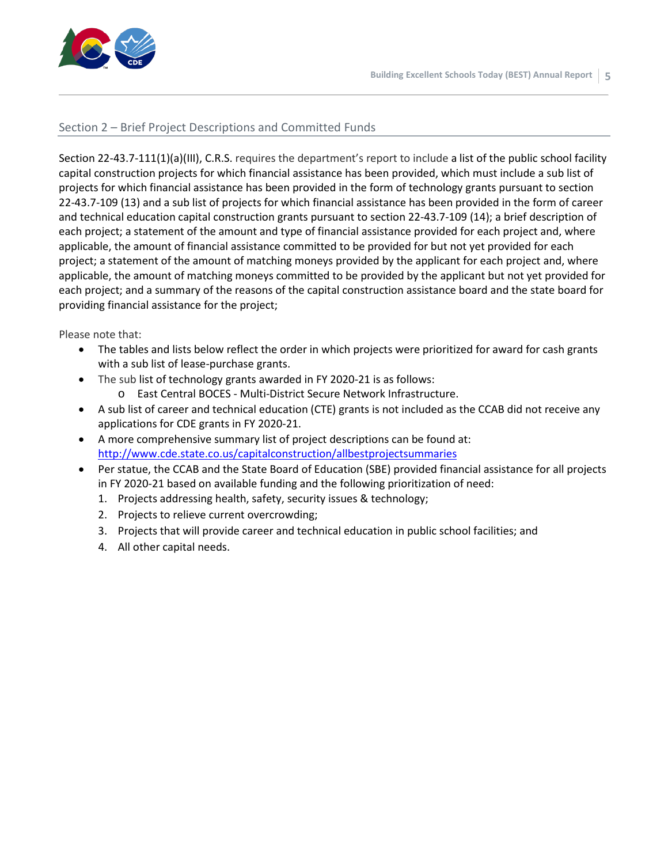

#### Section 2 – Brief Project Descriptions and Committed Funds

Section 22-43.7-111(1)(a)(III), C.R.S. requires the department's report to include a list of the public school facility capital construction projects for which financial assistance has been provided, which must include a sub list of projects for which financial assistance has been provided in the form of technology grants pursuant to section 22-43.7-109 (13) and a sub list of projects for which financial assistance has been provided in the form of career and technical education capital construction grants pursuant to section 22-43.7-109 (14); a brief description of each project; a statement of the amount and type of financial assistance provided for each project and, where applicable, the amount of financial assistance committed to be provided for but not yet provided for each project; a statement of the amount of matching moneys provided by the applicant for each project and, where applicable, the amount of matching moneys committed to be provided by the applicant but not yet provided for each project; and a summary of the reasons of the capital construction assistance board and the state board for providing financial assistance for the project;

Please note that:

- The tables and lists below reflect the order in which projects were prioritized for award for cash grants with a sub list of lease-purchase grants.
- The sub list of technology grants awarded in FY 2020-21 is as follows: o East Central BOCES - Multi-District Secure Network Infrastructure.
- A sub list of career and technical education (CTE) grants is not included as the CCAB did not receive any applications for CDE grants in FY 2020-21.
- A more comprehensive summary list of project descriptions can be found at: <http://www.cde.state.co.us/capitalconstruction/allbestprojectsummaries>
- Per statue, the CCAB and the State Board of Education (SBE) provided financial assistance for all projects in FY 2020-21 based on available funding and the following prioritization of need:
	- 1. Projects addressing health, safety, security issues & technology;
	- 2. Projects to relieve current overcrowding;
	- 3. Projects that will provide career and technical education in public school facilities; and
	- 4. All other capital needs.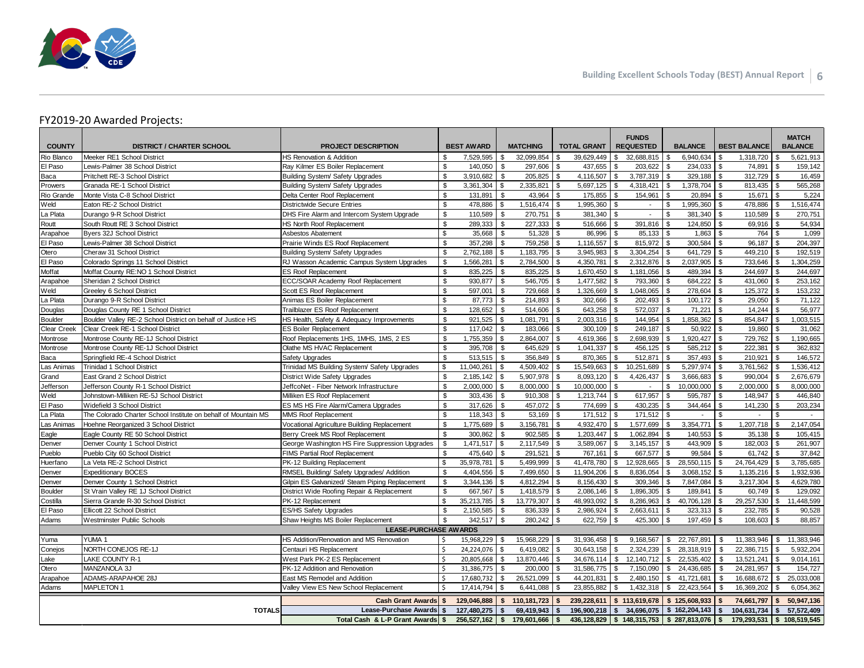

#### FY2019-20 Awarded Projects:

| <b>COUNTY</b>            | <b>DISTRICT / CHARTER SCHOOL</b>                               | <b>PROJECT DESCRIPTION</b>                     |                         | <b>BEST AWARD</b> |              | <b>MATCHING</b>    |              | <b>TOTAL GRANT</b>        |                | <b>FUNDS</b><br><b>REQUESTED</b> |                | <b>BALANCE</b>               |                | <b>BEST BALANCE</b>      |              | <b>MATCH</b><br><b>BALANCE</b> |
|--------------------------|----------------------------------------------------------------|------------------------------------------------|-------------------------|-------------------|--------------|--------------------|--------------|---------------------------|----------------|----------------------------------|----------------|------------------------------|----------------|--------------------------|--------------|--------------------------------|
| Rio Blanco               | Meeker RE1 School District                                     | HS Renovation & Addition                       | \$                      | 7,529,595         | \$           | 32,099,854         | \$           | 39,629,449                | \$             | 32,688,815                       | - \$           | 6,940,634                    | \$.            | 1,318,720                | - \$         | 5,621,913                      |
| El Paso                  | Lewis-Palmer 38 School District                                | Ray Kilmer ES Boiler Replacement               | \$                      | 140,050           | \$           | 297,606            | l \$         | 437,655                   | \$             | 203,622                          | \$             | 234,033                      | \$             | 74,891                   | \$           | 159,142                        |
| Baca                     | Pritchett RE-3 School District                                 | Building System/ Safety Upgrades               | \$                      | 3,910,682         | \$           | $205.825$ \$       |              | 4.116.507                 | \$             | 3,787,319                        | \$             | 329,188                      | $\mathbb{S}$   | $312,729$ \$             |              | 16,459                         |
| Prowers                  | Granada RE-1 School District                                   | Building System/ Safety Upgrades               | \$                      | 3,361,304         | \$           | $2,335,821$ \$     |              | 5,697,125                 | \$             | 4,318,421                        | \$             | 1,378,704                    | \$             | $813,435$ \$             |              | 565,268                        |
| Rio Grande               | Monte Vista C-8 School District                                | Delta Center Roof Replacement                  | \$                      | 131,891           | \$           | $43,964$ \$        |              | 175,855                   | \$             | 154,961                          | \$             | 20,894                       | \$             | $15,671$ \$              |              | 5,224                          |
| Weld                     | Eaton RE-2 School District                                     | <b>Districtwide Secure Entries</b>             | $\sqrt[6]{\frac{1}{2}}$ | 478,886           | \$           | $1,516,474$ \$     |              | 1,995,360                 | \$             | $\blacksquare$                   | $\mathfrak{L}$ | ,995,360                     | \$             | 478,886                  | $\sqrt{3}$   | 1,516,474                      |
| La Plata                 | Durango 9-R School District                                    | DHS Fire Alarm and Intercom System Upgrade     | \$                      | 110,589           | \$           | 270,751 \$         |              | 381,340                   | \$             | $\blacksquare$                   | $\mathfrak{L}$ | 381,340                      | S.             | 110,589                  | $\sqrt{3}$   | 270,751                        |
| Routt                    | South Routt RE 3 School District                               | HS North Roof Replacement                      | $\mathfrak s$           | 289,333           | \$           | $227,333$ \$       |              | 516,666                   | \$             | 391,816                          | \$             | 124,850                      | \$             | $69,916$ \$              |              | 54,934                         |
| Arapahoe                 | Byers 32J School District                                      | Asbestos Abatement                             | $$\mathbb{S}$$          | 35,668            | \$           | $51,328$ \$        |              | 86,996                    | \$             | 85,133                           | \$             | 1,863                        | \$             | 764                      | $\sqrt{3}$   | 1,099                          |
| El Paso                  | Lewis-Palmer 38 School District                                | Prairie Winds ES Roof Replacement              | \$                      | 357,298           | \$           | 759,258 \$         |              | 1,116,557                 | \$             | 815,972                          | -\$            | 300,584                      | \$             | 96,187                   | \$           | 204,397                        |
| Otero                    | Cheraw 31 School District                                      | Building System/ Safety Upgrades               | $\mathfrak s$           | 2.762.188         | \$           | $1,183,795$ \$     |              | 3.945.983                 | \$             | 3.304.254                        | \$             | 641.729                      | \$             | 449,210 $\frac{1}{3}$    |              | 192,519                        |
| El Paso                  | Colorado Springs 11 School District                            | RJ Wasson Academic Campus System Upgrades      | \$                      | 1,566,281         | \$           | 2,784,500 \$       |              | 4,350,781                 | \$             | 2,312,876                        | \$             | 2,037,905                    | \$             | 733,646 \$               |              | 1,304,259                      |
| Moffat                   | Moffat County RE:NO 1 School District                          | <b>ES Roof Replacement</b>                     | \$                      | 835,225           | \$           | 835,225 \$         |              | 1,670,450                 | \$             | $1,181,056$ \ \$                 |                | 489,394                      | \$             | 244,697 \$               |              | 244,697                        |
| Arapahoe                 | Sheridan 2 School District                                     | ECC/SOAR Academy Roof Replacement              | $\mathfrak s$           | 930.877           | $\mathbb{S}$ | 546.705 \$         |              | 1.477.582                 |                | 793,360                          |                | 684.222                      | $\mathcal{F}$  | 431,060                  | $\mathbf{s}$ | 253,162                        |
| Weld                     | Greeley 6 School District                                      | Scott ES Roof Replacement                      | \$                      | 597,001           | \$           | 729,668 \$         |              | 1,326,669                 | \$             | 1,048,065                        |                | 278,604                      | \$             | 125,372                  | l \$         | 153,232                        |
| La Plata                 | Durango 9-R School District                                    | Animas ES Boiler Replacement                   | \$                      | 87,773            | \$           | 214,893 \$         |              | 302,666                   | \$             | 202,493                          | \$.            | 100,172                      | \$             | 29,050                   | <b>S</b>     | 71,122                         |
| Douglas                  | Douglas County RE 1 School District                            | Trailblazer ES Roof Replacement                | \$                      | 128,652           | \$           | $514,606$ \\$      |              | 643,258                   | \$             | 572,037                          | \$             | 71,221                       | $\mathfrak{L}$ | 14,244                   | l \$         | 56,977                         |
| <b>Boulder</b>           | Boulder Valley RE-2 School District on behalf of Justice HS    | HS Health, Safety & Adequacy Improvements      | \$                      | 921,525           | \$           | $1,081,791$ \$     |              | 2,003,316                 | \$             | 144,954                          | \$             | 858,362                      | \$             | 854,847 \$               |              | 1,003,515                      |
| <b>Clear Creek</b>       | Clear Creek RE-1 School District                               | <b>ES Boiler Replacement</b>                   | \$                      | 117,042           | \$           | 183,066 \$         |              | 300,109                   | \$             | 249,187                          | l s            | 50.922                       | \$             | $19,860$ \$              |              | 31,062                         |
| Montrose                 | Montrose County RE-1J School District                          | Roof Replacements 1HS, 1MHS, 1MS, 2 ES         | $$\mathfrak{s}$$        | 1,755,359         | \$           | 2,864,007 \$       |              | 4,619,366                 | \$             | 2,698,939                        | \$             | 1,920,427                    | \$             | 729,762                  | l \$         | 1,190,665                      |
| Montrose                 | Montrose County RE-1J School District                          | Olathe MS HVAC Replacement                     | \$                      | 395,708           | \$           | 645,629 \$         |              | 1,041,337                 | \$             | 456,125                          | -\$            | 585,212                      | \$             | 222,381                  | $\vert$ \$   | 362,832                        |
| Baca                     | Springfield RE-4 School District                               | Safety Upgrades                                | $$\mathbb{S}$$          | 513,515           | $\mathbb{S}$ | 356.849 \$         |              | 870.365                   | \$             | 512,871                          | \$             | 357,493                      | \$             | 210,921                  | l \$         | 146,572                        |
| Las Animas               | Trinidad 1 School District                                     | Trinidad MS Building System/ Safety Upgrades   | $$\mathbb{S}$$          | 11,040,261        | \$           | 4,509,402 \$       |              | 15,549,663                | \$             | 10,251,689                       | \$             | 5,297,974                    | \$             | 3,761,562                | \$           | 1,536,412                      |
| Grand                    | East Grand 2 School District                                   | District Wide Safety Upgrades                  | $\mathfrak s$           | 2,185,142         | \$           | $5,907,978$ \ \$   |              | 8,093,120                 | \$             | 4,426,437                        |                | 3,666,683                    |                | 990,004                  | <b>S</b>     | 2,676,679                      |
| Jefferson                | Jefferson County R-1 School District                           | JeffcoNet - Fiber Network Infrastructure       | $\mathfrak s$           | 2.000.000         | \$           | $8.000.000$ \ \$   |              | 10.000.000                | \$             | $\sim$                           | \$             | 10.000.000                   | \$             | 2.000.000                | $\sqrt{3}$   | 8.000.000                      |
| Weld                     | Johnstown-Milliken RE-5J School District                       | Milliken ES Roof Replacement                   | \$                      | 303,436           | \$           | $910,308$ \$       |              | 1,213,744                 | \$             | 617,957                          | -\$            | 595,787                      | $\mathbf{s}$   | 148,947                  | $\sqrt{3}$   | 446,840                        |
| El Paso                  | Widefield 3 School District                                    | ES MS HS Fire Alarm/Camera Upgrades            | \$                      | 317,626           | \$           | 457,072 \$         |              | 774,699                   | \$             | 430,235                          | \$             | 344.464                      | \$             | 141,230                  | l \$         | 203,234                        |
| La Plata                 | The Colorado Charter School Institute on behalf of Mountain MS | MMS Roof Replacement                           | $\sqrt[6]{\frac{1}{2}}$ | 118,343           | $\mathbb{S}$ | $53,169$ \$        |              | 171,512                   | \$             | $171,512$ \$                     |                | $\sim$                       | \$             | $\overline{\phantom{a}}$ | \$           | $\overline{a}$                 |
| Las Animas               | Hoehne Reorganized 3 School District                           | Vocational Agriculture Building Replacement    | \$                      | 1,775,689         | \$           | $3,156,781$ \ \$   |              | 4,932,470                 | \$             | 1,577,699                        | \$.            | 3,354,771                    | £.             | 1,207,718                | l \$         | 2,147,054                      |
| Eagle                    | Eagle County RE 50 School District                             | Berry Creek MS Roof Replacement                | \$                      | 300,862           | \$           | $902,585$ \$       |              | 1,203,447                 | $\mathfrak{L}$ | 1,062,894                        |                | 140,553                      |                | 35,138                   | \$           | 105,415                        |
| Denver                   | Denver County 1 School District                                | George Washington HS Fire Suppression Upgrades | $\mathfrak s$           | 1,471,517         | \$           | $2,117,549$ \$     |              | 3,589,067                 | \$             | 3, 145, 157                      | \$             | 443,909                      | \$             | 182,003                  | $\sqrt{3}$   | 261,907                        |
| Pueblo                   | Pueblo City 60 School District                                 | FIMS Partial Roof Replacement                  | \$                      | 475,640           | \$           | $291,521$ \$       |              | 767,161                   | \$             | 667,577                          | \$             | 99,584                       |                | 61,742                   | -\$          | 37,842                         |
| Huerfano                 | La Veta RE-2 School District                                   | PK-12 Building Replacement                     | $$\mathbb{S}$$          | 35,978,781        | \$           | 5,499,999 \$       |              | 41,478,780                | \$             | 12,928,665                       | \$             | 28,550,115                   | £.             | 24,764,429               | l \$         | 3,785,685                      |
| Denver                   | <b>Expeditionary BOCES</b>                                     | RMSEL Building/ Safety Upgrades/ Addition      | $\mathfrak s$           | 4,404,556         | \$           | 7,499,650 \$       |              | 11,904,206                | \$             | 8,836,054                        | \$             | 3,068,152                    | $\mathfrak{L}$ | 1,135,216                | $\sqrt{3}$   | 1,932,936                      |
| Denver                   | Denver County 1 School District                                | Gilpin ES Galvanized/ Steam Piping Replacement | \$                      | 3,344,136         | <b>S</b>     | 4,812,294 \$       |              | 8,156,430                 | \$             | 309,346                          | \$             | 7,847,084                    | \$             | $3,217,304$ \$           |              | 4,629,780                      |
| <b>Boulder</b>           | St Vrain Valley RE 1J School District                          | District Wide Roofing Repair & Replacement     | $\sqrt{3}$              | 667.567           | \$           | $1.418.579$ \ \$   |              | 2.086.146                 | \$             | 1.896.305                        | \$             | 189.841                      | $\mathbb{S}$   | $60,749$ \$              |              | 129.092                        |
| Costilla                 | Sierra Grande R-30 School District                             | PK-12 Replacement                              | \$                      | 35,213,785        | \$           | 13,779,307   \$    |              | 48,993,092                | \$             | 8,286,963                        | \$             | 40,706,128                   | \$             | 29,257,530 \$            |              | 11,448,599                     |
| El Paso                  | Ellicott 22 School District                                    | ES/HS Safety Upgrades                          | $\mathfrak s$           | 2,150,585         | \$           | 836,339 \$         |              | 2,986,924                 | \$             | 2,663,611                        | -\$            | 323,313                      | \$             | 232,785                  | \$           | 90,528                         |
| Adams                    | Westminster Public Schools                                     | Shaw Heights MS Boiler Replacement             | \$                      | 342,517           | \$           | $280,242$ \$       |              | 622,759                   | \$             | 425,300                          | -\$            | 197,459                      | $\mathfrak{L}$ | 108,603                  | $\sqrt{3}$   | 88,857                         |
|                          |                                                                | <b>LEASE-PURCHASE AWARDS</b>                   |                         |                   |              |                    |              |                           |                |                                  |                |                              |                |                          |              |                                |
| Yuma                     | YUMA 1                                                         | HS Addition/Renovation and MS Renovation       | \$                      | 15,968,229 \$     |              | 15,968,229 \$      |              | 31,936,458                | S.             | 9,168,567                        | \$             | 22,767,891                   | \$             | 11,383,946               | $\sqrt{3}$   | 11,383,946                     |
| Conejos                  | NORTH CONEJOS RE-1J                                            | Centauri HS Replacement                        | $\mathsf{\$}$           | 24,224,076        | \$           | $6,419,082$ \$     |              | 30,643,158                | \$             | 2,324,239                        | \$             | 28,318,919                   | \$             | 22,386,715               | <b>S</b>     | 5,932,204                      |
| Lake                     | LAKE COUNTY R-1                                                | West Park PK-2 ES Replacement                  | \$                      | 20,805,668        | \$           | 13,870,446   \$    |              | 34,676,114                | \$             | 12,140,712                       | \$             | 22,535,402                   | \$             | $13,521,241$ \$          |              | 9,014,161                      |
| Otero                    | MANZANOLA 3J                                                   | PK-12 Addition and Renovation                  | \$                      | 31,386,775        | \$           | 200,000 \$         |              | 31,586,775                | \$             | 7,150,090                        | \$             | 24,436,685                   | \$             | 24,281,957               | $\sqrt{3}$   | 154,727                        |
| Arapahoe                 | ADAMS-ARAPAHOE 28J                                             | East MS Remodel and Addition                   | Ś.                      | 17,680,732        | \$           | 26,521,099 \$      |              | 44,201,831                | \$             | 2,480,150 \$ 41,721,681          |                |                              | \$             | 16,688,672 \$            |              | 25,033,008                     |
| Adams                    | <b>MAPLETON 1</b>                                              | Valley View ES New School Replacement          | \$                      | 17,414,794        | \$           | $6,441,088$ \ \$   |              | 23,855,882                | \$             | 1,432,318                        | \$             | 22,423,564                   | \$             | 16,369,202 \$            |              | 6,054,362                      |
| <b>Cash Grant Awards</b> |                                                                |                                                | $\mathbf{s}$            | 129,046,888       | $\mathbf{s}$ | $110, 181, 723$ \$ |              | 239,228,611               |                | \$113,619,678                    |                | \$125,608,933                |                | 74,661,797 \$            |              | 50,947,136                     |
|                          | <b>TOTALS</b>                                                  | <b>Lease-Purchase Awards</b>                   |                         | 127.480.275       | $\mathbf{s}$ | 69,419,943         | - \$         | 196,900,218               | $\mathbf{s}$   | 34,696,075                       |                | \$162,204,143                |                | $104,631,734$ \$         |              | 57,572,409                     |
|                          |                                                                | Total Cash & L-P Grant Awards                  | $\mathbf{s}$            | 256,527,162       |              | \$179,601,666      | $\mathbf{s}$ | 436,128,829 \$148,315,753 |                |                                  |                | $\frac{1}{2}$ \$ 287,813,076 | l \$           | 179,293,531              |              | $\frac{1}{2}$ \$ 108,519,545   |
|                          |                                                                |                                                |                         |                   |              |                    |              |                           |                |                                  |                |                              |                |                          |              |                                |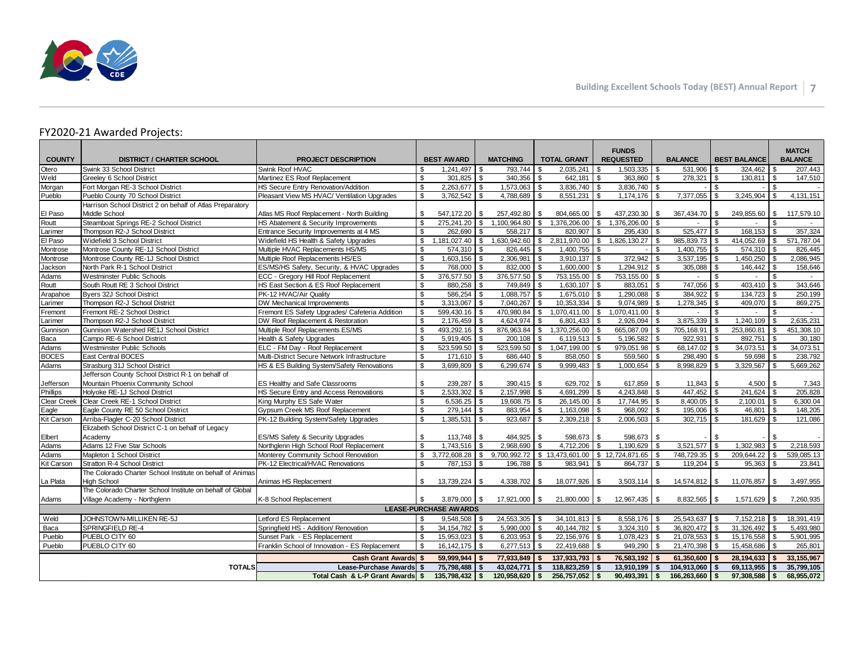

#### FY2020-21 Awarded Projects:

| Swink Roof HVAC<br>Swink 33 School District<br>1.241.497<br>793.744<br>$2.035.241$ \ \$<br>1,503,335<br>531.906<br>l \$<br>324.462<br>207.443<br>Otero<br>\$.<br>- \$<br>\$.<br>-S<br>- \$<br>Weld<br>\$<br>301,825<br>340,356<br>$278,321$ \$<br>Martinez ES Roof Replacement<br><b>S</b><br>l \$<br>642,181 \$<br>363,860<br>\$<br>$130,811$ \$<br>147,510<br>Greeley 6 School District<br><b>S</b><br>$\mathbb{S}$<br>$\mathfrak{S}$<br>Morgan<br>HS Secure Entry Renovation/Addition<br>2,263,677<br>$\sqrt{3}$<br>1,573,063<br>$3,836,740$ \$<br>3,836,740<br>Fort Morgan RE-3 School District<br>l \$<br>\$<br>4.131.151<br>Pueblo<br>$\mathfrak{s}$<br>7,377,055<br>l s<br>3,245,904<br>\$<br>Pueblo County 70 School District<br>Pleasant View MS HVAC/ Ventilation Upgrades<br>3,762,542<br>\$<br>4,788,689<br>$8,551,231$ \$<br>1,174,176<br>\$.<br>- \$<br>Harrison School District 2 on behalf of Atlas Preparatory<br>El Paso<br>Middle School<br>Atlas MS Roof Replacement - North Building<br>\$<br>547,172.20<br>257,492.80<br>804,665.00<br>437,230.30<br>\$<br>367,434.70<br>\$<br>249,855.60<br>\$<br>117,579.10<br>- \$<br>\$<br>- \$<br>Steamboat Springs RE-2 School District<br>$\mathfrak{F}$<br>\$<br>\$<br>Routt<br>HS Abatement & Security Improvements<br>275.241.20<br>\$<br>1.100.964.80<br>$\mathbf{s}$<br>1,376,206.00 \$<br>1,376,206.00<br>\$<br>$\sim$<br>$\mathbb{S}$<br>168,153<br>Larimer<br>Thompson R2-J School District<br>Entrance Security Improvements at 4 MS<br>262.690<br>\$<br>$558.217$ \$<br>820.907 \$<br>295,430<br>\$<br>$525,477$ \$<br>\$<br>357,324<br>El Paso<br>Widefield 3 School District<br>Widefield HS Health & Safety Upgrades<br>\$<br>1,181,027.40<br>$\mathbb{S}$<br>1,630,942.60<br>l \$<br>2,811,970.00 \$<br>1,826,130.27<br>\$<br>$985,839.73$ \$<br>414,052.69<br>\$<br>571,787.04<br>Multiple HVAC Replacements HS/MS<br>$\mathfrak{s}$<br>Montrose<br>Montrose County RE-1J School District<br>574.310<br>\$<br>826.445<br>$1,400,755$ \ \$<br>\$<br>$1,400,755$ \ \$<br>574.310<br>$\mathfrak{s}$<br>826.445<br>∣\$<br>Montrose<br>\$<br>$1,603,156$ \$<br>$2,306,981$ \$<br>$3,910,137$ \$<br>372,942<br>$3,537,195$ \$<br>1,450,250<br>2,086,945<br>Montrose County RE-1J School District<br>Multiple Roof Replacements HS/ES<br>\$<br>\$<br>ES/MS/HS Safety, Security, & HVAC Upgrades<br>\$<br>768,000 \$<br>$832,000$ \$<br>1,294,912<br>146,442<br>Jackson<br>North Park R-1 School District<br>$1,600,000$ \ \$<br>\$<br>$305,088$ \$<br>l \$<br>158,646<br>$\mathbf{s}$<br>376,577.50 \$<br>376,577.50 \$<br>753,155.00 \$<br>\$<br>\$<br>\$<br>Adams<br><b>Westminster Public Schools</b><br>ECC - Gregory Hill Roof Replacement<br>753,155.00<br>$\blacksquare$<br>\$<br>403,410<br>343,646<br>Routt<br>South Routt RE 3 School District<br>HS East Section & ES Roof Replacement<br>880,258 \$<br>749,849   \$<br>$1,630,107$ \$<br>883,051<br>$\mathbb{S}$<br>747,056<br>l \$<br>\$<br><b>Byers 32J School District</b><br>PK-12 HVAC/Air Quality<br>$\mathbf{s}$<br>586,254<br>$\sqrt{3}$<br>$1,088,757$ \$<br>$1,675,010$ \$<br>1,290,088<br>\$<br>384,922<br>\$<br>134,723<br>\$<br>250,199<br>Arapahoe<br>\$<br>869.275<br>Larimer<br>Thompson R2-J School District<br><b>DW Mechanical Improvements</b><br>3,313,067<br>l \$<br>$7.040.267$ \ \$<br>9.074.989<br>\$<br>$1,278,345$ \$<br>409,070<br>l \$<br>Fremont<br>Fremont RE-2 School District<br>Fremont ES Safety Upgrades/ Cafeteria Addition<br>\$<br>599,430.16 \$<br>$470,980.84$ \ \$<br>1,070,411.00 \$<br>1,070,411.00<br>\$<br>\$<br>\$<br>$\sim$<br>\$<br>2,635,231<br>2,176,459<br>$4,624,974$ \$<br>6,801,433<br>3,875,339<br><b>S</b><br>1,240,109<br>\$<br>Larimer<br>Thompson R2-J School District<br>DW Roof Replacement & Restoration<br><b>\$</b><br>\$<br>2,926,094<br>\$.<br>Gunnison<br>Gunnison Watershed RE1J School District<br>$\mathbf{s}$<br>$493,292.16$ \$<br>876,963.84 \$<br>$1,370,256.00$ \ \$<br>\$<br>705,168.91 \$<br>253,860.81<br>\$<br>Multiple Roof Replacements ES/MS<br>665,087.09<br>451,308.10<br>Baca<br>$\mathbf{s}$<br>Campo RE-6 School District<br>5,919,405<br>\$<br>200,108<br>$6,119,513$ \$<br>5,196,582<br>\$<br>922,931<br>\$<br>892,751<br>\$<br>30,180<br>Health & Safety Upgrades<br><b>S</b><br>Adams<br><b>Westminster Public Schools</b><br>\$<br>523.599.50<br><b>\$</b><br>$523.599.50$ \$<br>1.047.199.00 \ \$<br>979,051.98<br>\$<br>68.147.02<br>l s<br>34.073.51<br>\$<br>34.073.51<br>ELC - FM Day - Roof Replacement<br><b>BOCES</b><br>$\mathbf{s}$<br>East Central BOCES<br>Multi-District Secure Network Infrastructure<br>$171,610$ \$<br>686,440 \$<br>858,050 \$<br>559,560<br>\$<br>$298,490$ \$<br>59,698<br>\$<br>238,792<br>\$<br>\$<br>3,329,567<br>\$<br>HS & ES Building System/Safety Renovations<br>$\mathfrak{s}$<br>3,699,809<br>$\sqrt{3}$<br>6,299,674<br>l \$<br>$9,999,483$ \$<br>1,000,654<br>8,998,829<br>5,669,262<br>Adams<br>Strasburg 31J School District<br>Jefferson County School District R-1 on behalf of<br>Mountain Phoenix Community School<br>$\mathfrak{s}$<br>239.287<br>629,702 \$<br>$617,859$   \$<br>$4,500$ \ \$<br>7,343<br>ES Healthy and Safe Classrooms<br>l \$<br>$390,415$ \ \$<br>Jefferson<br>HS Secure Entry and Access Renovations<br>$\mathbf{s}$<br>$241,624$ \$<br>Phillips<br>Holyoke RE-1J School District<br>$2,533,302$ \$<br>$2,157,998$ \$<br>$4.691.299$ \ \$<br>$4,243,848$ \ \ \$<br>205.828<br>Clear Creek   Clear Creek RE-1 School District<br>King Murphy ES Safe Water<br>\$<br>$6,536.25$ \$<br>$19,608.75$ \$<br>$26,145.00$ \$<br>$\overline{17,744.95}$<br>\$<br>$8,400.05$ \$<br>$2,100.01$ \$<br>6,300.04<br>$\mathbb{S}$<br>$195,006$ \$<br>$46,801$ \\$<br>148,205<br>Eagle<br>Eagle County RE 50 School District<br>Gypsum Creek MS Roof Replacement<br>$279,144$ \$<br>883,954 \$<br>$1,163,098$ \ \$<br>968.092<br>\$<br>$\mathbf{s}$<br>1,385,531<br>\$<br>$302,715$ \$<br>181,629<br>$\sqrt{3}$<br>Arriba-Flagler C-20 School District<br>PK-12 Building System/Safety Upgrades<br>\$<br>$923,687$ \$<br>$2,309,218$ \$<br>2,006,503<br>121,086<br>Kit Carson<br>Elizabeth School District C-1 on behalf of Legacy<br>Academv<br>ES/MS Safety & Security Upgrades<br>\$<br>598.673<br>\$<br>Elbert<br>$598.673$ $\frac{8}{3}$<br>\$<br>S.<br>Adams 12 Five Star Schools<br>$\mathbf{s}$<br>Adams<br>Northglenn High School Roof Replacement<br>1.743.516<br>\$<br>2.968.690<br>4.712.206<br>\$<br>1.190.629<br>\$<br>3.521.577<br>l \$<br>1.302.983<br>\$<br>2,218,593<br>l \$<br>\$<br>$\sqrt{3}$<br>$9,700,992.72$ \$ 13,473,601.00 \$ 12,724,871.65<br>\$<br>748,729.35 \$<br>209,644.22<br>\$<br>539,085.13<br>Mapleton 1 School District<br>Monterey Community School Renovation<br>3,772,608.28<br>Adams<br>PK-12 Electrical/HVAC Renovations<br>$\mathbf{s}$<br>787,153 \$<br>864,737<br>\$<br>$95,363$ \$<br>Kit Carson<br><b>Stratton R-4 School District</b><br>196,788 \$<br>$983.941$ \$<br>23.841<br>The Colorado Charter School Institute on behalf of Animas<br>\$<br><b>High School</b><br>Animas HS Replacement<br>13,739,224<br><b>S</b><br>4,338,702<br>18,077,926 \$<br>14,574,812   \$<br>11,076,857 \$<br>3,497,955<br>La Plata<br>l \$<br>The Colorado Charter School Institute on behalf of Global<br>Village Academy - Northglenn<br>K-8 School Replacement<br>\$<br>3,879,000<br>$\sqrt{3}$<br>17,921,000 \$<br>$21,800,000$ \ \$<br>12,967,435 \$<br>8,832,565<br>\$<br>1,571,629<br>7,260,935<br>Adams<br><b>S</b><br><b>LEASE-PURCHASE AWARDS</b><br>JOHNSTOWN-MILLIKEN RE-5J<br>$24,553,305$ \$<br>Weld<br>Letford ES Replacement<br>$9,548,508$ \$<br>$34,101,813$ \$<br>8,558,176<br>$25,543,637$ \$<br>$7,152,218$ \$<br>18,391,419<br>$\mathfrak{s}$<br>\$<br>Baca<br><b>SPRINGFIELD RE-4</b><br>$\mathbf{s}$<br>34.154.782 \ \$<br>40.144.782 \ \$<br>3,324,310<br>36.820.472   \$<br>31.326.492<br>\$<br>$\overline{5,}493,980$<br>Springfield HS - Addition/ Renovation<br>$5.990.000$ \ \$<br>\$<br>$\sqrt{3}$<br>\$<br>$21,078,553$ \$<br>15,176,558<br>l s<br>PUEBLO CITY 60<br>Sunset Park - ES Replacement<br>$\mathfrak{s}$<br>15,953,023<br>$6,203,953$ \$<br>22,156,976 \$<br>1,078,423<br>5,901,995<br>Pueblo<br>PUEBLO CITY 60<br>Franklin School of Innovation - ES Replacement<br>\$<br>22,419,688 \$<br>949,290<br>21,470,398 \$<br>15,458,686   \$<br>265,801<br>Pueblo<br>16, 142, 175 \$<br>$6,277,513$ \$<br>$59.999.944$ \$<br>$77.933.849$ \$<br>$137.933.793$ \$<br>76.583.192<br>$61.350.600$ \$<br>28.194.633<br>33.155.967<br>Cash Grant Awards \$<br>$\mathbf{s}$<br>\$<br>$104.913.060$ \ \$<br>69.113.955<br>ls.<br>35.799.105<br><b>TOTALS</b><br>Lease-Purchase Awards<br>75.798.488<br>$\vert$ \$<br>$43.024.771$ \ \$<br>$118.823.259$ \$<br>13,910,199<br>$\mathbf{s}$<br><b>S</b><br>$\vert$ \$<br>$120,958,620$ \$<br>256,757,052 \$<br>$166,263,660$ \$<br>l \$<br>Total Cash & L-P Grant Awards \$ | <b>COUNTY</b> | <b>DISTRICT / CHARTER SCHOOL</b> | <b>PROJECT DESCRIPTION</b> |  | <b>BEST AWARD</b> |  | <b>MATCHING</b> |  | <b>TOTAL GRANT</b> | <b>FUNDS</b><br><b>REQUESTED</b> |             | <b>BALANCE</b> | <b>BEST BALANCE</b> | <b>MATCH</b><br><b>BALANCE</b> |
|--------------------------------------------------------------------------------------------------------------------------------------------------------------------------------------------------------------------------------------------------------------------------------------------------------------------------------------------------------------------------------------------------------------------------------------------------------------------------------------------------------------------------------------------------------------------------------------------------------------------------------------------------------------------------------------------------------------------------------------------------------------------------------------------------------------------------------------------------------------------------------------------------------------------------------------------------------------------------------------------------------------------------------------------------------------------------------------------------------------------------------------------------------------------------------------------------------------------------------------------------------------------------------------------------------------------------------------------------------------------------------------------------------------------------------------------------------------------------------------------------------------------------------------------------------------------------------------------------------------------------------------------------------------------------------------------------------------------------------------------------------------------------------------------------------------------------------------------------------------------------------------------------------------------------------------------------------------------------------------------------------------------------------------------------------------------------------------------------------------------------------------------------------------------------------------------------------------------------------------------------------------------------------------------------------------------------------------------------------------------------------------------------------------------------------------------------------------------------------------------------------------------------------------------------------------------------------------------------------------------------------------------------------------------------------------------------------------------------------------------------------------------------------------------------------------------------------------------------------------------------------------------------------------------------------------------------------------------------------------------------------------------------------------------------------------------------------------------------------------------------------------------------------------------------------------------------------------------------------------------------------------------------------------------------------------------------------------------------------------------------------------------------------------------------------------------------------------------------------------------------------------------------------------------------------------------------------------------------------------------------------------------------------------------------------------------------------------------------------------------------------------------------------------------------------------------------------------------------------------------------------------------------------------------------------------------------------------------------------------------------------------------------------------------------------------------------------------------------------------------------------------------------------------------------------------------------------------------------------------------------------------------------------------------------------------------------------------------------------------------------------------------------------------------------------------------------------------------------------------------------------------------------------------------------------------------------------------------------------------------------------------------------------------------------------------------------------------------------------------------------------------------------------------------------------------------------------------------------------------------------------------------------------------------------------------------------------------------------------------------------------------------------------------------------------------------------------------------------------------------------------------------------------------------------------------------------------------------------------------------------------------------------------------------------------------------------------------------------------------------------------------------------------------------------------------------------------------------------------------------------------------------------------------------------------------------------------------------------------------------------------------------------------------------------------------------------------------------------------------------------------------------------------------------------------------------------------------------------------------------------------------------------------------------------------------------------------------------------------------------------------------------------------------------------------------------------------------------------------------------------------------------------------------------------------------------------------------------------------------------------------------------------------------------------------------------------------------------------------------------------------------------------------------------------------------------------------------------------------------------------------------------------------------------------------------------------------------------------------------------------------------------------------------------------------------------------------------------------------------------------------------------------------------------------------------------------------------------------------------------------------------------------------------------------------------------------------------------------------------------------------------------------------------------------------------------------------------------------------------------------------------------------------------------------------------------------------------------------------------------------------------------------------------------------------------------------------------------------------------------------------------------------------------------------------------------------------------------------------------------------------------------------------------------------------------------------------------------------------------------------------------------------------------------------------------------------------------------------------------------------------------------------------------------------------------------------------------------------------------------------------------------------------------------------------------------------------------------------------------------------------------------------------------------------------------------------------------------------------------------------------------------------------------------------------------------------------------------------------------------------------------------------------------------------------------------------------------------------------------------------------------------------------------------------------------------------------------------------------------------------------------------------------------------------------------------------------------------------------------------------------------------------------------------------------------------------------------------------------------------------------------------------------------------------------------------------------------------------------------------------------------------------------------------------------------------------------------------------------------|---------------|----------------------------------|----------------------------|--|-------------------|--|-----------------|--|--------------------|----------------------------------|-------------|----------------|---------------------|--------------------------------|
|                                                                                                                                                                                                                                                                                                                                                                                                                                                                                                                                                                                                                                                                                                                                                                                                                                                                                                                                                                                                                                                                                                                                                                                                                                                                                                                                                                                                                                                                                                                                                                                                                                                                                                                                                                                                                                                                                                                                                                                                                                                                                                                                                                                                                                                                                                                                                                                                                                                                                                                                                                                                                                                                                                                                                                                                                                                                                                                                                                                                                                                                                                                                                                                                                                                                                                                                                                                                                                                                                                                                                                                                                                                                                                                                                                                                                                                                                                                                                                                                                                                                                                                                                                                                                                                                                                                                                                                                                                                                                                                                                                                                                                                                                                                                                                                                                                                                                                                                                                                                                                                                                                                                                                                                                                                                                                                                                                                                                                                                                                                                                                                                                                                                                                                                                                                                                                                                                                                                                                                                                                                                                                                                                                                                                                                                                                                                                                                                                                                                                                                                                                                                                                                                                                                                                                                                                                                                                                                                                                                                                                                                                                                                                                                                                                                                                                                                                                                                                                                                                                                                                                                                                                                                                                                                                                                                                                                                                                                                                                                                                                                                                                                                                                                                                                                                                                                                                                                                                                                                                                                                                                                                                                                                                                                                                                                                                                                                                                                                                                                      |               |                                  |                            |  |                   |  |                 |  |                    |                                  |             |                |                     |                                |
|                                                                                                                                                                                                                                                                                                                                                                                                                                                                                                                                                                                                                                                                                                                                                                                                                                                                                                                                                                                                                                                                                                                                                                                                                                                                                                                                                                                                                                                                                                                                                                                                                                                                                                                                                                                                                                                                                                                                                                                                                                                                                                                                                                                                                                                                                                                                                                                                                                                                                                                                                                                                                                                                                                                                                                                                                                                                                                                                                                                                                                                                                                                                                                                                                                                                                                                                                                                                                                                                                                                                                                                                                                                                                                                                                                                                                                                                                                                                                                                                                                                                                                                                                                                                                                                                                                                                                                                                                                                                                                                                                                                                                                                                                                                                                                                                                                                                                                                                                                                                                                                                                                                                                                                                                                                                                                                                                                                                                                                                                                                                                                                                                                                                                                                                                                                                                                                                                                                                                                                                                                                                                                                                                                                                                                                                                                                                                                                                                                                                                                                                                                                                                                                                                                                                                                                                                                                                                                                                                                                                                                                                                                                                                                                                                                                                                                                                                                                                                                                                                                                                                                                                                                                                                                                                                                                                                                                                                                                                                                                                                                                                                                                                                                                                                                                                                                                                                                                                                                                                                                                                                                                                                                                                                                                                                                                                                                                                                                                                                                                      |               |                                  |                            |  |                   |  |                 |  |                    |                                  |             |                |                     |                                |
|                                                                                                                                                                                                                                                                                                                                                                                                                                                                                                                                                                                                                                                                                                                                                                                                                                                                                                                                                                                                                                                                                                                                                                                                                                                                                                                                                                                                                                                                                                                                                                                                                                                                                                                                                                                                                                                                                                                                                                                                                                                                                                                                                                                                                                                                                                                                                                                                                                                                                                                                                                                                                                                                                                                                                                                                                                                                                                                                                                                                                                                                                                                                                                                                                                                                                                                                                                                                                                                                                                                                                                                                                                                                                                                                                                                                                                                                                                                                                                                                                                                                                                                                                                                                                                                                                                                                                                                                                                                                                                                                                                                                                                                                                                                                                                                                                                                                                                                                                                                                                                                                                                                                                                                                                                                                                                                                                                                                                                                                                                                                                                                                                                                                                                                                                                                                                                                                                                                                                                                                                                                                                                                                                                                                                                                                                                                                                                                                                                                                                                                                                                                                                                                                                                                                                                                                                                                                                                                                                                                                                                                                                                                                                                                                                                                                                                                                                                                                                                                                                                                                                                                                                                                                                                                                                                                                                                                                                                                                                                                                                                                                                                                                                                                                                                                                                                                                                                                                                                                                                                                                                                                                                                                                                                                                                                                                                                                                                                                                                                                      |               |                                  |                            |  |                   |  |                 |  |                    |                                  |             |                |                     |                                |
|                                                                                                                                                                                                                                                                                                                                                                                                                                                                                                                                                                                                                                                                                                                                                                                                                                                                                                                                                                                                                                                                                                                                                                                                                                                                                                                                                                                                                                                                                                                                                                                                                                                                                                                                                                                                                                                                                                                                                                                                                                                                                                                                                                                                                                                                                                                                                                                                                                                                                                                                                                                                                                                                                                                                                                                                                                                                                                                                                                                                                                                                                                                                                                                                                                                                                                                                                                                                                                                                                                                                                                                                                                                                                                                                                                                                                                                                                                                                                                                                                                                                                                                                                                                                                                                                                                                                                                                                                                                                                                                                                                                                                                                                                                                                                                                                                                                                                                                                                                                                                                                                                                                                                                                                                                                                                                                                                                                                                                                                                                                                                                                                                                                                                                                                                                                                                                                                                                                                                                                                                                                                                                                                                                                                                                                                                                                                                                                                                                                                                                                                                                                                                                                                                                                                                                                                                                                                                                                                                                                                                                                                                                                                                                                                                                                                                                                                                                                                                                                                                                                                                                                                                                                                                                                                                                                                                                                                                                                                                                                                                                                                                                                                                                                                                                                                                                                                                                                                                                                                                                                                                                                                                                                                                                                                                                                                                                                                                                                                                                                      |               |                                  |                            |  |                   |  |                 |  |                    |                                  |             |                |                     |                                |
|                                                                                                                                                                                                                                                                                                                                                                                                                                                                                                                                                                                                                                                                                                                                                                                                                                                                                                                                                                                                                                                                                                                                                                                                                                                                                                                                                                                                                                                                                                                                                                                                                                                                                                                                                                                                                                                                                                                                                                                                                                                                                                                                                                                                                                                                                                                                                                                                                                                                                                                                                                                                                                                                                                                                                                                                                                                                                                                                                                                                                                                                                                                                                                                                                                                                                                                                                                                                                                                                                                                                                                                                                                                                                                                                                                                                                                                                                                                                                                                                                                                                                                                                                                                                                                                                                                                                                                                                                                                                                                                                                                                                                                                                                                                                                                                                                                                                                                                                                                                                                                                                                                                                                                                                                                                                                                                                                                                                                                                                                                                                                                                                                                                                                                                                                                                                                                                                                                                                                                                                                                                                                                                                                                                                                                                                                                                                                                                                                                                                                                                                                                                                                                                                                                                                                                                                                                                                                                                                                                                                                                                                                                                                                                                                                                                                                                                                                                                                                                                                                                                                                                                                                                                                                                                                                                                                                                                                                                                                                                                                                                                                                                                                                                                                                                                                                                                                                                                                                                                                                                                                                                                                                                                                                                                                                                                                                                                                                                                                                                                      |               |                                  |                            |  |                   |  |                 |  |                    |                                  |             |                |                     |                                |
|                                                                                                                                                                                                                                                                                                                                                                                                                                                                                                                                                                                                                                                                                                                                                                                                                                                                                                                                                                                                                                                                                                                                                                                                                                                                                                                                                                                                                                                                                                                                                                                                                                                                                                                                                                                                                                                                                                                                                                                                                                                                                                                                                                                                                                                                                                                                                                                                                                                                                                                                                                                                                                                                                                                                                                                                                                                                                                                                                                                                                                                                                                                                                                                                                                                                                                                                                                                                                                                                                                                                                                                                                                                                                                                                                                                                                                                                                                                                                                                                                                                                                                                                                                                                                                                                                                                                                                                                                                                                                                                                                                                                                                                                                                                                                                                                                                                                                                                                                                                                                                                                                                                                                                                                                                                                                                                                                                                                                                                                                                                                                                                                                                                                                                                                                                                                                                                                                                                                                                                                                                                                                                                                                                                                                                                                                                                                                                                                                                                                                                                                                                                                                                                                                                                                                                                                                                                                                                                                                                                                                                                                                                                                                                                                                                                                                                                                                                                                                                                                                                                                                                                                                                                                                                                                                                                                                                                                                                                                                                                                                                                                                                                                                                                                                                                                                                                                                                                                                                                                                                                                                                                                                                                                                                                                                                                                                                                                                                                                                                                      |               |                                  |                            |  |                   |  |                 |  |                    |                                  |             |                |                     |                                |
|                                                                                                                                                                                                                                                                                                                                                                                                                                                                                                                                                                                                                                                                                                                                                                                                                                                                                                                                                                                                                                                                                                                                                                                                                                                                                                                                                                                                                                                                                                                                                                                                                                                                                                                                                                                                                                                                                                                                                                                                                                                                                                                                                                                                                                                                                                                                                                                                                                                                                                                                                                                                                                                                                                                                                                                                                                                                                                                                                                                                                                                                                                                                                                                                                                                                                                                                                                                                                                                                                                                                                                                                                                                                                                                                                                                                                                                                                                                                                                                                                                                                                                                                                                                                                                                                                                                                                                                                                                                                                                                                                                                                                                                                                                                                                                                                                                                                                                                                                                                                                                                                                                                                                                                                                                                                                                                                                                                                                                                                                                                                                                                                                                                                                                                                                                                                                                                                                                                                                                                                                                                                                                                                                                                                                                                                                                                                                                                                                                                                                                                                                                                                                                                                                                                                                                                                                                                                                                                                                                                                                                                                                                                                                                                                                                                                                                                                                                                                                                                                                                                                                                                                                                                                                                                                                                                                                                                                                                                                                                                                                                                                                                                                                                                                                                                                                                                                                                                                                                                                                                                                                                                                                                                                                                                                                                                                                                                                                                                                                                                      |               |                                  |                            |  |                   |  |                 |  |                    |                                  |             |                |                     |                                |
|                                                                                                                                                                                                                                                                                                                                                                                                                                                                                                                                                                                                                                                                                                                                                                                                                                                                                                                                                                                                                                                                                                                                                                                                                                                                                                                                                                                                                                                                                                                                                                                                                                                                                                                                                                                                                                                                                                                                                                                                                                                                                                                                                                                                                                                                                                                                                                                                                                                                                                                                                                                                                                                                                                                                                                                                                                                                                                                                                                                                                                                                                                                                                                                                                                                                                                                                                                                                                                                                                                                                                                                                                                                                                                                                                                                                                                                                                                                                                                                                                                                                                                                                                                                                                                                                                                                                                                                                                                                                                                                                                                                                                                                                                                                                                                                                                                                                                                                                                                                                                                                                                                                                                                                                                                                                                                                                                                                                                                                                                                                                                                                                                                                                                                                                                                                                                                                                                                                                                                                                                                                                                                                                                                                                                                                                                                                                                                                                                                                                                                                                                                                                                                                                                                                                                                                                                                                                                                                                                                                                                                                                                                                                                                                                                                                                                                                                                                                                                                                                                                                                                                                                                                                                                                                                                                                                                                                                                                                                                                                                                                                                                                                                                                                                                                                                                                                                                                                                                                                                                                                                                                                                                                                                                                                                                                                                                                                                                                                                                                                      |               |                                  |                            |  |                   |  |                 |  |                    |                                  |             |                |                     |                                |
|                                                                                                                                                                                                                                                                                                                                                                                                                                                                                                                                                                                                                                                                                                                                                                                                                                                                                                                                                                                                                                                                                                                                                                                                                                                                                                                                                                                                                                                                                                                                                                                                                                                                                                                                                                                                                                                                                                                                                                                                                                                                                                                                                                                                                                                                                                                                                                                                                                                                                                                                                                                                                                                                                                                                                                                                                                                                                                                                                                                                                                                                                                                                                                                                                                                                                                                                                                                                                                                                                                                                                                                                                                                                                                                                                                                                                                                                                                                                                                                                                                                                                                                                                                                                                                                                                                                                                                                                                                                                                                                                                                                                                                                                                                                                                                                                                                                                                                                                                                                                                                                                                                                                                                                                                                                                                                                                                                                                                                                                                                                                                                                                                                                                                                                                                                                                                                                                                                                                                                                                                                                                                                                                                                                                                                                                                                                                                                                                                                                                                                                                                                                                                                                                                                                                                                                                                                                                                                                                                                                                                                                                                                                                                                                                                                                                                                                                                                                                                                                                                                                                                                                                                                                                                                                                                                                                                                                                                                                                                                                                                                                                                                                                                                                                                                                                                                                                                                                                                                                                                                                                                                                                                                                                                                                                                                                                                                                                                                                                                                                      |               |                                  |                            |  |                   |  |                 |  |                    |                                  |             |                |                     |                                |
|                                                                                                                                                                                                                                                                                                                                                                                                                                                                                                                                                                                                                                                                                                                                                                                                                                                                                                                                                                                                                                                                                                                                                                                                                                                                                                                                                                                                                                                                                                                                                                                                                                                                                                                                                                                                                                                                                                                                                                                                                                                                                                                                                                                                                                                                                                                                                                                                                                                                                                                                                                                                                                                                                                                                                                                                                                                                                                                                                                                                                                                                                                                                                                                                                                                                                                                                                                                                                                                                                                                                                                                                                                                                                                                                                                                                                                                                                                                                                                                                                                                                                                                                                                                                                                                                                                                                                                                                                                                                                                                                                                                                                                                                                                                                                                                                                                                                                                                                                                                                                                                                                                                                                                                                                                                                                                                                                                                                                                                                                                                                                                                                                                                                                                                                                                                                                                                                                                                                                                                                                                                                                                                                                                                                                                                                                                                                                                                                                                                                                                                                                                                                                                                                                                                                                                                                                                                                                                                                                                                                                                                                                                                                                                                                                                                                                                                                                                                                                                                                                                                                                                                                                                                                                                                                                                                                                                                                                                                                                                                                                                                                                                                                                                                                                                                                                                                                                                                                                                                                                                                                                                                                                                                                                                                                                                                                                                                                                                                                                                                      |               |                                  |                            |  |                   |  |                 |  |                    |                                  |             |                |                     |                                |
|                                                                                                                                                                                                                                                                                                                                                                                                                                                                                                                                                                                                                                                                                                                                                                                                                                                                                                                                                                                                                                                                                                                                                                                                                                                                                                                                                                                                                                                                                                                                                                                                                                                                                                                                                                                                                                                                                                                                                                                                                                                                                                                                                                                                                                                                                                                                                                                                                                                                                                                                                                                                                                                                                                                                                                                                                                                                                                                                                                                                                                                                                                                                                                                                                                                                                                                                                                                                                                                                                                                                                                                                                                                                                                                                                                                                                                                                                                                                                                                                                                                                                                                                                                                                                                                                                                                                                                                                                                                                                                                                                                                                                                                                                                                                                                                                                                                                                                                                                                                                                                                                                                                                                                                                                                                                                                                                                                                                                                                                                                                                                                                                                                                                                                                                                                                                                                                                                                                                                                                                                                                                                                                                                                                                                                                                                                                                                                                                                                                                                                                                                                                                                                                                                                                                                                                                                                                                                                                                                                                                                                                                                                                                                                                                                                                                                                                                                                                                                                                                                                                                                                                                                                                                                                                                                                                                                                                                                                                                                                                                                                                                                                                                                                                                                                                                                                                                                                                                                                                                                                                                                                                                                                                                                                                                                                                                                                                                                                                                                                                      |               |                                  |                            |  |                   |  |                 |  |                    |                                  |             |                |                     |                                |
|                                                                                                                                                                                                                                                                                                                                                                                                                                                                                                                                                                                                                                                                                                                                                                                                                                                                                                                                                                                                                                                                                                                                                                                                                                                                                                                                                                                                                                                                                                                                                                                                                                                                                                                                                                                                                                                                                                                                                                                                                                                                                                                                                                                                                                                                                                                                                                                                                                                                                                                                                                                                                                                                                                                                                                                                                                                                                                                                                                                                                                                                                                                                                                                                                                                                                                                                                                                                                                                                                                                                                                                                                                                                                                                                                                                                                                                                                                                                                                                                                                                                                                                                                                                                                                                                                                                                                                                                                                                                                                                                                                                                                                                                                                                                                                                                                                                                                                                                                                                                                                                                                                                                                                                                                                                                                                                                                                                                                                                                                                                                                                                                                                                                                                                                                                                                                                                                                                                                                                                                                                                                                                                                                                                                                                                                                                                                                                                                                                                                                                                                                                                                                                                                                                                                                                                                                                                                                                                                                                                                                                                                                                                                                                                                                                                                                                                                                                                                                                                                                                                                                                                                                                                                                                                                                                                                                                                                                                                                                                                                                                                                                                                                                                                                                                                                                                                                                                                                                                                                                                                                                                                                                                                                                                                                                                                                                                                                                                                                                                                      |               |                                  |                            |  |                   |  |                 |  |                    |                                  |             |                |                     |                                |
|                                                                                                                                                                                                                                                                                                                                                                                                                                                                                                                                                                                                                                                                                                                                                                                                                                                                                                                                                                                                                                                                                                                                                                                                                                                                                                                                                                                                                                                                                                                                                                                                                                                                                                                                                                                                                                                                                                                                                                                                                                                                                                                                                                                                                                                                                                                                                                                                                                                                                                                                                                                                                                                                                                                                                                                                                                                                                                                                                                                                                                                                                                                                                                                                                                                                                                                                                                                                                                                                                                                                                                                                                                                                                                                                                                                                                                                                                                                                                                                                                                                                                                                                                                                                                                                                                                                                                                                                                                                                                                                                                                                                                                                                                                                                                                                                                                                                                                                                                                                                                                                                                                                                                                                                                                                                                                                                                                                                                                                                                                                                                                                                                                                                                                                                                                                                                                                                                                                                                                                                                                                                                                                                                                                                                                                                                                                                                                                                                                                                                                                                                                                                                                                                                                                                                                                                                                                                                                                                                                                                                                                                                                                                                                                                                                                                                                                                                                                                                                                                                                                                                                                                                                                                                                                                                                                                                                                                                                                                                                                                                                                                                                                                                                                                                                                                                                                                                                                                                                                                                                                                                                                                                                                                                                                                                                                                                                                                                                                                                                                      |               |                                  |                            |  |                   |  |                 |  |                    |                                  |             |                |                     |                                |
|                                                                                                                                                                                                                                                                                                                                                                                                                                                                                                                                                                                                                                                                                                                                                                                                                                                                                                                                                                                                                                                                                                                                                                                                                                                                                                                                                                                                                                                                                                                                                                                                                                                                                                                                                                                                                                                                                                                                                                                                                                                                                                                                                                                                                                                                                                                                                                                                                                                                                                                                                                                                                                                                                                                                                                                                                                                                                                                                                                                                                                                                                                                                                                                                                                                                                                                                                                                                                                                                                                                                                                                                                                                                                                                                                                                                                                                                                                                                                                                                                                                                                                                                                                                                                                                                                                                                                                                                                                                                                                                                                                                                                                                                                                                                                                                                                                                                                                                                                                                                                                                                                                                                                                                                                                                                                                                                                                                                                                                                                                                                                                                                                                                                                                                                                                                                                                                                                                                                                                                                                                                                                                                                                                                                                                                                                                                                                                                                                                                                                                                                                                                                                                                                                                                                                                                                                                                                                                                                                                                                                                                                                                                                                                                                                                                                                                                                                                                                                                                                                                                                                                                                                                                                                                                                                                                                                                                                                                                                                                                                                                                                                                                                                                                                                                                                                                                                                                                                                                                                                                                                                                                                                                                                                                                                                                                                                                                                                                                                                                                      |               |                                  |                            |  |                   |  |                 |  |                    |                                  |             |                |                     |                                |
|                                                                                                                                                                                                                                                                                                                                                                                                                                                                                                                                                                                                                                                                                                                                                                                                                                                                                                                                                                                                                                                                                                                                                                                                                                                                                                                                                                                                                                                                                                                                                                                                                                                                                                                                                                                                                                                                                                                                                                                                                                                                                                                                                                                                                                                                                                                                                                                                                                                                                                                                                                                                                                                                                                                                                                                                                                                                                                                                                                                                                                                                                                                                                                                                                                                                                                                                                                                                                                                                                                                                                                                                                                                                                                                                                                                                                                                                                                                                                                                                                                                                                                                                                                                                                                                                                                                                                                                                                                                                                                                                                                                                                                                                                                                                                                                                                                                                                                                                                                                                                                                                                                                                                                                                                                                                                                                                                                                                                                                                                                                                                                                                                                                                                                                                                                                                                                                                                                                                                                                                                                                                                                                                                                                                                                                                                                                                                                                                                                                                                                                                                                                                                                                                                                                                                                                                                                                                                                                                                                                                                                                                                                                                                                                                                                                                                                                                                                                                                                                                                                                                                                                                                                                                                                                                                                                                                                                                                                                                                                                                                                                                                                                                                                                                                                                                                                                                                                                                                                                                                                                                                                                                                                                                                                                                                                                                                                                                                                                                                                                      |               |                                  |                            |  |                   |  |                 |  |                    |                                  |             |                |                     |                                |
|                                                                                                                                                                                                                                                                                                                                                                                                                                                                                                                                                                                                                                                                                                                                                                                                                                                                                                                                                                                                                                                                                                                                                                                                                                                                                                                                                                                                                                                                                                                                                                                                                                                                                                                                                                                                                                                                                                                                                                                                                                                                                                                                                                                                                                                                                                                                                                                                                                                                                                                                                                                                                                                                                                                                                                                                                                                                                                                                                                                                                                                                                                                                                                                                                                                                                                                                                                                                                                                                                                                                                                                                                                                                                                                                                                                                                                                                                                                                                                                                                                                                                                                                                                                                                                                                                                                                                                                                                                                                                                                                                                                                                                                                                                                                                                                                                                                                                                                                                                                                                                                                                                                                                                                                                                                                                                                                                                                                                                                                                                                                                                                                                                                                                                                                                                                                                                                                                                                                                                                                                                                                                                                                                                                                                                                                                                                                                                                                                                                                                                                                                                                                                                                                                                                                                                                                                                                                                                                                                                                                                                                                                                                                                                                                                                                                                                                                                                                                                                                                                                                                                                                                                                                                                                                                                                                                                                                                                                                                                                                                                                                                                                                                                                                                                                                                                                                                                                                                                                                                                                                                                                                                                                                                                                                                                                                                                                                                                                                                                                                      |               |                                  |                            |  |                   |  |                 |  |                    |                                  |             |                |                     |                                |
|                                                                                                                                                                                                                                                                                                                                                                                                                                                                                                                                                                                                                                                                                                                                                                                                                                                                                                                                                                                                                                                                                                                                                                                                                                                                                                                                                                                                                                                                                                                                                                                                                                                                                                                                                                                                                                                                                                                                                                                                                                                                                                                                                                                                                                                                                                                                                                                                                                                                                                                                                                                                                                                                                                                                                                                                                                                                                                                                                                                                                                                                                                                                                                                                                                                                                                                                                                                                                                                                                                                                                                                                                                                                                                                                                                                                                                                                                                                                                                                                                                                                                                                                                                                                                                                                                                                                                                                                                                                                                                                                                                                                                                                                                                                                                                                                                                                                                                                                                                                                                                                                                                                                                                                                                                                                                                                                                                                                                                                                                                                                                                                                                                                                                                                                                                                                                                                                                                                                                                                                                                                                                                                                                                                                                                                                                                                                                                                                                                                                                                                                                                                                                                                                                                                                                                                                                                                                                                                                                                                                                                                                                                                                                                                                                                                                                                                                                                                                                                                                                                                                                                                                                                                                                                                                                                                                                                                                                                                                                                                                                                                                                                                                                                                                                                                                                                                                                                                                                                                                                                                                                                                                                                                                                                                                                                                                                                                                                                                                                                                      |               |                                  |                            |  |                   |  |                 |  |                    |                                  |             |                |                     |                                |
|                                                                                                                                                                                                                                                                                                                                                                                                                                                                                                                                                                                                                                                                                                                                                                                                                                                                                                                                                                                                                                                                                                                                                                                                                                                                                                                                                                                                                                                                                                                                                                                                                                                                                                                                                                                                                                                                                                                                                                                                                                                                                                                                                                                                                                                                                                                                                                                                                                                                                                                                                                                                                                                                                                                                                                                                                                                                                                                                                                                                                                                                                                                                                                                                                                                                                                                                                                                                                                                                                                                                                                                                                                                                                                                                                                                                                                                                                                                                                                                                                                                                                                                                                                                                                                                                                                                                                                                                                                                                                                                                                                                                                                                                                                                                                                                                                                                                                                                                                                                                                                                                                                                                                                                                                                                                                                                                                                                                                                                                                                                                                                                                                                                                                                                                                                                                                                                                                                                                                                                                                                                                                                                                                                                                                                                                                                                                                                                                                                                                                                                                                                                                                                                                                                                                                                                                                                                                                                                                                                                                                                                                                                                                                                                                                                                                                                                                                                                                                                                                                                                                                                                                                                                                                                                                                                                                                                                                                                                                                                                                                                                                                                                                                                                                                                                                                                                                                                                                                                                                                                                                                                                                                                                                                                                                                                                                                                                                                                                                                                                      |               |                                  |                            |  |                   |  |                 |  |                    |                                  |             |                |                     |                                |
|                                                                                                                                                                                                                                                                                                                                                                                                                                                                                                                                                                                                                                                                                                                                                                                                                                                                                                                                                                                                                                                                                                                                                                                                                                                                                                                                                                                                                                                                                                                                                                                                                                                                                                                                                                                                                                                                                                                                                                                                                                                                                                                                                                                                                                                                                                                                                                                                                                                                                                                                                                                                                                                                                                                                                                                                                                                                                                                                                                                                                                                                                                                                                                                                                                                                                                                                                                                                                                                                                                                                                                                                                                                                                                                                                                                                                                                                                                                                                                                                                                                                                                                                                                                                                                                                                                                                                                                                                                                                                                                                                                                                                                                                                                                                                                                                                                                                                                                                                                                                                                                                                                                                                                                                                                                                                                                                                                                                                                                                                                                                                                                                                                                                                                                                                                                                                                                                                                                                                                                                                                                                                                                                                                                                                                                                                                                                                                                                                                                                                                                                                                                                                                                                                                                                                                                                                                                                                                                                                                                                                                                                                                                                                                                                                                                                                                                                                                                                                                                                                                                                                                                                                                                                                                                                                                                                                                                                                                                                                                                                                                                                                                                                                                                                                                                                                                                                                                                                                                                                                                                                                                                                                                                                                                                                                                                                                                                                                                                                                                                      |               |                                  |                            |  |                   |  |                 |  |                    |                                  |             |                |                     |                                |
|                                                                                                                                                                                                                                                                                                                                                                                                                                                                                                                                                                                                                                                                                                                                                                                                                                                                                                                                                                                                                                                                                                                                                                                                                                                                                                                                                                                                                                                                                                                                                                                                                                                                                                                                                                                                                                                                                                                                                                                                                                                                                                                                                                                                                                                                                                                                                                                                                                                                                                                                                                                                                                                                                                                                                                                                                                                                                                                                                                                                                                                                                                                                                                                                                                                                                                                                                                                                                                                                                                                                                                                                                                                                                                                                                                                                                                                                                                                                                                                                                                                                                                                                                                                                                                                                                                                                                                                                                                                                                                                                                                                                                                                                                                                                                                                                                                                                                                                                                                                                                                                                                                                                                                                                                                                                                                                                                                                                                                                                                                                                                                                                                                                                                                                                                                                                                                                                                                                                                                                                                                                                                                                                                                                                                                                                                                                                                                                                                                                                                                                                                                                                                                                                                                                                                                                                                                                                                                                                                                                                                                                                                                                                                                                                                                                                                                                                                                                                                                                                                                                                                                                                                                                                                                                                                                                                                                                                                                                                                                                                                                                                                                                                                                                                                                                                                                                                                                                                                                                                                                                                                                                                                                                                                                                                                                                                                                                                                                                                                                                      |               |                                  |                            |  |                   |  |                 |  |                    |                                  |             |                |                     |                                |
|                                                                                                                                                                                                                                                                                                                                                                                                                                                                                                                                                                                                                                                                                                                                                                                                                                                                                                                                                                                                                                                                                                                                                                                                                                                                                                                                                                                                                                                                                                                                                                                                                                                                                                                                                                                                                                                                                                                                                                                                                                                                                                                                                                                                                                                                                                                                                                                                                                                                                                                                                                                                                                                                                                                                                                                                                                                                                                                                                                                                                                                                                                                                                                                                                                                                                                                                                                                                                                                                                                                                                                                                                                                                                                                                                                                                                                                                                                                                                                                                                                                                                                                                                                                                                                                                                                                                                                                                                                                                                                                                                                                                                                                                                                                                                                                                                                                                                                                                                                                                                                                                                                                                                                                                                                                                                                                                                                                                                                                                                                                                                                                                                                                                                                                                                                                                                                                                                                                                                                                                                                                                                                                                                                                                                                                                                                                                                                                                                                                                                                                                                                                                                                                                                                                                                                                                                                                                                                                                                                                                                                                                                                                                                                                                                                                                                                                                                                                                                                                                                                                                                                                                                                                                                                                                                                                                                                                                                                                                                                                                                                                                                                                                                                                                                                                                                                                                                                                                                                                                                                                                                                                                                                                                                                                                                                                                                                                                                                                                                                                      |               |                                  |                            |  |                   |  |                 |  |                    |                                  |             |                |                     |                                |
|                                                                                                                                                                                                                                                                                                                                                                                                                                                                                                                                                                                                                                                                                                                                                                                                                                                                                                                                                                                                                                                                                                                                                                                                                                                                                                                                                                                                                                                                                                                                                                                                                                                                                                                                                                                                                                                                                                                                                                                                                                                                                                                                                                                                                                                                                                                                                                                                                                                                                                                                                                                                                                                                                                                                                                                                                                                                                                                                                                                                                                                                                                                                                                                                                                                                                                                                                                                                                                                                                                                                                                                                                                                                                                                                                                                                                                                                                                                                                                                                                                                                                                                                                                                                                                                                                                                                                                                                                                                                                                                                                                                                                                                                                                                                                                                                                                                                                                                                                                                                                                                                                                                                                                                                                                                                                                                                                                                                                                                                                                                                                                                                                                                                                                                                                                                                                                                                                                                                                                                                                                                                                                                                                                                                                                                                                                                                                                                                                                                                                                                                                                                                                                                                                                                                                                                                                                                                                                                                                                                                                                                                                                                                                                                                                                                                                                                                                                                                                                                                                                                                                                                                                                                                                                                                                                                                                                                                                                                                                                                                                                                                                                                                                                                                                                                                                                                                                                                                                                                                                                                                                                                                                                                                                                                                                                                                                                                                                                                                                                                      |               |                                  |                            |  |                   |  |                 |  |                    |                                  |             |                |                     |                                |
|                                                                                                                                                                                                                                                                                                                                                                                                                                                                                                                                                                                                                                                                                                                                                                                                                                                                                                                                                                                                                                                                                                                                                                                                                                                                                                                                                                                                                                                                                                                                                                                                                                                                                                                                                                                                                                                                                                                                                                                                                                                                                                                                                                                                                                                                                                                                                                                                                                                                                                                                                                                                                                                                                                                                                                                                                                                                                                                                                                                                                                                                                                                                                                                                                                                                                                                                                                                                                                                                                                                                                                                                                                                                                                                                                                                                                                                                                                                                                                                                                                                                                                                                                                                                                                                                                                                                                                                                                                                                                                                                                                                                                                                                                                                                                                                                                                                                                                                                                                                                                                                                                                                                                                                                                                                                                                                                                                                                                                                                                                                                                                                                                                                                                                                                                                                                                                                                                                                                                                                                                                                                                                                                                                                                                                                                                                                                                                                                                                                                                                                                                                                                                                                                                                                                                                                                                                                                                                                                                                                                                                                                                                                                                                                                                                                                                                                                                                                                                                                                                                                                                                                                                                                                                                                                                                                                                                                                                                                                                                                                                                                                                                                                                                                                                                                                                                                                                                                                                                                                                                                                                                                                                                                                                                                                                                                                                                                                                                                                                                                      |               |                                  |                            |  |                   |  |                 |  |                    |                                  |             |                |                     |                                |
|                                                                                                                                                                                                                                                                                                                                                                                                                                                                                                                                                                                                                                                                                                                                                                                                                                                                                                                                                                                                                                                                                                                                                                                                                                                                                                                                                                                                                                                                                                                                                                                                                                                                                                                                                                                                                                                                                                                                                                                                                                                                                                                                                                                                                                                                                                                                                                                                                                                                                                                                                                                                                                                                                                                                                                                                                                                                                                                                                                                                                                                                                                                                                                                                                                                                                                                                                                                                                                                                                                                                                                                                                                                                                                                                                                                                                                                                                                                                                                                                                                                                                                                                                                                                                                                                                                                                                                                                                                                                                                                                                                                                                                                                                                                                                                                                                                                                                                                                                                                                                                                                                                                                                                                                                                                                                                                                                                                                                                                                                                                                                                                                                                                                                                                                                                                                                                                                                                                                                                                                                                                                                                                                                                                                                                                                                                                                                                                                                                                                                                                                                                                                                                                                                                                                                                                                                                                                                                                                                                                                                                                                                                                                                                                                                                                                                                                                                                                                                                                                                                                                                                                                                                                                                                                                                                                                                                                                                                                                                                                                                                                                                                                                                                                                                                                                                                                                                                                                                                                                                                                                                                                                                                                                                                                                                                                                                                                                                                                                                                                      |               |                                  |                            |  |                   |  |                 |  |                    |                                  |             |                |                     |                                |
|                                                                                                                                                                                                                                                                                                                                                                                                                                                                                                                                                                                                                                                                                                                                                                                                                                                                                                                                                                                                                                                                                                                                                                                                                                                                                                                                                                                                                                                                                                                                                                                                                                                                                                                                                                                                                                                                                                                                                                                                                                                                                                                                                                                                                                                                                                                                                                                                                                                                                                                                                                                                                                                                                                                                                                                                                                                                                                                                                                                                                                                                                                                                                                                                                                                                                                                                                                                                                                                                                                                                                                                                                                                                                                                                                                                                                                                                                                                                                                                                                                                                                                                                                                                                                                                                                                                                                                                                                                                                                                                                                                                                                                                                                                                                                                                                                                                                                                                                                                                                                                                                                                                                                                                                                                                                                                                                                                                                                                                                                                                                                                                                                                                                                                                                                                                                                                                                                                                                                                                                                                                                                                                                                                                                                                                                                                                                                                                                                                                                                                                                                                                                                                                                                                                                                                                                                                                                                                                                                                                                                                                                                                                                                                                                                                                                                                                                                                                                                                                                                                                                                                                                                                                                                                                                                                                                                                                                                                                                                                                                                                                                                                                                                                                                                                                                                                                                                                                                                                                                                                                                                                                                                                                                                                                                                                                                                                                                                                                                                                                      |               |                                  |                            |  |                   |  |                 |  |                    |                                  |             |                |                     |                                |
|                                                                                                                                                                                                                                                                                                                                                                                                                                                                                                                                                                                                                                                                                                                                                                                                                                                                                                                                                                                                                                                                                                                                                                                                                                                                                                                                                                                                                                                                                                                                                                                                                                                                                                                                                                                                                                                                                                                                                                                                                                                                                                                                                                                                                                                                                                                                                                                                                                                                                                                                                                                                                                                                                                                                                                                                                                                                                                                                                                                                                                                                                                                                                                                                                                                                                                                                                                                                                                                                                                                                                                                                                                                                                                                                                                                                                                                                                                                                                                                                                                                                                                                                                                                                                                                                                                                                                                                                                                                                                                                                                                                                                                                                                                                                                                                                                                                                                                                                                                                                                                                                                                                                                                                                                                                                                                                                                                                                                                                                                                                                                                                                                                                                                                                                                                                                                                                                                                                                                                                                                                                                                                                                                                                                                                                                                                                                                                                                                                                                                                                                                                                                                                                                                                                                                                                                                                                                                                                                                                                                                                                                                                                                                                                                                                                                                                                                                                                                                                                                                                                                                                                                                                                                                                                                                                                                                                                                                                                                                                                                                                                                                                                                                                                                                                                                                                                                                                                                                                                                                                                                                                                                                                                                                                                                                                                                                                                                                                                                                                                      |               |                                  |                            |  |                   |  |                 |  |                    |                                  |             |                |                     |                                |
|                                                                                                                                                                                                                                                                                                                                                                                                                                                                                                                                                                                                                                                                                                                                                                                                                                                                                                                                                                                                                                                                                                                                                                                                                                                                                                                                                                                                                                                                                                                                                                                                                                                                                                                                                                                                                                                                                                                                                                                                                                                                                                                                                                                                                                                                                                                                                                                                                                                                                                                                                                                                                                                                                                                                                                                                                                                                                                                                                                                                                                                                                                                                                                                                                                                                                                                                                                                                                                                                                                                                                                                                                                                                                                                                                                                                                                                                                                                                                                                                                                                                                                                                                                                                                                                                                                                                                                                                                                                                                                                                                                                                                                                                                                                                                                                                                                                                                                                                                                                                                                                                                                                                                                                                                                                                                                                                                                                                                                                                                                                                                                                                                                                                                                                                                                                                                                                                                                                                                                                                                                                                                                                                                                                                                                                                                                                                                                                                                                                                                                                                                                                                                                                                                                                                                                                                                                                                                                                                                                                                                                                                                                                                                                                                                                                                                                                                                                                                                                                                                                                                                                                                                                                                                                                                                                                                                                                                                                                                                                                                                                                                                                                                                                                                                                                                                                                                                                                                                                                                                                                                                                                                                                                                                                                                                                                                                                                                                                                                                                                      |               |                                  |                            |  |                   |  |                 |  |                    |                                  |             |                |                     |                                |
|                                                                                                                                                                                                                                                                                                                                                                                                                                                                                                                                                                                                                                                                                                                                                                                                                                                                                                                                                                                                                                                                                                                                                                                                                                                                                                                                                                                                                                                                                                                                                                                                                                                                                                                                                                                                                                                                                                                                                                                                                                                                                                                                                                                                                                                                                                                                                                                                                                                                                                                                                                                                                                                                                                                                                                                                                                                                                                                                                                                                                                                                                                                                                                                                                                                                                                                                                                                                                                                                                                                                                                                                                                                                                                                                                                                                                                                                                                                                                                                                                                                                                                                                                                                                                                                                                                                                                                                                                                                                                                                                                                                                                                                                                                                                                                                                                                                                                                                                                                                                                                                                                                                                                                                                                                                                                                                                                                                                                                                                                                                                                                                                                                                                                                                                                                                                                                                                                                                                                                                                                                                                                                                                                                                                                                                                                                                                                                                                                                                                                                                                                                                                                                                                                                                                                                                                                                                                                                                                                                                                                                                                                                                                                                                                                                                                                                                                                                                                                                                                                                                                                                                                                                                                                                                                                                                                                                                                                                                                                                                                                                                                                                                                                                                                                                                                                                                                                                                                                                                                                                                                                                                                                                                                                                                                                                                                                                                                                                                                                                                      |               |                                  |                            |  |                   |  |                 |  |                    |                                  |             |                |                     |                                |
|                                                                                                                                                                                                                                                                                                                                                                                                                                                                                                                                                                                                                                                                                                                                                                                                                                                                                                                                                                                                                                                                                                                                                                                                                                                                                                                                                                                                                                                                                                                                                                                                                                                                                                                                                                                                                                                                                                                                                                                                                                                                                                                                                                                                                                                                                                                                                                                                                                                                                                                                                                                                                                                                                                                                                                                                                                                                                                                                                                                                                                                                                                                                                                                                                                                                                                                                                                                                                                                                                                                                                                                                                                                                                                                                                                                                                                                                                                                                                                                                                                                                                                                                                                                                                                                                                                                                                                                                                                                                                                                                                                                                                                                                                                                                                                                                                                                                                                                                                                                                                                                                                                                                                                                                                                                                                                                                                                                                                                                                                                                                                                                                                                                                                                                                                                                                                                                                                                                                                                                                                                                                                                                                                                                                                                                                                                                                                                                                                                                                                                                                                                                                                                                                                                                                                                                                                                                                                                                                                                                                                                                                                                                                                                                                                                                                                                                                                                                                                                                                                                                                                                                                                                                                                                                                                                                                                                                                                                                                                                                                                                                                                                                                                                                                                                                                                                                                                                                                                                                                                                                                                                                                                                                                                                                                                                                                                                                                                                                                                                                      |               |                                  |                            |  |                   |  |                 |  |                    |                                  |             |                |                     |                                |
|                                                                                                                                                                                                                                                                                                                                                                                                                                                                                                                                                                                                                                                                                                                                                                                                                                                                                                                                                                                                                                                                                                                                                                                                                                                                                                                                                                                                                                                                                                                                                                                                                                                                                                                                                                                                                                                                                                                                                                                                                                                                                                                                                                                                                                                                                                                                                                                                                                                                                                                                                                                                                                                                                                                                                                                                                                                                                                                                                                                                                                                                                                                                                                                                                                                                                                                                                                                                                                                                                                                                                                                                                                                                                                                                                                                                                                                                                                                                                                                                                                                                                                                                                                                                                                                                                                                                                                                                                                                                                                                                                                                                                                                                                                                                                                                                                                                                                                                                                                                                                                                                                                                                                                                                                                                                                                                                                                                                                                                                                                                                                                                                                                                                                                                                                                                                                                                                                                                                                                                                                                                                                                                                                                                                                                                                                                                                                                                                                                                                                                                                                                                                                                                                                                                                                                                                                                                                                                                                                                                                                                                                                                                                                                                                                                                                                                                                                                                                                                                                                                                                                                                                                                                                                                                                                                                                                                                                                                                                                                                                                                                                                                                                                                                                                                                                                                                                                                                                                                                                                                                                                                                                                                                                                                                                                                                                                                                                                                                                                                                      |               |                                  |                            |  |                   |  |                 |  |                    |                                  |             |                |                     |                                |
|                                                                                                                                                                                                                                                                                                                                                                                                                                                                                                                                                                                                                                                                                                                                                                                                                                                                                                                                                                                                                                                                                                                                                                                                                                                                                                                                                                                                                                                                                                                                                                                                                                                                                                                                                                                                                                                                                                                                                                                                                                                                                                                                                                                                                                                                                                                                                                                                                                                                                                                                                                                                                                                                                                                                                                                                                                                                                                                                                                                                                                                                                                                                                                                                                                                                                                                                                                                                                                                                                                                                                                                                                                                                                                                                                                                                                                                                                                                                                                                                                                                                                                                                                                                                                                                                                                                                                                                                                                                                                                                                                                                                                                                                                                                                                                                                                                                                                                                                                                                                                                                                                                                                                                                                                                                                                                                                                                                                                                                                                                                                                                                                                                                                                                                                                                                                                                                                                                                                                                                                                                                                                                                                                                                                                                                                                                                                                                                                                                                                                                                                                                                                                                                                                                                                                                                                                                                                                                                                                                                                                                                                                                                                                                                                                                                                                                                                                                                                                                                                                                                                                                                                                                                                                                                                                                                                                                                                                                                                                                                                                                                                                                                                                                                                                                                                                                                                                                                                                                                                                                                                                                                                                                                                                                                                                                                                                                                                                                                                                                                      |               |                                  |                            |  |                   |  |                 |  |                    |                                  |             |                |                     |                                |
|                                                                                                                                                                                                                                                                                                                                                                                                                                                                                                                                                                                                                                                                                                                                                                                                                                                                                                                                                                                                                                                                                                                                                                                                                                                                                                                                                                                                                                                                                                                                                                                                                                                                                                                                                                                                                                                                                                                                                                                                                                                                                                                                                                                                                                                                                                                                                                                                                                                                                                                                                                                                                                                                                                                                                                                                                                                                                                                                                                                                                                                                                                                                                                                                                                                                                                                                                                                                                                                                                                                                                                                                                                                                                                                                                                                                                                                                                                                                                                                                                                                                                                                                                                                                                                                                                                                                                                                                                                                                                                                                                                                                                                                                                                                                                                                                                                                                                                                                                                                                                                                                                                                                                                                                                                                                                                                                                                                                                                                                                                                                                                                                                                                                                                                                                                                                                                                                                                                                                                                                                                                                                                                                                                                                                                                                                                                                                                                                                                                                                                                                                                                                                                                                                                                                                                                                                                                                                                                                                                                                                                                                                                                                                                                                                                                                                                                                                                                                                                                                                                                                                                                                                                                                                                                                                                                                                                                                                                                                                                                                                                                                                                                                                                                                                                                                                                                                                                                                                                                                                                                                                                                                                                                                                                                                                                                                                                                                                                                                                                                      |               |                                  |                            |  |                   |  |                 |  |                    |                                  |             |                |                     |                                |
|                                                                                                                                                                                                                                                                                                                                                                                                                                                                                                                                                                                                                                                                                                                                                                                                                                                                                                                                                                                                                                                                                                                                                                                                                                                                                                                                                                                                                                                                                                                                                                                                                                                                                                                                                                                                                                                                                                                                                                                                                                                                                                                                                                                                                                                                                                                                                                                                                                                                                                                                                                                                                                                                                                                                                                                                                                                                                                                                                                                                                                                                                                                                                                                                                                                                                                                                                                                                                                                                                                                                                                                                                                                                                                                                                                                                                                                                                                                                                                                                                                                                                                                                                                                                                                                                                                                                                                                                                                                                                                                                                                                                                                                                                                                                                                                                                                                                                                                                                                                                                                                                                                                                                                                                                                                                                                                                                                                                                                                                                                                                                                                                                                                                                                                                                                                                                                                                                                                                                                                                                                                                                                                                                                                                                                                                                                                                                                                                                                                                                                                                                                                                                                                                                                                                                                                                                                                                                                                                                                                                                                                                                                                                                                                                                                                                                                                                                                                                                                                                                                                                                                                                                                                                                                                                                                                                                                                                                                                                                                                                                                                                                                                                                                                                                                                                                                                                                                                                                                                                                                                                                                                                                                                                                                                                                                                                                                                                                                                                                                                      |               |                                  |                            |  |                   |  |                 |  |                    |                                  |             |                |                     |                                |
|                                                                                                                                                                                                                                                                                                                                                                                                                                                                                                                                                                                                                                                                                                                                                                                                                                                                                                                                                                                                                                                                                                                                                                                                                                                                                                                                                                                                                                                                                                                                                                                                                                                                                                                                                                                                                                                                                                                                                                                                                                                                                                                                                                                                                                                                                                                                                                                                                                                                                                                                                                                                                                                                                                                                                                                                                                                                                                                                                                                                                                                                                                                                                                                                                                                                                                                                                                                                                                                                                                                                                                                                                                                                                                                                                                                                                                                                                                                                                                                                                                                                                                                                                                                                                                                                                                                                                                                                                                                                                                                                                                                                                                                                                                                                                                                                                                                                                                                                                                                                                                                                                                                                                                                                                                                                                                                                                                                                                                                                                                                                                                                                                                                                                                                                                                                                                                                                                                                                                                                                                                                                                                                                                                                                                                                                                                                                                                                                                                                                                                                                                                                                                                                                                                                                                                                                                                                                                                                                                                                                                                                                                                                                                                                                                                                                                                                                                                                                                                                                                                                                                                                                                                                                                                                                                                                                                                                                                                                                                                                                                                                                                                                                                                                                                                                                                                                                                                                                                                                                                                                                                                                                                                                                                                                                                                                                                                                                                                                                                                                      |               |                                  |                            |  |                   |  |                 |  |                    |                                  |             |                |                     |                                |
|                                                                                                                                                                                                                                                                                                                                                                                                                                                                                                                                                                                                                                                                                                                                                                                                                                                                                                                                                                                                                                                                                                                                                                                                                                                                                                                                                                                                                                                                                                                                                                                                                                                                                                                                                                                                                                                                                                                                                                                                                                                                                                                                                                                                                                                                                                                                                                                                                                                                                                                                                                                                                                                                                                                                                                                                                                                                                                                                                                                                                                                                                                                                                                                                                                                                                                                                                                                                                                                                                                                                                                                                                                                                                                                                                                                                                                                                                                                                                                                                                                                                                                                                                                                                                                                                                                                                                                                                                                                                                                                                                                                                                                                                                                                                                                                                                                                                                                                                                                                                                                                                                                                                                                                                                                                                                                                                                                                                                                                                                                                                                                                                                                                                                                                                                                                                                                                                                                                                                                                                                                                                                                                                                                                                                                                                                                                                                                                                                                                                                                                                                                                                                                                                                                                                                                                                                                                                                                                                                                                                                                                                                                                                                                                                                                                                                                                                                                                                                                                                                                                                                                                                                                                                                                                                                                                                                                                                                                                                                                                                                                                                                                                                                                                                                                                                                                                                                                                                                                                                                                                                                                                                                                                                                                                                                                                                                                                                                                                                                                                      |               |                                  |                            |  |                   |  |                 |  |                    |                                  |             |                |                     |                                |
|                                                                                                                                                                                                                                                                                                                                                                                                                                                                                                                                                                                                                                                                                                                                                                                                                                                                                                                                                                                                                                                                                                                                                                                                                                                                                                                                                                                                                                                                                                                                                                                                                                                                                                                                                                                                                                                                                                                                                                                                                                                                                                                                                                                                                                                                                                                                                                                                                                                                                                                                                                                                                                                                                                                                                                                                                                                                                                                                                                                                                                                                                                                                                                                                                                                                                                                                                                                                                                                                                                                                                                                                                                                                                                                                                                                                                                                                                                                                                                                                                                                                                                                                                                                                                                                                                                                                                                                                                                                                                                                                                                                                                                                                                                                                                                                                                                                                                                                                                                                                                                                                                                                                                                                                                                                                                                                                                                                                                                                                                                                                                                                                                                                                                                                                                                                                                                                                                                                                                                                                                                                                                                                                                                                                                                                                                                                                                                                                                                                                                                                                                                                                                                                                                                                                                                                                                                                                                                                                                                                                                                                                                                                                                                                                                                                                                                                                                                                                                                                                                                                                                                                                                                                                                                                                                                                                                                                                                                                                                                                                                                                                                                                                                                                                                                                                                                                                                                                                                                                                                                                                                                                                                                                                                                                                                                                                                                                                                                                                                                                      |               |                                  |                            |  |                   |  |                 |  |                    |                                  |             |                |                     |                                |
|                                                                                                                                                                                                                                                                                                                                                                                                                                                                                                                                                                                                                                                                                                                                                                                                                                                                                                                                                                                                                                                                                                                                                                                                                                                                                                                                                                                                                                                                                                                                                                                                                                                                                                                                                                                                                                                                                                                                                                                                                                                                                                                                                                                                                                                                                                                                                                                                                                                                                                                                                                                                                                                                                                                                                                                                                                                                                                                                                                                                                                                                                                                                                                                                                                                                                                                                                                                                                                                                                                                                                                                                                                                                                                                                                                                                                                                                                                                                                                                                                                                                                                                                                                                                                                                                                                                                                                                                                                                                                                                                                                                                                                                                                                                                                                                                                                                                                                                                                                                                                                                                                                                                                                                                                                                                                                                                                                                                                                                                                                                                                                                                                                                                                                                                                                                                                                                                                                                                                                                                                                                                                                                                                                                                                                                                                                                                                                                                                                                                                                                                                                                                                                                                                                                                                                                                                                                                                                                                                                                                                                                                                                                                                                                                                                                                                                                                                                                                                                                                                                                                                                                                                                                                                                                                                                                                                                                                                                                                                                                                                                                                                                                                                                                                                                                                                                                                                                                                                                                                                                                                                                                                                                                                                                                                                                                                                                                                                                                                                                                      |               |                                  |                            |  |                   |  |                 |  |                    |                                  |             |                |                     |                                |
|                                                                                                                                                                                                                                                                                                                                                                                                                                                                                                                                                                                                                                                                                                                                                                                                                                                                                                                                                                                                                                                                                                                                                                                                                                                                                                                                                                                                                                                                                                                                                                                                                                                                                                                                                                                                                                                                                                                                                                                                                                                                                                                                                                                                                                                                                                                                                                                                                                                                                                                                                                                                                                                                                                                                                                                                                                                                                                                                                                                                                                                                                                                                                                                                                                                                                                                                                                                                                                                                                                                                                                                                                                                                                                                                                                                                                                                                                                                                                                                                                                                                                                                                                                                                                                                                                                                                                                                                                                                                                                                                                                                                                                                                                                                                                                                                                                                                                                                                                                                                                                                                                                                                                                                                                                                                                                                                                                                                                                                                                                                                                                                                                                                                                                                                                                                                                                                                                                                                                                                                                                                                                                                                                                                                                                                                                                                                                                                                                                                                                                                                                                                                                                                                                                                                                                                                                                                                                                                                                                                                                                                                                                                                                                                                                                                                                                                                                                                                                                                                                                                                                                                                                                                                                                                                                                                                                                                                                                                                                                                                                                                                                                                                                                                                                                                                                                                                                                                                                                                                                                                                                                                                                                                                                                                                                                                                                                                                                                                                                                                      |               |                                  |                            |  |                   |  |                 |  |                    |                                  |             |                |                     |                                |
|                                                                                                                                                                                                                                                                                                                                                                                                                                                                                                                                                                                                                                                                                                                                                                                                                                                                                                                                                                                                                                                                                                                                                                                                                                                                                                                                                                                                                                                                                                                                                                                                                                                                                                                                                                                                                                                                                                                                                                                                                                                                                                                                                                                                                                                                                                                                                                                                                                                                                                                                                                                                                                                                                                                                                                                                                                                                                                                                                                                                                                                                                                                                                                                                                                                                                                                                                                                                                                                                                                                                                                                                                                                                                                                                                                                                                                                                                                                                                                                                                                                                                                                                                                                                                                                                                                                                                                                                                                                                                                                                                                                                                                                                                                                                                                                                                                                                                                                                                                                                                                                                                                                                                                                                                                                                                                                                                                                                                                                                                                                                                                                                                                                                                                                                                                                                                                                                                                                                                                                                                                                                                                                                                                                                                                                                                                                                                                                                                                                                                                                                                                                                                                                                                                                                                                                                                                                                                                                                                                                                                                                                                                                                                                                                                                                                                                                                                                                                                                                                                                                                                                                                                                                                                                                                                                                                                                                                                                                                                                                                                                                                                                                                                                                                                                                                                                                                                                                                                                                                                                                                                                                                                                                                                                                                                                                                                                                                                                                                                                                      |               |                                  |                            |  |                   |  |                 |  |                    |                                  |             |                |                     |                                |
|                                                                                                                                                                                                                                                                                                                                                                                                                                                                                                                                                                                                                                                                                                                                                                                                                                                                                                                                                                                                                                                                                                                                                                                                                                                                                                                                                                                                                                                                                                                                                                                                                                                                                                                                                                                                                                                                                                                                                                                                                                                                                                                                                                                                                                                                                                                                                                                                                                                                                                                                                                                                                                                                                                                                                                                                                                                                                                                                                                                                                                                                                                                                                                                                                                                                                                                                                                                                                                                                                                                                                                                                                                                                                                                                                                                                                                                                                                                                                                                                                                                                                                                                                                                                                                                                                                                                                                                                                                                                                                                                                                                                                                                                                                                                                                                                                                                                                                                                                                                                                                                                                                                                                                                                                                                                                                                                                                                                                                                                                                                                                                                                                                                                                                                                                                                                                                                                                                                                                                                                                                                                                                                                                                                                                                                                                                                                                                                                                                                                                                                                                                                                                                                                                                                                                                                                                                                                                                                                                                                                                                                                                                                                                                                                                                                                                                                                                                                                                                                                                                                                                                                                                                                                                                                                                                                                                                                                                                                                                                                                                                                                                                                                                                                                                                                                                                                                                                                                                                                                                                                                                                                                                                                                                                                                                                                                                                                                                                                                                                                      |               |                                  |                            |  |                   |  |                 |  |                    |                                  |             |                |                     |                                |
|                                                                                                                                                                                                                                                                                                                                                                                                                                                                                                                                                                                                                                                                                                                                                                                                                                                                                                                                                                                                                                                                                                                                                                                                                                                                                                                                                                                                                                                                                                                                                                                                                                                                                                                                                                                                                                                                                                                                                                                                                                                                                                                                                                                                                                                                                                                                                                                                                                                                                                                                                                                                                                                                                                                                                                                                                                                                                                                                                                                                                                                                                                                                                                                                                                                                                                                                                                                                                                                                                                                                                                                                                                                                                                                                                                                                                                                                                                                                                                                                                                                                                                                                                                                                                                                                                                                                                                                                                                                                                                                                                                                                                                                                                                                                                                                                                                                                                                                                                                                                                                                                                                                                                                                                                                                                                                                                                                                                                                                                                                                                                                                                                                                                                                                                                                                                                                                                                                                                                                                                                                                                                                                                                                                                                                                                                                                                                                                                                                                                                                                                                                                                                                                                                                                                                                                                                                                                                                                                                                                                                                                                                                                                                                                                                                                                                                                                                                                                                                                                                                                                                                                                                                                                                                                                                                                                                                                                                                                                                                                                                                                                                                                                                                                                                                                                                                                                                                                                                                                                                                                                                                                                                                                                                                                                                                                                                                                                                                                                                                                      |               |                                  |                            |  |                   |  |                 |  |                    |                                  |             |                |                     |                                |
|                                                                                                                                                                                                                                                                                                                                                                                                                                                                                                                                                                                                                                                                                                                                                                                                                                                                                                                                                                                                                                                                                                                                                                                                                                                                                                                                                                                                                                                                                                                                                                                                                                                                                                                                                                                                                                                                                                                                                                                                                                                                                                                                                                                                                                                                                                                                                                                                                                                                                                                                                                                                                                                                                                                                                                                                                                                                                                                                                                                                                                                                                                                                                                                                                                                                                                                                                                                                                                                                                                                                                                                                                                                                                                                                                                                                                                                                                                                                                                                                                                                                                                                                                                                                                                                                                                                                                                                                                                                                                                                                                                                                                                                                                                                                                                                                                                                                                                                                                                                                                                                                                                                                                                                                                                                                                                                                                                                                                                                                                                                                                                                                                                                                                                                                                                                                                                                                                                                                                                                                                                                                                                                                                                                                                                                                                                                                                                                                                                                                                                                                                                                                                                                                                                                                                                                                                                                                                                                                                                                                                                                                                                                                                                                                                                                                                                                                                                                                                                                                                                                                                                                                                                                                                                                                                                                                                                                                                                                                                                                                                                                                                                                                                                                                                                                                                                                                                                                                                                                                                                                                                                                                                                                                                                                                                                                                                                                                                                                                                                                      |               |                                  |                            |  |                   |  |                 |  |                    |                                  |             |                |                     |                                |
|                                                                                                                                                                                                                                                                                                                                                                                                                                                                                                                                                                                                                                                                                                                                                                                                                                                                                                                                                                                                                                                                                                                                                                                                                                                                                                                                                                                                                                                                                                                                                                                                                                                                                                                                                                                                                                                                                                                                                                                                                                                                                                                                                                                                                                                                                                                                                                                                                                                                                                                                                                                                                                                                                                                                                                                                                                                                                                                                                                                                                                                                                                                                                                                                                                                                                                                                                                                                                                                                                                                                                                                                                                                                                                                                                                                                                                                                                                                                                                                                                                                                                                                                                                                                                                                                                                                                                                                                                                                                                                                                                                                                                                                                                                                                                                                                                                                                                                                                                                                                                                                                                                                                                                                                                                                                                                                                                                                                                                                                                                                                                                                                                                                                                                                                                                                                                                                                                                                                                                                                                                                                                                                                                                                                                                                                                                                                                                                                                                                                                                                                                                                                                                                                                                                                                                                                                                                                                                                                                                                                                                                                                                                                                                                                                                                                                                                                                                                                                                                                                                                                                                                                                                                                                                                                                                                                                                                                                                                                                                                                                                                                                                                                                                                                                                                                                                                                                                                                                                                                                                                                                                                                                                                                                                                                                                                                                                                                                                                                                                                      |               |                                  |                            |  |                   |  |                 |  |                    |                                  |             |                |                     |                                |
|                                                                                                                                                                                                                                                                                                                                                                                                                                                                                                                                                                                                                                                                                                                                                                                                                                                                                                                                                                                                                                                                                                                                                                                                                                                                                                                                                                                                                                                                                                                                                                                                                                                                                                                                                                                                                                                                                                                                                                                                                                                                                                                                                                                                                                                                                                                                                                                                                                                                                                                                                                                                                                                                                                                                                                                                                                                                                                                                                                                                                                                                                                                                                                                                                                                                                                                                                                                                                                                                                                                                                                                                                                                                                                                                                                                                                                                                                                                                                                                                                                                                                                                                                                                                                                                                                                                                                                                                                                                                                                                                                                                                                                                                                                                                                                                                                                                                                                                                                                                                                                                                                                                                                                                                                                                                                                                                                                                                                                                                                                                                                                                                                                                                                                                                                                                                                                                                                                                                                                                                                                                                                                                                                                                                                                                                                                                                                                                                                                                                                                                                                                                                                                                                                                                                                                                                                                                                                                                                                                                                                                                                                                                                                                                                                                                                                                                                                                                                                                                                                                                                                                                                                                                                                                                                                                                                                                                                                                                                                                                                                                                                                                                                                                                                                                                                                                                                                                                                                                                                                                                                                                                                                                                                                                                                                                                                                                                                                                                                                                                      |               |                                  |                            |  |                   |  |                 |  |                    |                                  |             |                |                     |                                |
|                                                                                                                                                                                                                                                                                                                                                                                                                                                                                                                                                                                                                                                                                                                                                                                                                                                                                                                                                                                                                                                                                                                                                                                                                                                                                                                                                                                                                                                                                                                                                                                                                                                                                                                                                                                                                                                                                                                                                                                                                                                                                                                                                                                                                                                                                                                                                                                                                                                                                                                                                                                                                                                                                                                                                                                                                                                                                                                                                                                                                                                                                                                                                                                                                                                                                                                                                                                                                                                                                                                                                                                                                                                                                                                                                                                                                                                                                                                                                                                                                                                                                                                                                                                                                                                                                                                                                                                                                                                                                                                                                                                                                                                                                                                                                                                                                                                                                                                                                                                                                                                                                                                                                                                                                                                                                                                                                                                                                                                                                                                                                                                                                                                                                                                                                                                                                                                                                                                                                                                                                                                                                                                                                                                                                                                                                                                                                                                                                                                                                                                                                                                                                                                                                                                                                                                                                                                                                                                                                                                                                                                                                                                                                                                                                                                                                                                                                                                                                                                                                                                                                                                                                                                                                                                                                                                                                                                                                                                                                                                                                                                                                                                                                                                                                                                                                                                                                                                                                                                                                                                                                                                                                                                                                                                                                                                                                                                                                                                                                                                      |               |                                  |                            |  |                   |  |                 |  |                    |                                  |             |                |                     |                                |
|                                                                                                                                                                                                                                                                                                                                                                                                                                                                                                                                                                                                                                                                                                                                                                                                                                                                                                                                                                                                                                                                                                                                                                                                                                                                                                                                                                                                                                                                                                                                                                                                                                                                                                                                                                                                                                                                                                                                                                                                                                                                                                                                                                                                                                                                                                                                                                                                                                                                                                                                                                                                                                                                                                                                                                                                                                                                                                                                                                                                                                                                                                                                                                                                                                                                                                                                                                                                                                                                                                                                                                                                                                                                                                                                                                                                                                                                                                                                                                                                                                                                                                                                                                                                                                                                                                                                                                                                                                                                                                                                                                                                                                                                                                                                                                                                                                                                                                                                                                                                                                                                                                                                                                                                                                                                                                                                                                                                                                                                                                                                                                                                                                                                                                                                                                                                                                                                                                                                                                                                                                                                                                                                                                                                                                                                                                                                                                                                                                                                                                                                                                                                                                                                                                                                                                                                                                                                                                                                                                                                                                                                                                                                                                                                                                                                                                                                                                                                                                                                                                                                                                                                                                                                                                                                                                                                                                                                                                                                                                                                                                                                                                                                                                                                                                                                                                                                                                                                                                                                                                                                                                                                                                                                                                                                                                                                                                                                                                                                                                                      |               |                                  |                            |  |                   |  |                 |  |                    |                                  |             |                |                     |                                |
|                                                                                                                                                                                                                                                                                                                                                                                                                                                                                                                                                                                                                                                                                                                                                                                                                                                                                                                                                                                                                                                                                                                                                                                                                                                                                                                                                                                                                                                                                                                                                                                                                                                                                                                                                                                                                                                                                                                                                                                                                                                                                                                                                                                                                                                                                                                                                                                                                                                                                                                                                                                                                                                                                                                                                                                                                                                                                                                                                                                                                                                                                                                                                                                                                                                                                                                                                                                                                                                                                                                                                                                                                                                                                                                                                                                                                                                                                                                                                                                                                                                                                                                                                                                                                                                                                                                                                                                                                                                                                                                                                                                                                                                                                                                                                                                                                                                                                                                                                                                                                                                                                                                                                                                                                                                                                                                                                                                                                                                                                                                                                                                                                                                                                                                                                                                                                                                                                                                                                                                                                                                                                                                                                                                                                                                                                                                                                                                                                                                                                                                                                                                                                                                                                                                                                                                                                                                                                                                                                                                                                                                                                                                                                                                                                                                                                                                                                                                                                                                                                                                                                                                                                                                                                                                                                                                                                                                                                                                                                                                                                                                                                                                                                                                                                                                                                                                                                                                                                                                                                                                                                                                                                                                                                                                                                                                                                                                                                                                                                                                      |               |                                  |                            |  | 135,798,432       |  |                 |  |                    | 90,493,391                       | $$^{\circ}$ |                | 97,308,588          | 68,955,072                     |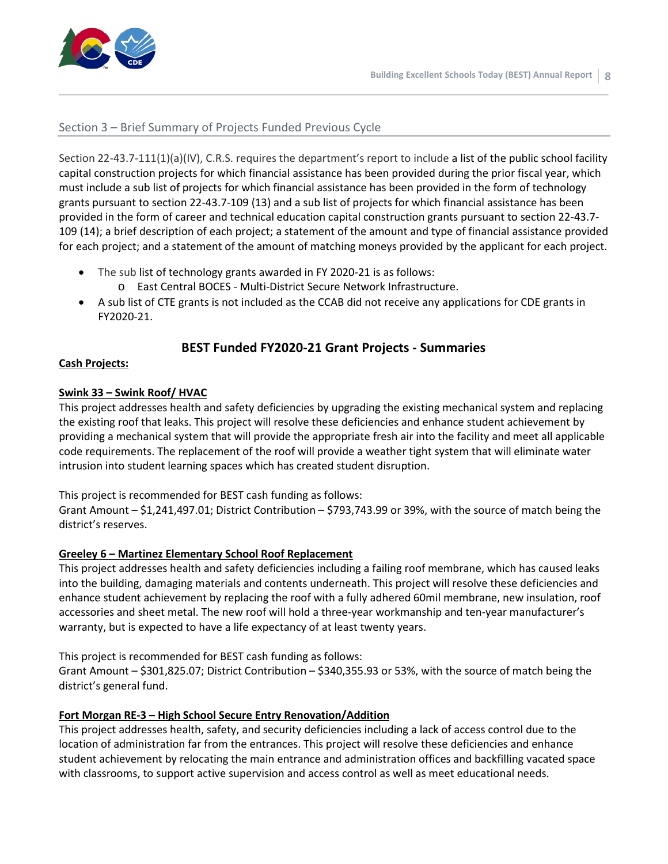

#### Section 3 – Brief Summary of Projects Funded Previous Cycle

Section 22-43.7-111(1)(a)(IV), C.R.S. requires the department's report to include a list of the public school facility capital construction projects for which financial assistance has been provided during the prior fiscal year, which must include a sub list of projects for which financial assistance has been provided in the form of technology grants pursuant to [section 22-43.7-109 \(13\) and a sub list of projects for which financial assistance has been](http://web.lexisnexis.com/research/buttonTFLink?_m=ff9187a259beef79bc9f98d59666946f&_xfercite=%3ccite%20cc%3d%22USA%22%3e%3c%21%5bCDATA%5bC.R.S.%2022-43.7-111%5d%5d%3e%3c%2fcite%3e&_butType=4&_butStat=0&_butNum=4&_butInline=1&_butinfo=COCODE%2022-43.7-109&_fmtstr=FULL&docnum=1&_startdoc=1&wchp=dGLzVzB-zSkAA&_md5=6b8e5e7906761862e765273993e896fe)  [provided in the form of career and technical education capital construction grants pursuant to section 22-43.7-](http://web.lexisnexis.com/research/buttonTFLink?_m=ff9187a259beef79bc9f98d59666946f&_xfercite=%3ccite%20cc%3d%22USA%22%3e%3c%21%5bCDATA%5bC.R.S.%2022-43.7-111%5d%5d%3e%3c%2fcite%3e&_butType=4&_butStat=0&_butNum=4&_butInline=1&_butinfo=COCODE%2022-43.7-109&_fmtstr=FULL&docnum=1&_startdoc=1&wchp=dGLzVzB-zSkAA&_md5=6b8e5e7906761862e765273993e896fe) [109 \(14\);](http://web.lexisnexis.com/research/buttonTFLink?_m=ff9187a259beef79bc9f98d59666946f&_xfercite=%3ccite%20cc%3d%22USA%22%3e%3c%21%5bCDATA%5bC.R.S.%2022-43.7-111%5d%5d%3e%3c%2fcite%3e&_butType=4&_butStat=0&_butNum=4&_butInline=1&_butinfo=COCODE%2022-43.7-109&_fmtstr=FULL&docnum=1&_startdoc=1&wchp=dGLzVzB-zSkAA&_md5=6b8e5e7906761862e765273993e896fe) a brief description of each project; a statement of the amount and type of financial assistance provided for each project; and a statement of the amount of matching moneys provided by the applicant for each project.

- The sub list of technology grants awarded in FY 2020-21 is as follows:
	- o East Central BOCES Multi-District Secure Network Infrastructure.
- A sub list of CTE grants is not included as the CCAB did not receive any applications for CDE grants in FY2020-21.

#### **BEST Funded FY2020-21 Grant Projects - Summaries**

#### **Cash Projects:**

#### **Swink 33 – Swink Roof/ HVAC**

This project addresses health and safety deficiencies by upgrading the existing mechanical system and replacing the existing roof that leaks. This project will resolve these deficiencies and enhance student achievement by providing a mechanical system that will provide the appropriate fresh air into the facility and meet all applicable code requirements. The replacement of the roof will provide a weather tight system that will eliminate water intrusion into student learning spaces which has created student disruption.

This project is recommended for BEST cash funding as follows:

Grant Amount – \$1,241,497.01; District Contribution – \$793,743.99 or 39%, with the source of match being the district's reserves.

#### **Greeley 6 – Martinez Elementary School Roof Replacement**

This project addresses health and safety deficiencies including a failing roof membrane, which has caused leaks into the building, damaging materials and contents underneath. This project will resolve these deficiencies and enhance student achievement by replacing the roof with a fully adhered 60mil membrane, new insulation, roof accessories and sheet metal. The new roof will hold a three-year workmanship and ten-year manufacturer's warranty, but is expected to have a life expectancy of at least twenty years.

This project is recommended for BEST cash funding as follows:

Grant Amount – \$301,825.07; District Contribution – \$340,355.93 or 53%, with the source of match being the district's general fund.

#### **Fort Morgan RE-3 – High School Secure Entry Renovation/Addition**

This project addresses health, safety, and security deficiencies including a lack of access control due to the location of administration far from the entrances. This project will resolve these deficiencies and enhance student achievement by relocating the main entrance and administration offices and backfilling vacated space with classrooms, to support active supervision and access control as well as meet educational needs.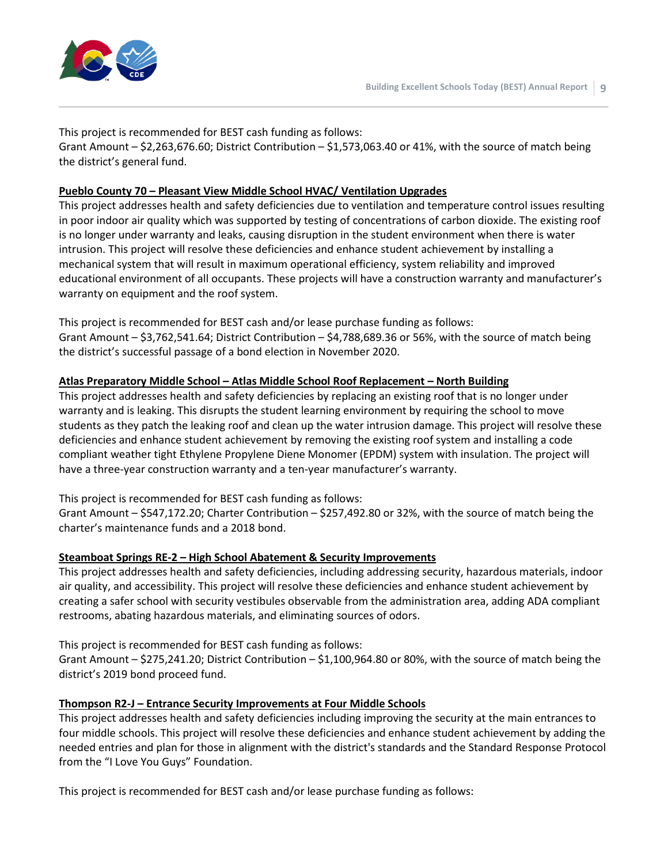

This project is recommended for BEST cash funding as follows: Grant Amount –  $$2,263,676.60$ ; District Contribution –  $$1,573,063.40$  or 41%, with the source of match being the district's general fund.

#### **Pueblo County 70 – Pleasant View Middle School HVAC/ Ventilation Upgrades**

This project addresses health and safety deficiencies due to ventilation and temperature control issues resulting in poor indoor air quality which was supported by testing of concentrations of carbon dioxide. The existing roof is no longer under warranty and leaks, causing disruption in the student environment when there is water intrusion. This project will resolve these deficiencies and enhance student achievement by installing a mechanical system that will result in maximum operational efficiency, system reliability and improved educational environment of all occupants. These projects will have a construction warranty and manufacturer's warranty on equipment and the roof system.

This project is recommended for BEST cash and/or lease purchase funding as follows: Grant Amount – \$3,762,541.64; District Contribution – \$4,788,689.36 or 56%, with the source of match being the district's successful passage of a bond election in November 2020.

#### **Atlas Preparatory Middle School – Atlas Middle School Roof Replacement – North Building**

This project addresses health and safety deficiencies by replacing an existing roof that is no longer under warranty and is leaking. This disrupts the student learning environment by requiring the school to move students as they patch the leaking roof and clean up the water intrusion damage. This project will resolve these deficiencies and enhance student achievement by removing the existing roof system and installing a code compliant weather tight Ethylene Propylene Diene Monomer (EPDM) system with insulation. The project will have a three-year construction warranty and a ten-year manufacturer's warranty.

This project is recommended for BEST cash funding as follows:

Grant Amount – \$547,172.20; Charter Contribution – \$257,492.80 or 32%, with the source of match being the charter's maintenance funds and a 2018 bond.

#### **Steamboat Springs RE-2 – High School Abatement & Security Improvements**

This project addresses health and safety deficiencies, including addressing security, hazardous materials, indoor air quality, and accessibility. This project will resolve these deficiencies and enhance student achievement by creating a safer school with security vestibules observable from the administration area, adding ADA compliant restrooms, abating hazardous materials, and eliminating sources of odors.

This project is recommended for BEST cash funding as follows:

Grant Amount – \$275,241.20; District Contribution – \$1,100,964.80 or 80%, with the source of match being the district's 2019 bond proceed fund.

#### **Thompson R2-J – Entrance Security Improvements at Four Middle Schools**

This project addresses health and safety deficiencies including improving the security at the main entrances to four middle schools. This project will resolve these deficiencies and enhance student achievement by adding the needed entries and plan for those in alignment with the district's standards and the Standard Response Protocol from the "I Love You Guys" Foundation.

This project is recommended for BEST cash and/or lease purchase funding as follows: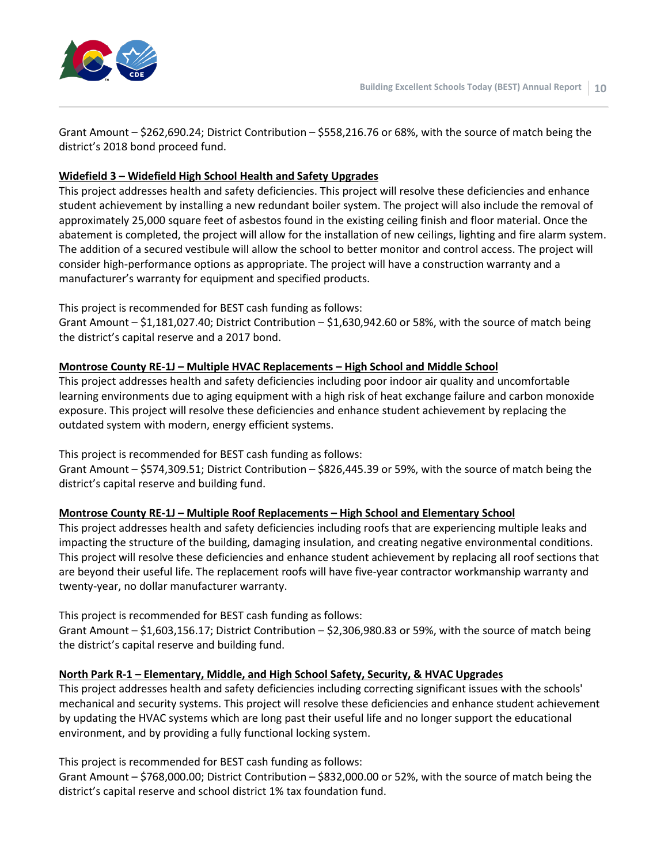

Grant Amount – \$262,690.24; District Contribution – \$558,216.76 or 68%, with the source of match being the district's 2018 bond proceed fund.

#### **Widefield 3 – Widefield High School Health and Safety Upgrades**

This project addresses health and safety deficiencies. This project will resolve these deficiencies and enhance student achievement by installing a new redundant boiler system. The project will also include the removal of approximately 25,000 square feet of asbestos found in the existing ceiling finish and floor material. Once the abatement is completed, the project will allow for the installation of new ceilings, lighting and fire alarm system. The addition of a secured vestibule will allow the school to better monitor and control access. The project will consider high-performance options as appropriate. The project will have a construction warranty and a manufacturer's warranty for equipment and specified products.

#### This project is recommended for BEST cash funding as follows:

Grant Amount – \$1,181,027.40; District Contribution – \$1,630,942.60 or 58%, with the source of match being the district's capital reserve and a 2017 bond.

#### **Montrose County RE-1J – Multiple HVAC Replacements – High School and Middle School**

This project addresses health and safety deficiencies including poor indoor air quality and uncomfortable learning environments due to aging equipment with a high risk of heat exchange failure and carbon monoxide exposure. This project will resolve these deficiencies and enhance student achievement by replacing the outdated system with modern, energy efficient systems.

This project is recommended for BEST cash funding as follows:

Grant Amount – \$574,309.51; District Contribution – \$826,445.39 or 59%, with the source of match being the district's capital reserve and building fund.

#### **Montrose County RE-1J – Multiple Roof Replacements – High School and Elementary School**

This project addresses health and safety deficiencies including roofs that are experiencing multiple leaks and impacting the structure of the building, damaging insulation, and creating negative environmental conditions. This project will resolve these deficiencies and enhance student achievement by replacing all roof sections that are beyond their useful life. The replacement roofs will have five-year contractor workmanship warranty and twenty-year, no dollar manufacturer warranty.

This project is recommended for BEST cash funding as follows:

Grant Amount – \$1,603,156.17; District Contribution – \$2,306,980.83 or 59%, with the source of match being the district's capital reserve and building fund.

#### **North Park R-1 – Elementary, Middle, and High School Safety, Security, & HVAC Upgrades**

This project addresses health and safety deficiencies including correcting significant issues with the schools' mechanical and security systems. This project will resolve these deficiencies and enhance student achievement by updating the HVAC systems which are long past their useful life and no longer support the educational environment, and by providing a fully functional locking system.

This project is recommended for BEST cash funding as follows:

Grant Amount – \$768,000.00; District Contribution – \$832,000.00 or 52%, with the source of match being the district's capital reserve and school district 1% tax foundation fund.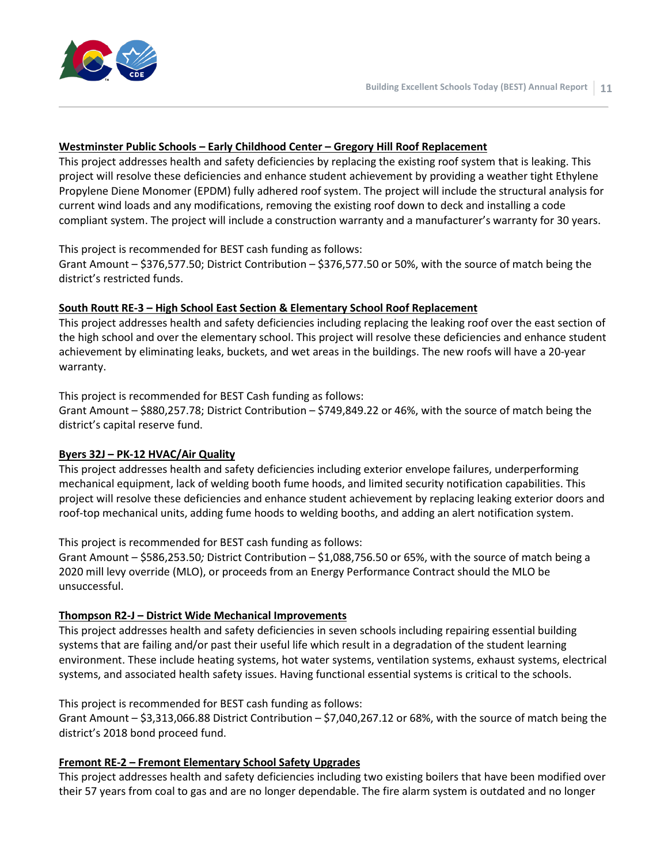

#### **Westminster Public Schools – Early Childhood Center – Gregory Hill Roof Replacement**

This project addresses health and safety deficiencies by replacing the existing roof system that is leaking. This project will resolve these deficiencies and enhance student achievement by providing a weather tight Ethylene Propylene Diene Monomer (EPDM) fully adhered roof system. The project will include the structural analysis for current wind loads and any modifications, removing the existing roof down to deck and installing a code compliant system. The project will include a construction warranty and a manufacturer's warranty for 30 years.

#### This project is recommended for BEST cash funding as follows:

Grant Amount – \$376,577.50; District Contribution – \$376,577.50 or 50%, with the source of match being the district's restricted funds.

#### **South Routt RE-3 – High School East Section & Elementary School Roof Replacement**

This project addresses health and safety deficiencies including replacing the leaking roof over the east section of the high school and over the elementary school. This project will resolve these deficiencies and enhance student achievement by eliminating leaks, buckets, and wet areas in the buildings. The new roofs will have a 20-year warranty.

#### This project is recommended for BEST Cash funding as follows:

Grant Amount – \$880,257.78; District Contribution – \$749,849.22 or 46%, with the source of match being the district's capital reserve fund.

#### **Byers 32J – PK-12 HVAC/Air Quality**

This project addresses health and safety deficiencies including exterior envelope failures, underperforming mechanical equipment, lack of welding booth fume hoods, and limited security notification capabilities. This project will resolve these deficiencies and enhance student achievement by replacing leaking exterior doors and roof-top mechanical units, adding fume hoods to welding booths, and adding an alert notification system.

This project is recommended for BEST cash funding as follows:

Grant Amount – \$586,253.50*;* District Contribution – \$1,088,756.50 or 65%, with the source of match being a 2020 mill levy override (MLO), or proceeds from an Energy Performance Contract should the MLO be unsuccessful.

#### **Thompson R2-J – District Wide Mechanical Improvements**

This project addresses health and safety deficiencies in seven schools including repairing essential building systems that are failing and/or past their useful life which result in a degradation of the student learning environment. These include heating systems, hot water systems, ventilation systems, exhaust systems, electrical systems, and associated health safety issues. Having functional essential systems is critical to the schools.

This project is recommended for BEST cash funding as follows:

Grant Amount – \$3,313,066.88 District Contribution – \$7,040,267.12 or 68%, with the source of match being the district's 2018 bond proceed fund.

#### **Fremont RE-2 – Fremont Elementary School Safety Upgrades**

This project addresses health and safety deficiencies including two existing boilers that have been modified over their 57 years from coal to gas and are no longer dependable. The fire alarm system is outdated and no longer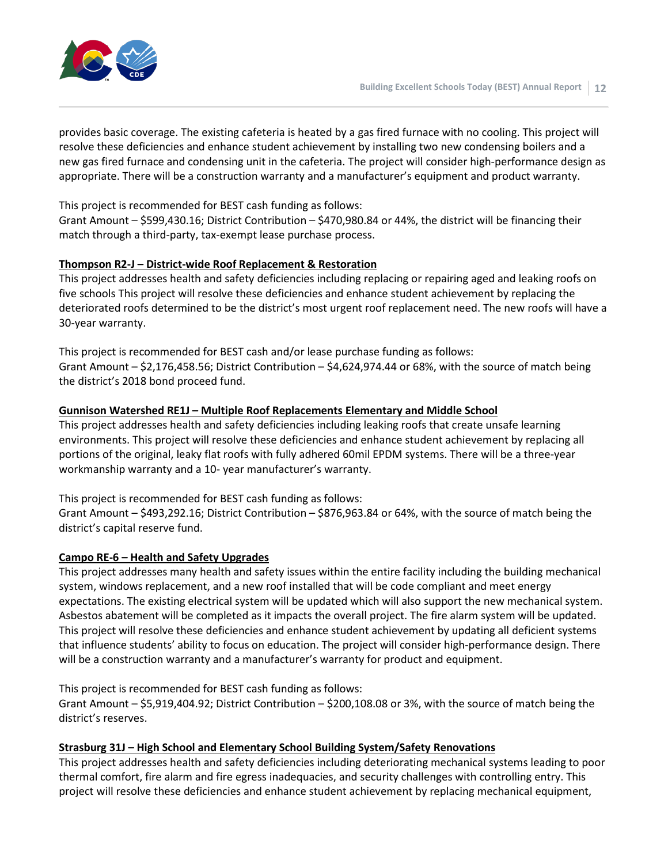

provides basic coverage. The existing cafeteria is heated by a gas fired furnace with no cooling. This project will resolve these deficiencies and enhance student achievement by installing two new condensing boilers and a new gas fired furnace and condensing unit in the cafeteria. The project will consider high-performance design as appropriate. There will be a construction warranty and a manufacturer's equipment and product warranty.

This project is recommended for BEST cash funding as follows:

Grant Amount – \$599,430.16; District Contribution – \$470,980.84 or 44%, the district will be financing their match through a third-party, tax-exempt lease purchase process.

#### **Thompson R2-J – District-wide Roof Replacement & Restoration**

This project addresses health and safety deficiencies including replacing or repairing aged and leaking roofs on five schools This project will resolve these deficiencies and enhance student achievement by replacing the deteriorated roofs determined to be the district's most urgent roof replacement need. The new roofs will have a 30-year warranty.

This project is recommended for BEST cash and/or lease purchase funding as follows: Grant Amount – \$2,176,458.56; District Contribution – \$4,624,974.44 or 68%, with the source of match being the district's 2018 bond proceed fund.

#### **Gunnison Watershed RE1J – Multiple Roof Replacements Elementary and Middle School**

This project addresses health and safety deficiencies including leaking roofs that create unsafe learning environments. This project will resolve these deficiencies and enhance student achievement by replacing all portions of the original, leaky flat roofs with fully adhered 60mil EPDM systems. There will be a three-year workmanship warranty and a 10- year manufacturer's warranty.

This project is recommended for BEST cash funding as follows:

Grant Amount – \$493,292.16; District Contribution – \$876,963.84 or 64%, with the source of match being the district's capital reserve fund.

#### **Campo RE-6 – Health and Safety Upgrades**

This project addresses many health and safety issues within the entire facility including the building mechanical system, windows replacement, and a new roof installed that will be code compliant and meet energy expectations. The existing electrical system will be updated which will also support the new mechanical system. Asbestos abatement will be completed as it impacts the overall project. The fire alarm system will be updated. This project will resolve these deficiencies and enhance student achievement by updating all deficient systems that influence students' ability to focus on education. The project will consider high-performance design. There will be a construction warranty and a manufacturer's warranty for product and equipment.

This project is recommended for BEST cash funding as follows: Grant Amount – \$5,919,404.92; District Contribution – \$200,108.08 or 3%, with the source of match being the district's reserves.

#### **Strasburg 31J – High School and Elementary School Building System/Safety Renovations**

This project addresses health and safety deficiencies including deteriorating mechanical systems leading to poor thermal comfort, fire alarm and fire egress inadequacies, and security challenges with controlling entry. This project will resolve these deficiencies and enhance student achievement by replacing mechanical equipment,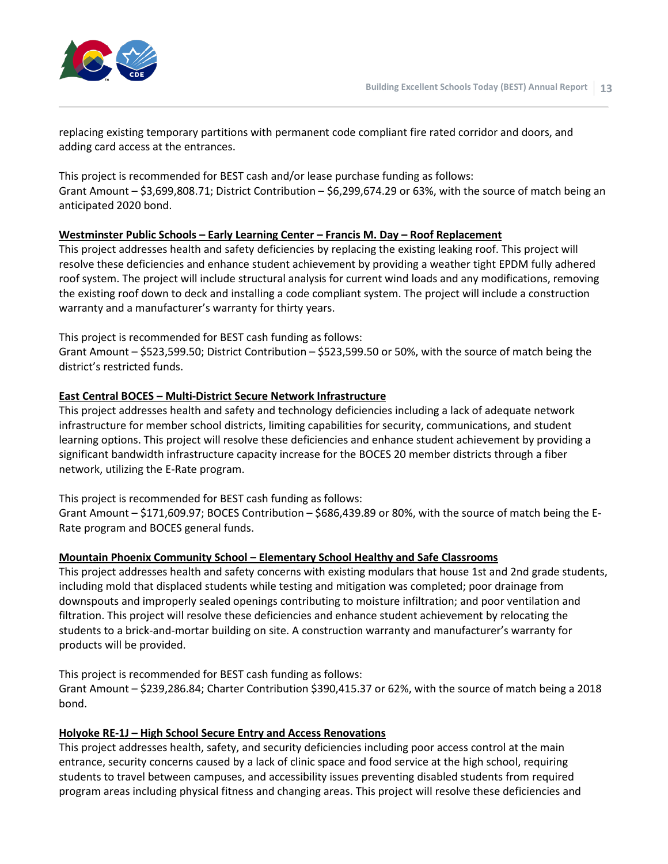

replacing existing temporary partitions with permanent code compliant fire rated corridor and doors, and adding card access at the entrances.

This project is recommended for BEST cash and/or lease purchase funding as follows: Grant Amount – \$3,699,808.71; District Contribution – \$6,299,674.29 or 63%, with the source of match being an anticipated 2020 bond.

#### **Westminster Public Schools – Early Learning Center – Francis M. Day – Roof Replacement**

This project addresses health and safety deficiencies by replacing the existing leaking roof. This project will resolve these deficiencies and enhance student achievement by providing a weather tight EPDM fully adhered roof system. The project will include structural analysis for current wind loads and any modifications, removing the existing roof down to deck and installing a code compliant system. The project will include a construction warranty and a manufacturer's warranty for thirty years.

This project is recommended for BEST cash funding as follows:

Grant Amount – \$523,599.50; District Contribution – \$523,599.50 or 50%, with the source of match being the district's restricted funds.

#### **East Central BOCES – Multi-District Secure Network Infrastructure**

This project addresses health and safety and technology deficiencies including a lack of adequate network infrastructure for member school districts, limiting capabilities for security, communications, and student learning options. This project will resolve these deficiencies and enhance student achievement by providing a significant bandwidth infrastructure capacity increase for the BOCES 20 member districts through a fiber network, utilizing the E-Rate program.

This project is recommended for BEST cash funding as follows:

Grant Amount – \$171,609.97; BOCES Contribution – \$686,439.89 or 80%, with the source of match being the E-Rate program and BOCES general funds.

#### **Mountain Phoenix Community School – Elementary School Healthy and Safe Classrooms**

This project addresses health and safety concerns with existing modulars that house 1st and 2nd grade students, including mold that displaced students while testing and mitigation was completed; poor drainage from downspouts and improperly sealed openings contributing to moisture infiltration; and poor ventilation and filtration. This project will resolve these deficiencies and enhance student achievement by relocating the students to a brick-and-mortar building on site. A construction warranty and manufacturer's warranty for products will be provided.

This project is recommended for BEST cash funding as follows:

Grant Amount – \$239,286.84; Charter Contribution \$390,415.37 or 62%, with the source of match being a 2018 bond.

#### **Holyoke RE-1J – High School Secure Entry and Access Renovations**

This project addresses health, safety, and security deficiencies including poor access control at the main entrance, security concerns caused by a lack of clinic space and food service at the high school, requiring students to travel between campuses, and accessibility issues preventing disabled students from required program areas including physical fitness and changing areas. This project will resolve these deficiencies and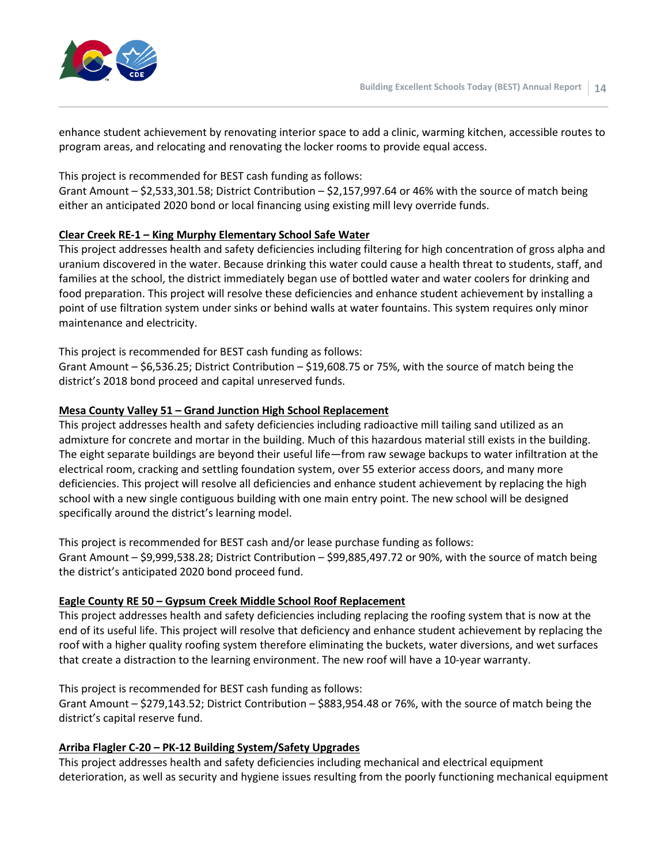

enhance student achievement by renovating interior space to add a clinic, warming kitchen, accessible routes to program areas, and relocating and renovating the locker rooms to provide equal access.

This project is recommended for BEST cash funding as follows:

Grant Amount – \$2,533,301.58; District Contribution – \$2,157,997.64 or 46% with the source of match being either an anticipated 2020 bond or local financing using existing mill levy override funds.

#### **Clear Creek RE-1 – King Murphy Elementary School Safe Water**

This project addresses health and safety deficiencies including filtering for high concentration of gross alpha and uranium discovered in the water. Because drinking this water could cause a health threat to students, staff, and families at the school, the district immediately began use of bottled water and water coolers for drinking and food preparation. This project will resolve these deficiencies and enhance student achievement by installing a point of use filtration system under sinks or behind walls at water fountains. This system requires only minor maintenance and electricity.

This project is recommended for BEST cash funding as follows:

Grant Amount – \$6,536.25; District Contribution – \$19,608.75 or 75%, with the source of match being the district's 2018 bond proceed and capital unreserved funds.

#### **Mesa County Valley 51 – Grand Junction High School Replacement**

This project addresses health and safety deficiencies including radioactive mill tailing sand utilized as an admixture for concrete and mortar in the building. Much of this hazardous material still exists in the building. The eight separate buildings are beyond their useful life—from raw sewage backups to water infiltration at the electrical room, cracking and settling foundation system, over 55 exterior access doors, and many more deficiencies. This project will resolve all deficiencies and enhance student achievement by replacing the high school with a new single contiguous building with one main entry point. The new school will be designed specifically around the district's learning model.

This project is recommended for BEST cash and/or lease purchase funding as follows:

Grant Amount – \$9,999,538.28; District Contribution – \$99,885,497.72 or 90%, with the source of match being the district's anticipated 2020 bond proceed fund.

#### **Eagle County RE 50 – Gypsum Creek Middle School Roof Replacement**

This project addresses health and safety deficiencies including replacing the roofing system that is now at the end of its useful life. This project will resolve that deficiency and enhance student achievement by replacing the roof with a higher quality roofing system therefore eliminating the buckets, water diversions, and wet surfaces that create a distraction to the learning environment. The new roof will have a 10-year warranty.

This project is recommended for BEST cash funding as follows:

Grant Amount – \$279,143.52; District Contribution – \$883,954.48 or 76%, with the source of match being the district's capital reserve fund.

#### **Arriba Flagler C-20 – PK-12 Building System/Safety Upgrades**

This project addresses health and safety deficiencies including mechanical and electrical equipment deterioration, as well as security and hygiene issues resulting from the poorly functioning mechanical equipment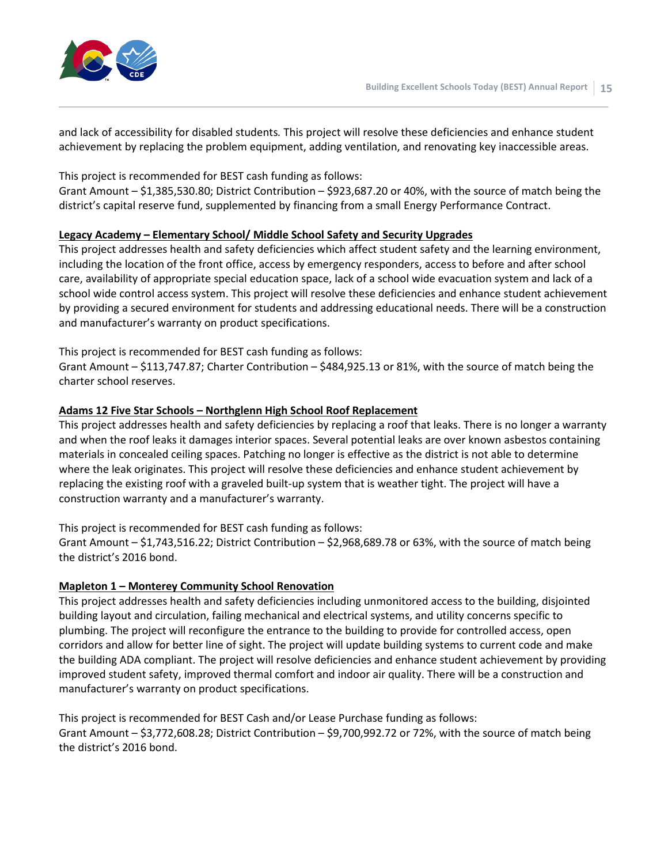

and lack of accessibility for disabled students*.* This project will resolve these deficiencies and enhance student achievement by replacing the problem equipment, adding ventilation, and renovating key inaccessible areas.

This project is recommended for BEST cash funding as follows:

Grant Amount – \$1,385,530.80; District Contribution – \$923,687.20 or 40%, with the source of match being the district's capital reserve fund, supplemented by financing from a small Energy Performance Contract.

#### **Legacy Academy – Elementary School/ Middle School Safety and Security Upgrades**

This project addresses health and safety deficiencies which affect student safety and the learning environment, including the location of the front office, access by emergency responders, access to before and after school care, availability of appropriate special education space, lack of a school wide evacuation system and lack of a school wide control access system. This project will resolve these deficiencies and enhance student achievement by providing a secured environment for students and addressing educational needs. There will be a construction and manufacturer's warranty on product specifications.

This project is recommended for BEST cash funding as follows:

Grant Amount – \$113,747.87; Charter Contribution – \$484,925.13 or 81%, with the source of match being the charter school reserves.

#### **Adams 12 Five Star Schools – Northglenn High School Roof Replacement**

This project addresses health and safety deficiencies by replacing a roof that leaks. There is no longer a warranty and when the roof leaks it damages interior spaces. Several potential leaks are over known asbestos containing materials in concealed ceiling spaces. Patching no longer is effective as the district is not able to determine where the leak originates. This project will resolve these deficiencies and enhance student achievement by replacing the existing roof with a graveled built-up system that is weather tight. The project will have a construction warranty and a manufacturer's warranty.

This project is recommended for BEST cash funding as follows: Grant Amount – \$1,743,516.22; District Contribution – \$2,968,689.78 or 63%, with the source of match being the district's 2016 bond.

#### **Mapleton 1 – Monterey Community School Renovation**

This project addresses health and safety deficiencies including unmonitored access to the building, disjointed building layout and circulation, failing mechanical and electrical systems, and utility concerns specific to plumbing. The project will reconfigure the entrance to the building to provide for controlled access, open corridors and allow for better line of sight. The project will update building systems to current code and make the building ADA compliant. The project will resolve deficiencies and enhance student achievement by providing improved student safety, improved thermal comfort and indoor air quality. There will be a construction and manufacturer's warranty on product specifications.

This project is recommended for BEST Cash and/or Lease Purchase funding as follows: Grant Amount – \$3,772,608.28; District Contribution – \$9,700,992.72 or 72%, with the source of match being the district's 2016 bond.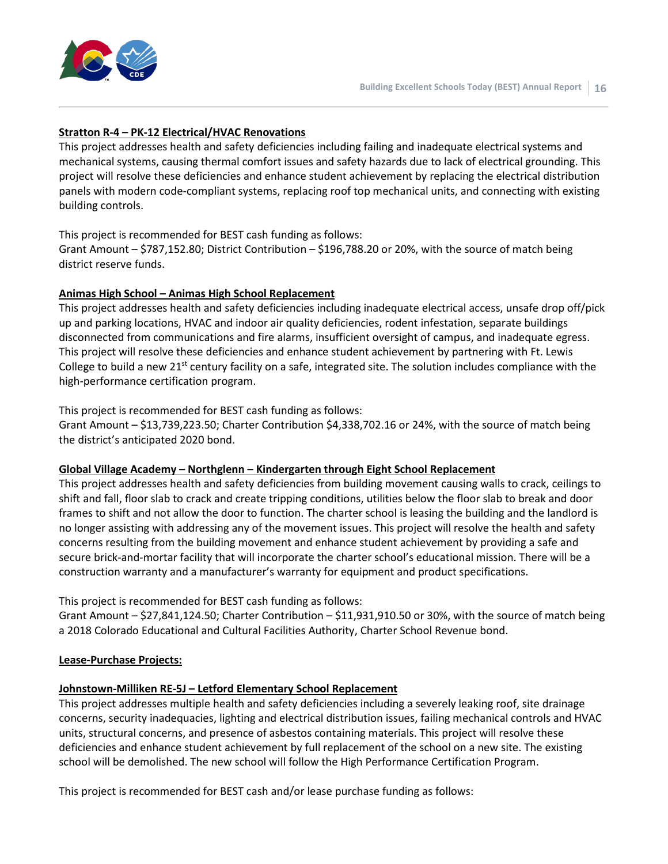

#### **Stratton R-4 – PK-12 Electrical/HVAC Renovations**

This project addresses health and safety deficiencies including failing and inadequate electrical systems and mechanical systems, causing thermal comfort issues and safety hazards due to lack of electrical grounding. This project will resolve these deficiencies and enhance student achievement by replacing the electrical distribution panels with modern code-compliant systems, replacing roof top mechanical units, and connecting with existing building controls.

#### This project is recommended for BEST cash funding as follows:

Grant Amount – \$787,152.80; District Contribution – \$196,788.20 or 20%, with the source of match being district reserve funds.

#### **Animas High School – Animas High School Replacement**

This project addresses health and safety deficiencies including inadequate electrical access, unsafe drop off/pick up and parking locations, HVAC and indoor air quality deficiencies, rodent infestation, separate buildings disconnected from communications and fire alarms, insufficient oversight of campus, and inadequate egress. This project will resolve these deficiencies and enhance student achievement by partnering with Ft. Lewis College to build a new 21<sup>st</sup> century facility on a safe, integrated site. The solution includes compliance with the high-performance certification program.

#### This project is recommended for BEST cash funding as follows:

Grant Amount – \$13,739,223.50; Charter Contribution \$4,338,702.16 or 24%, with the source of match being the district's anticipated 2020 bond.

#### **Global Village Academy – Northglenn – Kindergarten through Eight School Replacement**

This project addresses health and safety deficiencies from building movement causing walls to crack, ceilings to shift and fall, floor slab to crack and create tripping conditions, utilities below the floor slab to break and door frames to shift and not allow the door to function. The charter school is leasing the building and the landlord is no longer assisting with addressing any of the movement issues. This project will resolve the health and safety concerns resulting from the building movement and enhance student achievement by providing a safe and secure brick-and-mortar facility that will incorporate the charter school's educational mission. There will be a construction warranty and a manufacturer's warranty for equipment and product specifications.

#### This project is recommended for BEST cash funding as follows:

Grant Amount – \$27,841,124.50; Charter Contribution – \$11,931,910.50 or 30%, with the source of match being a 2018 Colorado Educational and Cultural Facilities Authority, Charter School Revenue bond.

#### **Lease-Purchase Projects:**

#### **Johnstown-Milliken RE-5J – Letford Elementary School Replacement**

This project addresses multiple health and safety deficiencies including a severely leaking roof, site drainage concerns, security inadequacies, lighting and electrical distribution issues, failing mechanical controls and HVAC units, structural concerns, and presence of asbestos containing materials. This project will resolve these deficiencies and enhance student achievement by full replacement of the school on a new site. The existing school will be demolished. The new school will follow the High Performance Certification Program.

This project is recommended for BEST cash and/or lease purchase funding as follows: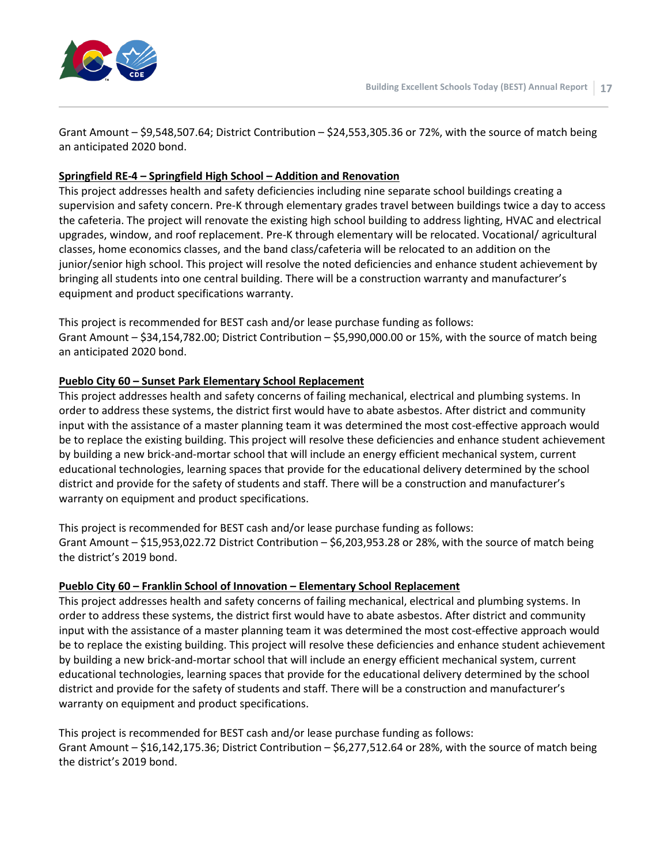

Grant Amount – \$9,548,507.64; District Contribution – \$24,553,305.36 or 72%, with the source of match being an anticipated 2020 bond.

#### **Springfield RE-4 – Springfield High School – Addition and Renovation**

This project addresses health and safety deficiencies including nine separate school buildings creating a supervision and safety concern. Pre-K through elementary grades travel between buildings twice a day to access the cafeteria. The project will renovate the existing high school building to address lighting, HVAC and electrical upgrades, window, and roof replacement. Pre-K through elementary will be relocated. Vocational/ agricultural classes, home economics classes, and the band class/cafeteria will be relocated to an addition on the junior/senior high school. This project will resolve the noted deficiencies and enhance student achievement by bringing all students into one central building. There will be a construction warranty and manufacturer's equipment and product specifications warranty.

This project is recommended for BEST cash and/or lease purchase funding as follows: Grant Amount – \$34,154,782.00; District Contribution – \$5,990,000.00 or 15%, with the source of match being an anticipated 2020 bond.

#### **Pueblo City 60 – Sunset Park Elementary School Replacement**

This project addresses health and safety concerns of failing mechanical, electrical and plumbing systems. In order to address these systems, the district first would have to abate asbestos. After district and community input with the assistance of a master planning team it was determined the most cost-effective approach would be to replace the existing building. This project will resolve these deficiencies and enhance student achievement by building a new brick-and-mortar school that will include an energy efficient mechanical system, current educational technologies, learning spaces that provide for the educational delivery determined by the school district and provide for the safety of students and staff. There will be a construction and manufacturer's warranty on equipment and product specifications.

This project is recommended for BEST cash and/or lease purchase funding as follows: Grant Amount – \$15,953,022.72 District Contribution – \$6,203,953.28 or 28%, with the source of match being the district's 2019 bond.

#### **Pueblo City 60 – Franklin School of Innovation – Elementary School Replacement**

This project addresses health and safety concerns of failing mechanical, electrical and plumbing systems. In order to address these systems, the district first would have to abate asbestos. After district and community input with the assistance of a master planning team it was determined the most cost-effective approach would be to replace the existing building. This project will resolve these deficiencies and enhance student achievement by building a new brick-and-mortar school that will include an energy efficient mechanical system, current educational technologies, learning spaces that provide for the educational delivery determined by the school district and provide for the safety of students and staff. There will be a construction and manufacturer's warranty on equipment and product specifications.

This project is recommended for BEST cash and/or lease purchase funding as follows: Grant Amount – \$16,142,175.36; District Contribution – \$6,277,512.64 or 28%, with the source of match being the district's 2019 bond.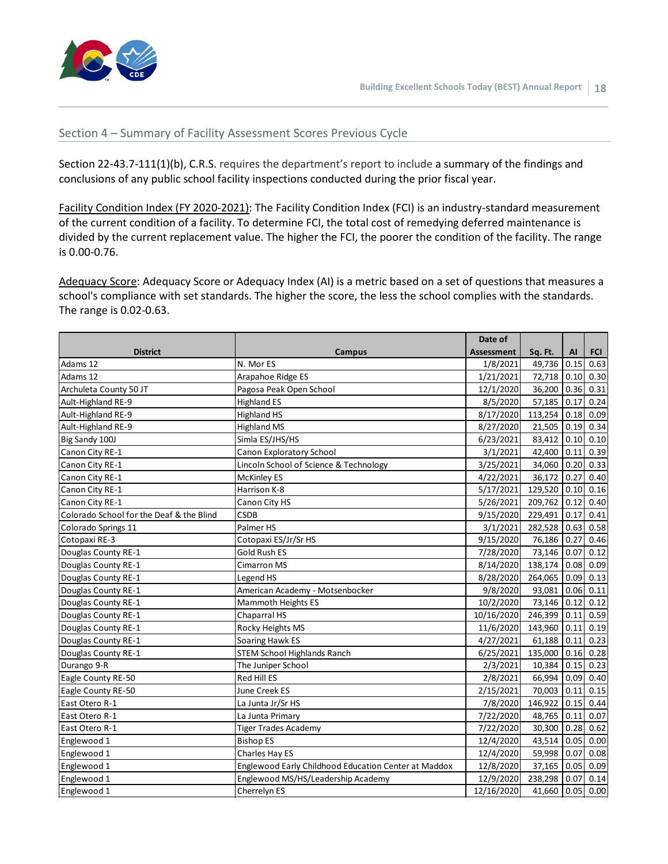

#### Section 4 – Summary of Facility Assessment Scores Previous Cycle

Section 22-43.7-111(1)(b), C.R.S. requires the department's report to include a summary of the findings and conclusions of any public school facility inspections conducted during the prior fiscal year.

Facility Condition Index (FY 2020-2021): The Facility Condition Index (FCI) is an industry-standard measurement of the current condition of a facility. To determine FCI, the total cost of remedying deferred maintenance is divided by the current replacement value. The higher the FCI, the poorer the condition of the facility. The range is 0.00-0.76.

Adequacy Score: Adequacy Score or Adequacy Index (AI) is a metric based on a set of questions that measures a school's compliance with set standards. The higher the score, the less the school complies with the standards. The range is 0.02-0.63.

|                                          |                                                      | Date of    |         |      |            |
|------------------------------------------|------------------------------------------------------|------------|---------|------|------------|
| <b>District</b>                          | Campus                                               | Assessment | Sq. Ft. | AI   | <b>FCI</b> |
| Adams 12                                 | N. Mor ES                                            | 1/8/2021   | 49,736  | 0.15 | 0.63       |
| Adams 12                                 | Arapahoe Ridge ES                                    | 1/21/2021  | 72,718  | 0.10 | 0.30       |
| Archuleta County 50 JT                   | Pagosa Peak Open School                              | 12/1/2020  | 36,200  | 0.36 | 0.31       |
| Ault-Highland RE-9                       | <b>Highland ES</b>                                   | 8/5/2020   | 57,185  | 0.17 | 0.24       |
| Ault-Highland RE-9                       | <b>Highland HS</b>                                   | 8/17/2020  | 113,254 | 0.18 | 0.09       |
| Ault-Highland RE-9                       | <b>Highland MS</b>                                   | 8/27/2020  | 21,505  | 0.19 | 0.34       |
| Big Sandy 100J                           | Simla ES/JHS/HS                                      | 6/23/2021  | 83,412  | 0.10 | 0.10       |
| Canon City RE-1                          | Canon Exploratory School                             | 3/1/2021   | 42,400  | 0.11 | 0.39       |
| Canon City RE-1                          | Lincoln School of Science & Technology               | 3/25/2021  | 34,060  | 0.20 | 0.33       |
| Canon City RE-1                          | <b>McKinley ES</b>                                   | 4/22/2021  | 36,172  | 0.27 | 0.40       |
| Canon City RE-1                          | Harrison K-8                                         | 5/17/2021  | 129,520 | 0.10 | 0.16       |
| Canon City RE-1                          | Canon City HS                                        | 5/26/2021  | 209,762 | 0.12 | 0.40       |
| Colorado School for the Deaf & the Blind | <b>CSDB</b>                                          | 9/15/2020  | 229,491 | 0.17 | 0.41       |
| Colorado Springs 11                      | Palmer HS                                            | 3/1/2021   | 282,528 | 0.63 | 0.58       |
| Cotopaxi RE-3                            | Cotopaxi ES/Jr/Sr HS                                 | 9/15/2020  | 76,186  | 0.27 | 0.46       |
| Douglas County RE-1                      | <b>Gold Rush ES</b>                                  | 7/28/2020  | 73,146  | 0.07 | 0.12       |
| Douglas County RE-1                      | <b>Cimarron MS</b>                                   | 8/14/2020  | 138,174 | 0.08 | 0.09       |
| Douglas County RE-1                      | Legend HS                                            | 8/28/2020  | 264,065 | 0.09 | 0.13       |
| Douglas County RE-1                      | American Academy - Motsenbocker                      | 9/8/2020   | 93,081  | 0.06 | 0.11       |
| Douglas County RE-1                      | Mammoth Heights ES                                   | 10/2/2020  | 73,146  | 0.12 | 0.12       |
| Douglas County RE-1                      | Chaparral HS                                         | 10/16/2020 | 246,399 | 0.11 | 0.59       |
| Douglas County RE-1                      | Rocky Heights MS                                     | 11/6/2020  | 143,960 | 0.11 | 0.19       |
| Douglas County RE-1                      | Soaring Hawk ES                                      | 4/27/2021  | 61,188  | 0.11 | 0.23       |
| Douglas County RE-1                      | <b>STEM School Highlands Ranch</b>                   | 6/25/2021  | 135,000 | 0.16 | 0.28       |
| Durango 9-R                              | The Juniper School                                   | 2/3/2021   | 10,384  | 0.15 | 0.23       |
| Eagle County RE-50                       | <b>Red Hill ES</b>                                   | 2/8/2021   | 66,994  | 0.09 | 0.40       |
| Eagle County RE-50                       | June Creek ES                                        | 2/15/2021  | 70,003  | 0.11 | 0.15       |
| East Otero R-1                           | La Junta Jr/Sr HS                                    | 7/8/2020   | 146,922 | 0.15 | 0.44       |
| East Otero R-1                           | La Junta Primary                                     | 7/22/2020  | 48,765  | 0.11 | 0.07       |
| East Otero R-1                           | <b>Tiger Trades Academy</b>                          | 7/22/2020  | 30,300  | 0.28 | 0.62       |
| Englewood 1                              | <b>Bishop ES</b>                                     | 12/4/2020  | 43,514  | 0.05 | 0.00       |
| Englewood 1                              | Charles Hay ES                                       | 12/4/2020  | 59,998  | 0.07 | 0.08       |
| Englewood 1                              | Englewood Early Childhood Education Center at Maddox | 12/8/2020  | 37,165  | 0.05 | 0.09       |
| Englewood 1                              | Englewood MS/HS/Leadership Academy                   | 12/9/2020  | 238,298 | 0.07 | 0.14       |
| Englewood 1                              | Cherrelyn ES                                         | 12/16/2020 | 41,660  | 0.05 | 0.00       |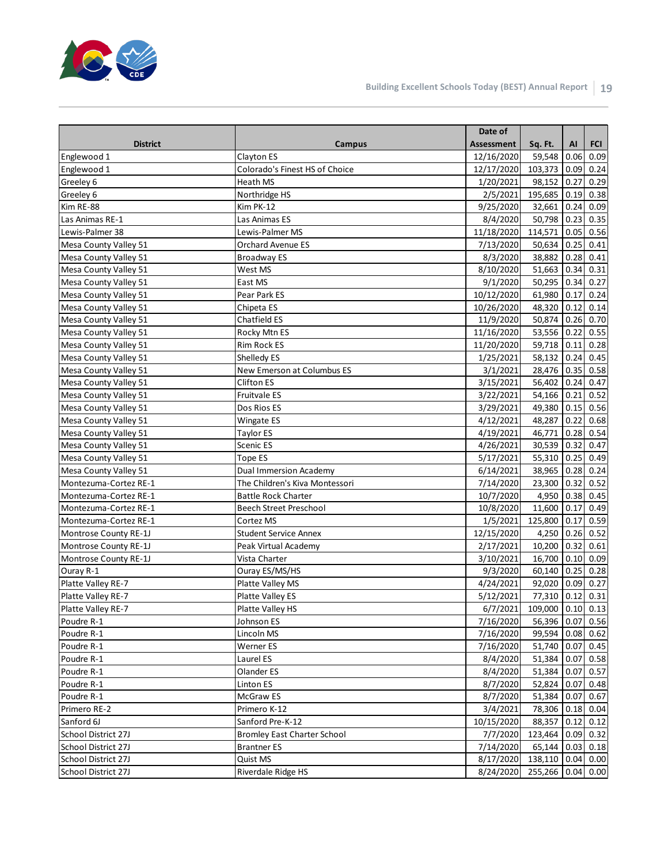

|                       |                                | Date of                     |                   |             |             |
|-----------------------|--------------------------------|-----------------------------|-------------------|-------------|-------------|
| <b>District</b>       | Campus                         | <b>Assessment</b>           | Sq. Ft.           | AI          | <b>FCI</b>  |
| Englewood 1           | Clayton ES                     | 12/16/2020                  | 59,548            | 0.06        | 0.09        |
| Englewood 1           | Colorado's Finest HS of Choice | 12/17/2020                  | 103,373           | 0.09        | 0.24        |
| Greeley 6             | Heath MS                       | 1/20/2021                   | 98,152            | 0.27        | 0.29        |
| Greeley 6             | Northridge HS                  | 2/5/2021                    | 195,685           | 0.19        | 0.38        |
| Kim RE-88             | Kim PK-12                      | 9/25/2020                   | 32,661            | 0.24        | 0.09        |
| Las Animas RE-1       | Las Animas ES                  | 8/4/2020                    | 50,798 0.23       |             | 0.35        |
| Lewis-Palmer 38       | Lewis-Palmer MS                | 11/18/2020                  | 114,571           |             | $0.05$ 0.56 |
| Mesa County Valley 51 | <b>Orchard Avenue ES</b>       | 7/13/2020                   | 50,634            | 0.25        | 0.41        |
| Mesa County Valley 51 | Broadway ES                    | 8/3/2020                    | 38,882            | $0.28$ 0.41 |             |
| Mesa County Valley 51 | West MS                        | 8/10/2020                   | 51,663 0.34 0.31  |             |             |
| Mesa County Valley 51 | East MS                        | 9/1/2020                    | 50,295 0.34 0.27  |             |             |
| Mesa County Valley 51 | Pear Park ES                   | 10/12/2020                  | 61,980 0.17       |             | 0.24        |
| Mesa County Valley 51 | Chipeta ES                     | 10/26/2020                  | 48,320 0.12       |             | 0.14        |
| Mesa County Valley 51 | Chatfield ES                   | 11/9/2020                   | 50,874            | 0.26        | 0.70        |
| Mesa County Valley 51 | Rocky Mtn ES                   | 11/16/2020                  | 53,556            | 0.22        | 0.55        |
| Mesa County Valley 51 | Rim Rock ES                    | 11/20/2020                  | 59,718 0.11       |             | 0.28        |
| Mesa County Valley 51 | Shelledy ES                    | 1/25/2021                   | 58,132            | 0.24        | 0.45        |
| Mesa County Valley 51 | New Emerson at Columbus ES     | 3/1/2021                    | 28,476 0.35 0.58  |             |             |
| Mesa County Valley 51 | <b>Clifton ES</b>              | 3/15/2021                   | 56,402            | 0.24        | 0.47        |
| Mesa County Valley 51 | Fruitvale ES                   | 3/22/2021                   | 54,166            | 0.21        | 0.52        |
| Mesa County Valley 51 | Dos Rios ES                    | 3/29/2021                   | 49,380 0.15 0.56  |             |             |
| Mesa County Valley 51 | Wingate ES                     | 4/12/2021                   | 48,287 0.22       |             | 0.68        |
| Mesa County Valley 51 | <b>Taylor ES</b>               | 4/19/2021                   | 46,771            |             | $0.28$ 0.54 |
| Mesa County Valley 51 | Scenic ES                      | 4/26/2021                   | 30,539 0.32       |             | 0.47        |
| Mesa County Valley 51 | Tope ES                        | 5/17/2021                   | 55,310 0.25       |             | 0.49        |
| Mesa County Valley 51 | <b>Dual Immersion Academy</b>  | 6/14/2021                   | 38,965            | 0.28        | 0.24        |
| Montezuma-Cortez RE-1 | The Children's Kiva Montessori | 7/14/2020                   | 23,300            | 0.32        | 0.52        |
| Montezuma-Cortez RE-1 | <b>Battle Rock Charter</b>     | 10/7/2020                   | 4,950             | 0.38        | 0.45        |
| Montezuma-Cortez RE-1 | <b>Beech Street Preschool</b>  | 10/8/2020                   | 11,600            | 0.17        | 0.49        |
| Montezuma-Cortez RE-1 | Cortez MS                      | 1/5/2021                    | 125,800 0.17      |             | 0.59        |
| Montrose County RE-1J | <b>Student Service Annex</b>   | 12/15/2020                  | 4,250 0.26 0.52   |             |             |
| Montrose County RE-1J | Peak Virtual Academy           | 2/17/2021                   | 10,200 0.32       |             | 0.61        |
| Montrose County RE-1J | Vista Charter                  | 3/10/2021                   | 16,700 0.10 0.09  |             |             |
| Ouray R-1             | Ouray ES/MS/HS                 | 9/3/2020                    | 60,140 0.25 0.28  |             |             |
| Platte Valley RE-7    | Platte Valley MS               | 4/24/2021                   | 92,020 0.09       |             | 0.27        |
| Platte Valley RE-7    | Platte Valley ES               | 5/12/2021                   | 77,310 0.12 0.31  |             |             |
| Platte Valley RE-7    | Platte Valley HS               | 6/7/2021                    | 109,000 0.10 0.13 |             |             |
| Poudre R-1            | Johnson ES                     | 7/16/2020                   | 56,396 0.07 0.56  |             |             |
| Poudre R-1            | Lincoln MS                     | 7/16/2020                   | 99,594 0.08 0.62  |             |             |
| Poudre R-1            | Werner ES                      | 7/16/2020                   | 51,740 0.07 0.45  |             |             |
| Poudre R-1            | Laurel ES                      | 8/4/2020                    | 51,384 0.07 0.58  |             |             |
| Poudre R-1            | Olander ES                     | 8/4/2020                    | 51,384 0.07 0.57  |             |             |
| Poudre R-1            | Linton ES                      | 8/7/2020                    | 52,824 0.07 0.48  |             |             |
| Poudre R-1            | McGraw ES                      | 8/7/2020                    | 51,384 0.07 0.67  |             |             |
| Primero RE-2          | Primero K-12                   | 3/4/2021                    | 78,306 0.18 0.04  |             |             |
| Sanford 6J            | Sanford Pre-K-12               | 10/15/2020                  | 88,357 0.12 0.12  |             |             |
| School District 27J   | Bromley East Charter School    | 7/7/2020                    | 123,464 0.09 0.32 |             |             |
| School District 27J   | <b>Brantner ES</b>             | 7/14/2020                   | 65,144 0.03 0.18  |             |             |
| School District 27J   | Quist MS                       | 8/17/2020 138,110 0.04 0.00 |                   |             |             |
| School District 27J   | Riverdale Ridge HS             | 8/24/2020                   | 255,266 0.04 0.00 |             |             |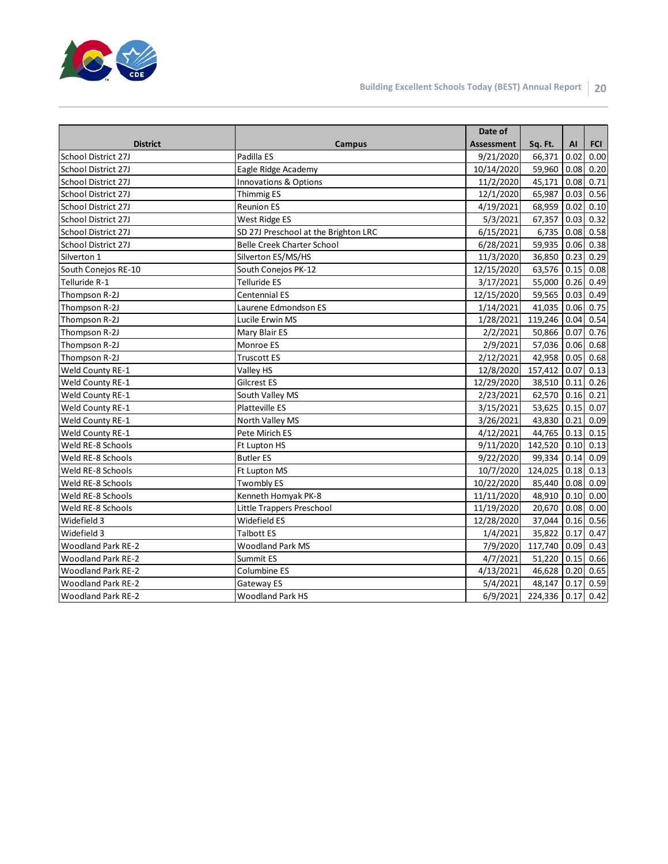

|                           |                                      | Date of           |                   |      |            |
|---------------------------|--------------------------------------|-------------------|-------------------|------|------------|
| <b>District</b>           | Campus                               | <b>Assessment</b> | Sq. Ft.           | AI   | <b>FCI</b> |
| School District 27J       | Padilla ES                           | 9/21/2020         | 66,371            | 0.02 | 0.00       |
| School District 27J       | Eagle Ridge Academy                  | 10/14/2020        | 59,960            | 0.08 | 0.20       |
| School District 27J       | Innovations & Options                | 11/2/2020         | 45,171            | 0.08 | 0.71       |
| School District 27J       | <b>Thimmig ES</b>                    | 12/1/2020         | 65,987            | 0.03 | 0.56       |
| School District 27J       | <b>Reunion ES</b>                    | 4/19/2021         | 68,959            | 0.02 | 0.10       |
| School District 27J       | West Ridge ES                        | 5/3/2021          | 67,357            | 0.03 | 0.32       |
| School District 27J       | SD 27J Preschool at the Brighton LRC | 6/15/2021         | 6,735             | 0.08 | 0.58       |
| School District 27J       | <b>Belle Creek Charter School</b>    | 6/28/2021         | 59,935            | 0.06 | 0.38       |
| Silverton 1               | Silverton ES/MS/HS                   | 11/3/2020         | 36,850            | 0.23 | 0.29       |
| South Conejos RE-10       | South Conejos PK-12                  | 12/15/2020        | 63,576            | 0.15 | 0.08       |
| Telluride R-1             | <b>Telluride ES</b>                  | 3/17/2021         | 55,000            | 0.26 | 0.49       |
| Thompson R-2J             | Centennial ES                        | 12/15/2020        | 59,565            | 0.03 | 0.49       |
| Thompson R-2J             | Laurene Edmondson ES                 | 1/14/2021         | 41,035            | 0.06 | 0.75       |
| Thompson R-2J             | Lucile Erwin MS                      | 1/28/2021         | 119,246 0.04      |      | 0.54       |
| Thompson R-2J             | Mary Blair ES                        | 2/2/2021          | 50,866 0.07       |      | 0.76       |
| Thompson R-2J             | Monroe ES                            | 2/9/2021          | 57,036            | 0.06 | 0.68       |
| Thompson R-2J             | <b>Truscott ES</b>                   | 2/12/2021         | 42,958 0.05       |      | 0.68       |
| <b>Weld County RE-1</b>   | Valley HS                            | 12/8/2020         | 157,412           | 0.07 | 0.13       |
| Weld County RE-1          | Gilcrest ES                          | 12/29/2020        | 38,510 0.11       |      | 0.26       |
| Weld County RE-1          | South Valley MS                      | 2/23/2021         | 62,570            | 0.16 | 0.21       |
| Weld County RE-1          | <b>Platteville ES</b>                | 3/15/2021         | 53,625            | 0.15 | 0.07       |
| Weld County RE-1          | North Valley MS                      | 3/26/2021         | 43,830            | 0.21 | 0.09       |
| Weld County RE-1          | Pete Mirich ES                       | 4/12/2021         | 44,765            | 0.13 | 0.15       |
| Weld RE-8 Schools         | Ft Lupton HS                         | 9/11/2020         | 142,520           | 0.10 | 0.13       |
| Weld RE-8 Schools         | <b>Butler ES</b>                     | 9/22/2020         | 99,334            | 0.14 | 0.09       |
| Weld RE-8 Schools         | Ft Lupton MS                         | 10/7/2020         | 124,025           | 0.18 | 0.13       |
| Weld RE-8 Schools         | <b>Twombly ES</b>                    | 10/22/2020        | 85,440            | 0.08 | 0.09       |
| Weld RE-8 Schools         | Kenneth Homyak PK-8                  | 11/11/2020        | 48,910            | 0.10 | 0.00       |
| Weld RE-8 Schools         | Little Trappers Preschool            | 11/19/2020        | 20,670            | 0.08 | 0.00       |
| Widefield 3               | Widefield ES                         | 12/28/2020        | 37,044            | 0.16 | 0.56       |
| Widefield 3               | <b>Talbott ES</b>                    | 1/4/2021          | 35,822            | 0.17 | 0.47       |
| <b>Woodland Park RE-2</b> | <b>Woodland Park MS</b>              | 7/9/2020          | 117,740 0.09      |      | 0.43       |
| <b>Woodland Park RE-2</b> | Summit ES                            | 4/7/2021          | 51,220            | 0.15 | 0.66       |
| <b>Woodland Park RE-2</b> | Columbine ES                         | 4/13/2021         | 46,628            | 0.20 | 0.65       |
| <b>Woodland Park RE-2</b> | Gateway ES                           | 5/4/2021          | 48,147            | 0.17 | 0.59       |
| <b>Woodland Park RE-2</b> | <b>Woodland Park HS</b>              | 6/9/2021          | 224,336 0.17 0.42 |      |            |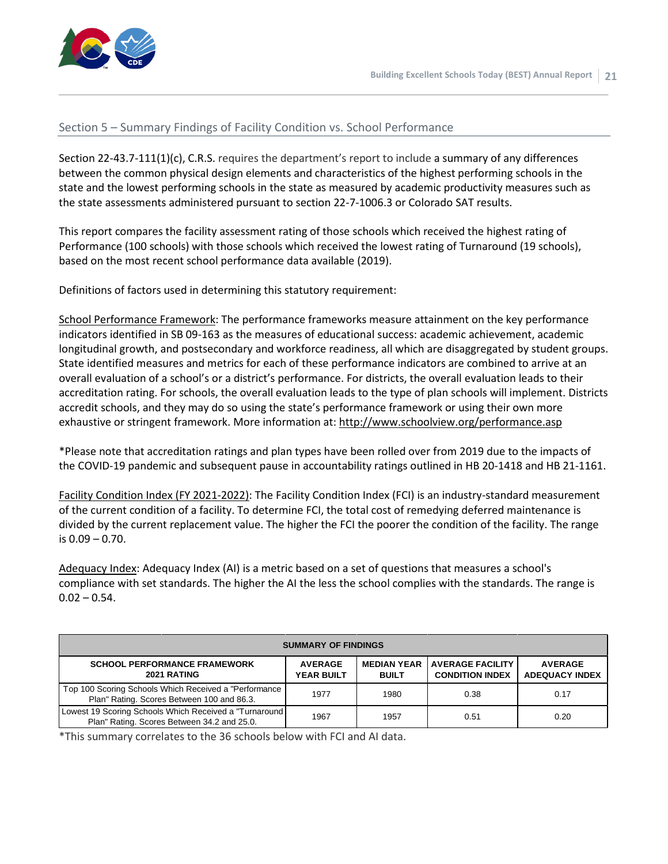

#### Section 5 – Summary Findings of Facility Condition vs. School Performance

Section 22-43.7-111(1)(c), C.R.S. requires the department's report to include a summary of any differences between the common physical design elements and characteristics of the highest performing schools in the state and the lowest performing schools in the state as measured by academic productivity measures such as the state assessments administered pursuant to section 22-7-1006.3 or Colorado SAT results.

This report compares the facility assessment rating of those schools which received the highest rating of Performance (100 schools) with those schools which received the lowest rating of Turnaround (19 schools), based on the most recent school performance data available (2019).

Definitions of factors used in determining this statutory requirement:

School Performance Framework: The performance frameworks measure attainment on the key performance indicators identified in SB 09-163 as the measures of educational success: academic achievement, academic longitudinal growth, and postsecondary and workforce readiness, all which are disaggregated by student groups. State identified measures and metrics for each of these performance indicators are combined to arrive at an overall evaluation of a school's or a district's performance. For districts, the overall evaluation leads to their accreditation rating. For schools, the overall evaluation leads to the type of plan schools will implement. Districts accredit schools, and they may do so using the state's performance framework or using their own more exhaustive or stringent framework. More information at: <http://www.schoolview.org/performance.asp>

\*Please note that accreditation ratings and plan types have been rolled over from 2019 due to the impacts of the COVID-19 pandemic and subsequent pause in accountability ratings outlined in HB 20-1418 and HB 21-1161.

Facility Condition Index (FY 2021-2022): The Facility Condition Index (FCI) is an industry-standard measurement of the current condition of a facility. To determine FCI, the total cost of remedying deferred maintenance is divided by the current replacement value. The higher the FCI the poorer the condition of the facility. The range is 0.09 – 0.70.

Adequacy Index: Adequacy Index (AI) is a metric based on a set of questions that measures a school's compliance with set standards. The higher the AI the less the school complies with the standards. The range is  $0.02 - 0.54$ .

| <b>SUMMARY OF FINDINGS</b>                                                                                                                                                                                                      |      |      |      |      |  |  |  |  |  |  |
|---------------------------------------------------------------------------------------------------------------------------------------------------------------------------------------------------------------------------------|------|------|------|------|--|--|--|--|--|--|
| <b>SCHOOL PERFORMANCE FRAMEWORK</b><br><b>AVERAGE FACILITY</b><br><b>MEDIAN YEAR</b><br><b>AVERAGE</b><br><b>AVERAGE</b><br>2021 RATING<br><b>YEAR BUILT</b><br><b>CONDITION INDEX</b><br><b>ADEQUACY INDEX</b><br><b>BUILT</b> |      |      |      |      |  |  |  |  |  |  |
| Top 100 Scoring Schools Which Received a "Performance<br>Plan" Rating. Scores Between 100 and 86.3.                                                                                                                             | 1977 | 1980 | 0.38 | 0.17 |  |  |  |  |  |  |
| Lowest 19 Scoring Schools Which Received a "Turnaround<br>Plan" Rating. Scores Between 34.2 and 25.0.                                                                                                                           | 1967 | 1957 | 0.51 | 0.20 |  |  |  |  |  |  |

\*This summary correlates to the 36 schools below with FCI and AI data.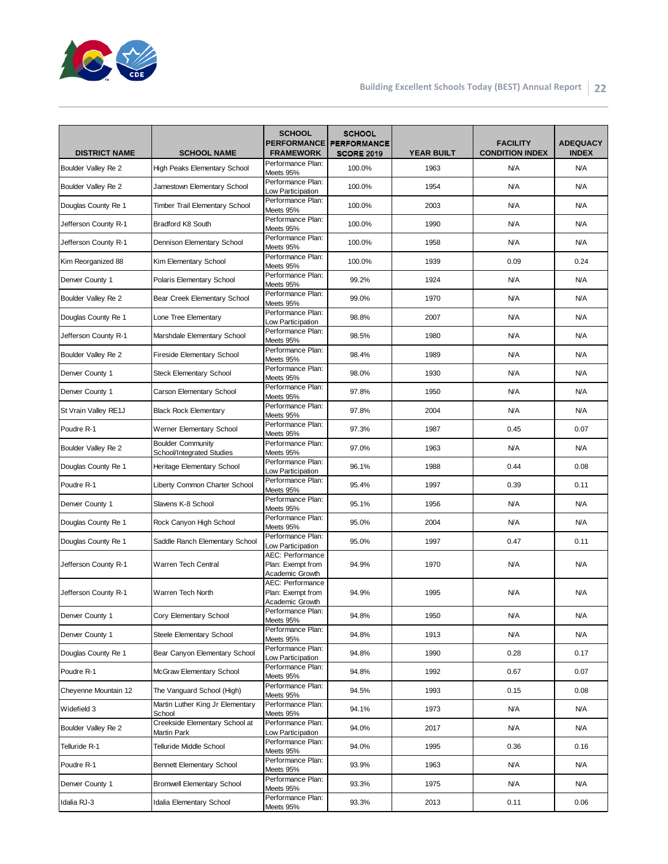

| <b>DISTRICT NAME</b> | <b>SCHOOL NAME</b>                                    | <b>SCHOOL</b><br><b>PERFORMANCE</b><br><b>FRAMEWORK</b>         | <b>SCHOOL</b><br><b>PERFORMANCE</b><br><b>SCORE 2019</b> | <b>YEAR BUILT</b> | <b>FACILITY</b><br><b>CONDITION INDEX</b> | <b>ADEQUACY</b><br><b>INDEX</b> |
|----------------------|-------------------------------------------------------|-----------------------------------------------------------------|----------------------------------------------------------|-------------------|-------------------------------------------|---------------------------------|
| Boulder Valley Re 2  | <b>High Peaks Elementary School</b>                   | Performance Plan:<br>Meets 95%                                  | 100.0%                                                   | 1963              | <b>N/A</b>                                | <b>N/A</b>                      |
| Boulder Valley Re 2  | Jamestown Elementary School                           | Performance Plan:<br>Low Participation                          | 100.0%                                                   | 1954              | <b>N/A</b>                                | <b>N/A</b>                      |
| Douglas County Re 1  | <b>Timber Trail Elementary School</b>                 | Performance Plan:<br>Meets 95%                                  | 100.0%                                                   | 2003              | <b>N/A</b>                                | <b>N/A</b>                      |
| Jefferson County R-1 | Bradford K8 South                                     | Performance Plan:<br>Meets 95%                                  | 100.0%                                                   | 1990              | <b>N/A</b>                                | N/A                             |
| Jefferson County R-1 | Dennison Elementary School                            | Performance Plan:<br>Meets 95%                                  | 100.0%                                                   | 1958              | <b>N/A</b>                                | <b>N/A</b>                      |
| Kim Reorganized 88   | Kim Elementary School                                 | Performance Plan:<br>Meets 95%                                  | 100.0%                                                   | 1939              | 0.09                                      | 0.24                            |
| Denver County 1      | Polaris Elementary School                             | Performance Plan:<br>Meets 95%                                  | 99.2%                                                    | 1924              | <b>N/A</b>                                | <b>N/A</b>                      |
| Boulder Valley Re 2  | Bear Creek Elementary School                          | Performance Plan:<br>Meets 95%                                  | 99.0%                                                    | 1970              | <b>N/A</b>                                | <b>N/A</b>                      |
| Douglas County Re 1  | Lone Tree Elementary                                  | Performance Plan:<br>Low Participation                          | 98.8%                                                    | 2007              | <b>N/A</b>                                | <b>N/A</b>                      |
| Jefferson County R-1 | Marshdale Elementary School                           | Performance Plan:<br>Meets 95%                                  | 98.5%                                                    | 1980              | <b>N/A</b>                                | <b>N/A</b>                      |
| Boulder Valley Re 2  | <b>Fireside Elementary School</b>                     | Performance Plan:<br>Meets 95%                                  | 98.4%                                                    | 1989              | <b>N/A</b>                                | <b>N/A</b>                      |
| Denver County 1      | <b>Steck Elementary School</b>                        | Performance Plan:<br>Meets 95%                                  | 98.0%                                                    | 1930              | <b>N/A</b>                                | <b>N/A</b>                      |
| Denver County 1      | Carson Elementary School                              | Performance Plan:<br>Meets 95%                                  | 97.8%                                                    | 1950              | <b>N/A</b>                                | <b>N/A</b>                      |
| St Vrain Valley RE1J | <b>Black Rock Elementary</b>                          | Performance Plan:<br>Meets 95%                                  | 97.8%                                                    | 2004              | <b>N/A</b>                                | <b>N/A</b>                      |
| Poudre R-1           | Werner Elementary School                              | Performance Plan:<br>Meets 95%                                  | 97.3%                                                    | 1987              | 0.45                                      | 0.07                            |
| Boulder Valley Re 2  | <b>Boulder Community</b><br>School/Integrated Studies | Performance Plan:<br>Meets 95%                                  | 97.0%                                                    | 1963              | <b>N/A</b>                                | <b>N/A</b>                      |
| Douglas County Re 1  | Heritage Elementary School                            | Performance Plan:<br>Low Participation                          | 96.1%                                                    | 1988              | 0.44                                      | 0.08                            |
| Poudre R-1           | Liberty Common Charter School                         | Performance Plan:<br>Meets 95%                                  | 95.4%                                                    | 1997              | 0.39                                      | 0.11                            |
| Denver County 1      | Slavens K-8 School                                    | Performance Plan:<br>Meets 95%                                  | 95.1%                                                    | 1956              | <b>N/A</b>                                | <b>N/A</b>                      |
| Douglas County Re 1  | Rock Canyon High School                               | Performance Plan:<br>Meets 95%                                  | 95.0%                                                    | 2004              | <b>N/A</b>                                | <b>N/A</b>                      |
| Douglas County Re 1  | Saddle Ranch Elementary School                        | Performance Plan:<br>Low Participation                          | 95.0%                                                    | 1997              | 0.47                                      | 0.11                            |
| Jefferson County R-1 | Warren Tech Central                                   | <b>AEC: Performance</b><br>Plan: Exempt from<br>Academic Growth | 94.9%                                                    | 1970              | <b>N/A</b>                                | <b>N/A</b>                      |
| Jefferson County R-1 | Warren Tech North                                     | AEC: Performance<br>Plan: Exempt from<br>Academic Growth        | 94.9%                                                    | 1995              | <b>N/A</b>                                | <b>N/A</b>                      |
| Denver County 1      | Cory Elementary School                                | Perrormance Plan:<br>Meets 95%                                  | 94.8%                                                    | 1950              | <b>N/A</b>                                | <b>N/A</b>                      |
| Denver County 1      | Steele Elementary School                              | Performance Plan:<br>Meets 95%                                  | 94.8%                                                    | 1913              | <b>N/A</b>                                | N/A                             |
| Douglas County Re 1  | Bear Canyon Elementary School                         | Performance Plan:<br>Low Participation                          | 94.8%                                                    | 1990              | 0.28                                      | 0.17                            |
| Poudre R-1           | McGraw Elementary School                              | Performance Plan:<br>Meets 95%                                  | 94.8%                                                    | 1992              | 0.67                                      | 0.07                            |
| Cheyenne Mountain 12 | The Vanguard School (High)                            | Performance Plan:<br>Meets 95%                                  | 94.5%                                                    | 1993              | 0.15                                      | 0.08                            |
| Widefield 3          | Martin Luther King Jr Elementary<br>School            | Performance Plan:<br>Meets 95%                                  | 94.1%                                                    | 1973              | <b>N/A</b>                                | N/A                             |
| Boulder Valley Re 2  | Creekside Elementary School at<br>Martin Park         | Performance Plan:<br>Low Participation                          | 94.0%                                                    | 2017              | <b>N/A</b>                                | <b>N/A</b>                      |
| Telluride R-1        | Telluride Middle School                               | Performance Plan:<br>Meets 95%                                  | 94.0%                                                    | 1995              | 0.36                                      | 0.16                            |
| Poudre R-1           | <b>Bennett Elementary School</b>                      | Performance Plan:<br>Meets 95%                                  | 93.9%                                                    | 1963              | <b>N/A</b>                                | N/A                             |
| Denver County 1      | <b>Bromwell Elementary School</b>                     | Performance Plan:<br>Meets 95%                                  | 93.3%                                                    | 1975              | <b>N/A</b>                                | N/A                             |
| Idalia RJ-3          | Idalia Elementary School                              | Performance Plan:<br>Meets 95%                                  | 93.3%                                                    | 2013              | 0.11                                      | 0.06                            |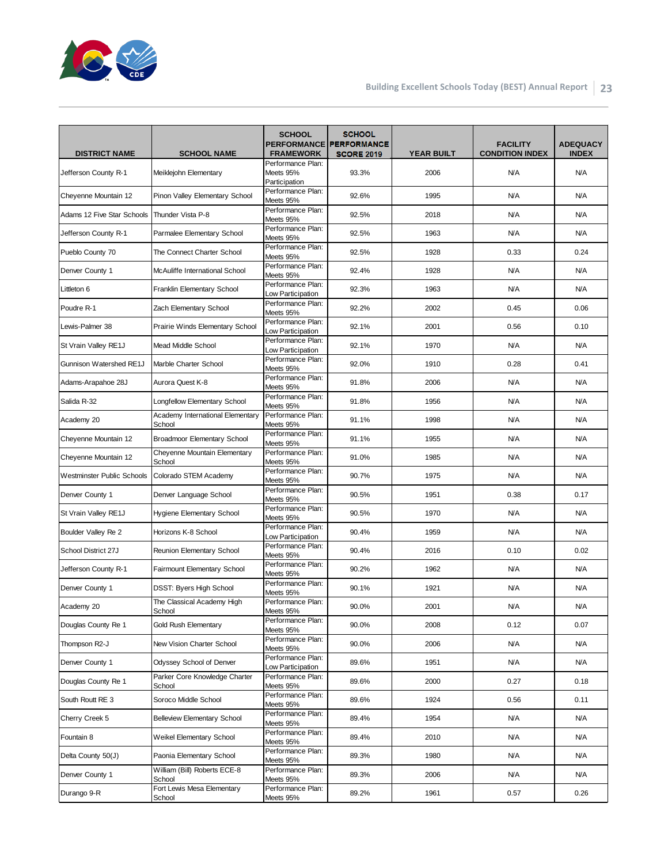

| <b>DISTRICT NAME</b>              | <b>SCHOOL NAME</b>                         | <b>SCHOOL</b><br><b>FRAMEWORK</b>      | <b>SCHOOL</b><br><b>PERFORMANCE PERFORMANCE</b><br><b>SCORE 2019</b> | <b>YEAR BUILT</b> | <b>FACILITY</b><br><b>CONDITION INDEX</b> | <b>ADEQUACY</b><br><b>INDEX</b> |
|-----------------------------------|--------------------------------------------|----------------------------------------|----------------------------------------------------------------------|-------------------|-------------------------------------------|---------------------------------|
|                                   |                                            | Performance Plan:                      |                                                                      |                   |                                           |                                 |
| Jefferson County R-1              | Meiklejohn Elementary                      | Meets 95%<br>Participation             | 93.3%                                                                | 2006              | <b>N/A</b>                                | <b>N/A</b>                      |
| Cheyenne Mountain 12              | Pinon Valley Elementary School             | Performance Plan:<br>Meets 95%         | 92.6%                                                                | 1995              | <b>N/A</b>                                | <b>N/A</b>                      |
| Adams 12 Five Star Schools        | Thunder Vista P-8                          | Performance Plan:<br>Meets 95%         | 92.5%                                                                | 2018              | <b>N/A</b>                                | <b>N/A</b>                      |
| Jefferson County R-1              | Parmalee Elementary School                 | Performance Plan:<br>Meets 95%         | 92.5%                                                                | 1963              | <b>N/A</b>                                | <b>N/A</b>                      |
| Pueblo County 70                  | The Connect Charter School                 | Performance Plan:<br>Meets 95%         | 92.5%                                                                | 1928              | 0.33                                      | 0.24                            |
| Denver County 1                   | McAuliffe International School             | Performance Plan:<br>Meets 95%         | 92.4%                                                                | 1928              | <b>N/A</b>                                | <b>N/A</b>                      |
| Littleton 6                       | Franklin Elementary School                 | Performance Plan:<br>Low Participation | 92.3%                                                                | 1963              | <b>N/A</b>                                | <b>N/A</b>                      |
| Poudre R-1                        | Zach Elementary School                     | Performance Plan:<br>Meets 95%         | 92.2%                                                                | 2002              | 0.45                                      | 0.06                            |
| Lewis-Palmer 38                   | Prairie Winds Elementary School            | Performance Plan:<br>Low Participation | 92.1%                                                                | 2001              | 0.56                                      | 0.10                            |
| St Vrain Valley RE1J              | Mead Middle School                         | Performance Plan:<br>Low Participation | 92.1%                                                                | 1970              | <b>N/A</b>                                | <b>N/A</b>                      |
| Gunnison Watershed RE1J           | Marble Charter School                      | Performance Plan:<br>Meets 95%         | 92.0%                                                                | 1910              | 0.28                                      | 0.41                            |
| Adams-Arapahoe 28J                | Aurora Quest K-8                           | Performance Plan:<br>Meets 95%         | 91.8%                                                                | 2006              | <b>N/A</b>                                | <b>N/A</b>                      |
| Salida R-32                       | Longfellow Elementary School               | Performance Plan:<br>Meets 95%         | 91.8%                                                                | 1956              | <b>N/A</b>                                | <b>N/A</b>                      |
| Academy 20                        | Academy International Elementary<br>School | Performance Plan:<br>Meets 95%         | 91.1%                                                                | 1998              | <b>N/A</b>                                | <b>N/A</b>                      |
| Cheyenne Mountain 12              | Broadmoor Elementary School                | Performance Plan:<br>Meets 95%         | 91.1%                                                                | 1955              | <b>N/A</b>                                | <b>N/A</b>                      |
| Cheyenne Mountain 12              | Cheyenne Mountain Elementary<br>School     | Performance Plan:<br>Meets 95%         | 91.0%                                                                | 1985              | <b>N/A</b>                                | <b>N/A</b>                      |
| <b>Westminster Public Schools</b> | Colorado STEM Academy                      | Performance Plan:<br>Meets 95%         | 90.7%                                                                | 1975              | <b>N/A</b>                                | <b>N/A</b>                      |
| Denver County 1                   | Denver Language School                     | Performance Plan:<br>Meets 95%         | 90.5%                                                                | 1951              | 0.38                                      | 0.17                            |
| St Vrain Valley RE1J              | Hygiene Elementary School                  | Performance Plan:<br>Meets 95%         | 90.5%                                                                | 1970              | <b>N/A</b>                                | <b>N/A</b>                      |
| Boulder Valley Re 2               | Horizons K-8 School                        | Performance Plan:<br>Low Participation | 90.4%                                                                | 1959              | N/A                                       | <b>N/A</b>                      |
| School District 27J               | Reunion Elementary School                  | Performance Plan:<br>Meets 95%         | 90.4%                                                                | 2016              | 0.10                                      | 0.02                            |
| Jefferson County R-1              | <b>Fairmount Elementary School</b>         | Performance Plan:<br>Meets 95%         | 90.2%                                                                | 1962              | <b>N/A</b>                                | <b>N/A</b>                      |
| Denver County 1                   | DSST: Byers High School                    | Performance Plan:<br>Meets 95%         | 90.1%                                                                | 1921              | <b>N/A</b>                                | <b>N/A</b>                      |
| Academy 20                        | The Classical Academy High<br>School       | Performance Plan:<br>Meets 95%         | 90.0%                                                                | 2001              | <b>N/A</b>                                | <b>N/A</b>                      |
| Douglas County Re 1               | Gold Rush Elementary                       | Performance Plan:<br>Meets 95%         | 90.0%                                                                | 2008              | 0.12                                      | 0.07                            |
| Thompson R2-J                     | New Vision Charter School                  | Performance Plan:<br>Meets 95%         | 90.0%                                                                | 2006              | <b>N/A</b>                                | N/A                             |
| Denver County 1                   | Odyssey School of Denver                   | Performance Plan:<br>Low Participation | 89.6%                                                                | 1951              | <b>N/A</b>                                | N/A                             |
| Douglas County Re 1               | Parker Core Knowledge Charter<br>School    | Performance Plan:<br>Meets 95%         | 89.6%                                                                | 2000              | 0.27                                      | 0.18                            |
| South Routt RE 3                  | Soroco Middle School                       | Performance Plan:<br>Meets 95%         | 89.6%                                                                | 1924              | 0.56                                      | 0.11                            |
| Cherry Creek 5                    | <b>Belleview Elementary School</b>         | Performance Plan:<br>Meets 95%         | 89.4%                                                                | 1954              | <b>N/A</b>                                | N/A                             |
| Fountain 8                        | Weikel Elementary School                   | Performance Plan:<br>Meets 95%         | 89.4%                                                                | 2010              | <b>N/A</b>                                | N/A                             |
| Delta County 50(J)                | Paonia Elementary School                   | Performance Plan:<br>Meets 95%         | 89.3%                                                                | 1980              | <b>N/A</b>                                | N/A                             |
| Denver County 1                   | William (Bill) Roberts ECE-8<br>School     | Performance Plan:<br>Meets 95%         | 89.3%                                                                | 2006              | <b>N/A</b>                                | N/A                             |
| Durango 9-R                       | Fort Lewis Mesa Elementary<br>School       | Performance Plan:<br>Meets 95%         | 89.2%                                                                | 1961              | 0.57                                      | 0.26                            |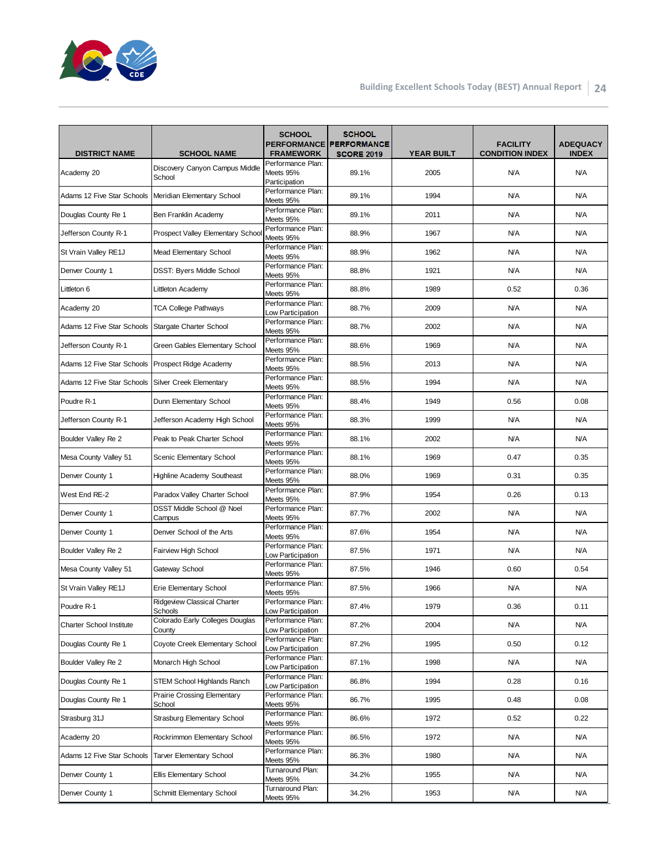

|                                 |                                              | <b>SCHOOL</b>                                   | <b>SCHOOL</b><br>PERFORMANCE PERFORMANCE |                   | <b>FACILITY</b>        | <b>ADEQUACY</b> |
|---------------------------------|----------------------------------------------|-------------------------------------------------|------------------------------------------|-------------------|------------------------|-----------------|
| <b>DISTRICT NAME</b>            | <b>SCHOOL NAME</b>                           | <b>FRAMEWORK</b>                                | <b>SCORE 2019</b>                        | <b>YEAR BUILT</b> | <b>CONDITION INDEX</b> | <b>INDEX</b>    |
| Academy 20                      | Discovery Canyon Campus Middle<br>School     | Performance Plan:<br>Meets 95%<br>Participation | 89.1%                                    | 2005              | <b>N/A</b>             | <b>N/A</b>      |
| Adams 12 Five Star Schools      | Meridian Elementary School                   | Performance Plan:<br>Meets 95%                  | 89.1%                                    | 1994              | <b>N/A</b>             | <b>N/A</b>      |
| Douglas County Re 1             | Ben Franklin Academy                         | Performance Plan:<br>Meets 95%                  | 89.1%                                    | 2011              | <b>N/A</b>             | <b>N/A</b>      |
| Jefferson County R-1            | Prospect Valley Elementary Schoo             | Performance Plan:<br>Meets 95%                  | 88.9%                                    | 1967              | N/A                    | <b>N/A</b>      |
| St Vrain Valley RE1J            | Mead Elementary School                       | Performance Plan:<br>Meets 95%                  | 88.9%                                    | 1962              | <b>N/A</b>             | <b>N/A</b>      |
| Denver County 1                 | <b>DSST: Byers Middle School</b>             | Performance Plan:<br>Meets 95%                  | 88.8%                                    | 1921              | <b>N/A</b>             | <b>N/A</b>      |
| Littleton 6                     | Littleton Academy                            | Performance Plan:<br>Meets 95%                  | 88.8%                                    | 1989              | 0.52                   | 0.36            |
| Academy 20                      | <b>TCA College Pathways</b>                  | Performance Plan:<br>Low Participation          | 88.7%                                    | 2009              | <b>N/A</b>             | <b>N/A</b>      |
| Adams 12 Five Star Schools      | Stargate Charter School                      | Performance Plan:<br>Meets 95%                  | 88.7%                                    | 2002              | <b>N/A</b>             | <b>N/A</b>      |
| Jefferson County R-1            | Green Gables Elementary School               | Performance Plan:<br>Meets 95%                  | 88.6%                                    | 1969              | <b>N/A</b>             | <b>N/A</b>      |
| Adams 12 Five Star Schools      | Prospect Ridge Academy                       | Performance Plan:<br>Meets 95%                  | 88.5%                                    | 2013              | <b>N/A</b>             | <b>N/A</b>      |
| Adams 12 Five Star Schools      | <b>Silver Creek Elementary</b>               | Performance Plan:<br>Meets 95%                  | 88.5%                                    | 1994              | <b>N/A</b>             | <b>N/A</b>      |
| Poudre R-1                      | Dunn Elementary School                       | Performance Plan:<br>Meets 95%                  | 88.4%                                    | 1949              | 0.56                   | 0.08            |
| Jefferson County R-1            | Jefferson Academy High School                | Performance Plan:<br>Meets 95%                  | 88.3%                                    | 1999              | <b>N/A</b>             | <b>N/A</b>      |
| Boulder Valley Re 2             | Peak to Peak Charter School                  | Performance Plan:<br>Meets 95%                  | 88.1%                                    | 2002              | <b>N/A</b>             | <b>N/A</b>      |
| Mesa County Valley 51           | Scenic Elementary School                     | Performance Plan:<br>Meets 95%                  | 88.1%                                    | 1969              | 0.47                   | 0.35            |
| Denver County 1                 | <b>Highline Academy Southeast</b>            | Performance Plan:<br>Meets 95%                  | 88.0%                                    | 1969              | 0.31                   | 0.35            |
| West End RE-2                   | Paradox Valley Charter School                | Performance Plan:<br>Meets 95%                  | 87.9%                                    | 1954              | 0.26                   | 0.13            |
| Denver County 1                 | DSST Middle School @ Noel<br>Campus          | Performance Plan:<br>Meets 95%                  | 87.7%                                    | 2002              | <b>N/A</b>             | <b>N/A</b>      |
| Denver County 1                 | Denver School of the Arts                    | Performance Plan:<br>Meets 95%                  | 87.6%                                    | 1954              | <b>N/A</b>             | <b>N/A</b>      |
| Boulder Valley Re 2             | Fairview High School                         | Performance Plan:<br>Low Participation          | 87.5%                                    | 1971              | <b>N/A</b>             | <b>N/A</b>      |
| Mesa County Valley 51           | Gateway School                               | Performance Plan:<br>Meets 95%                  | 87.5%                                    | 1946              | 0.60                   | 0.54            |
| St Vrain Valley RE1J            | Erie Elementary School                       | Performance Plan:<br>Meets 95%                  | 87.5%                                    | 1966              | <b>N/A</b>             | <b>N/A</b>      |
| Poudre R-1                      | Ridgeview Classical Charter<br>Schools       | Performance Plan:<br>Low Participation          | 87.4%                                    | 1979              | 0.36                   | 0.11            |
| <b>Charter School Institute</b> | Colorado Early Colleges Douglas<br>County    | Performance Plan:<br>Low Participation          | 87.2%                                    | 2004              | <b>N/A</b>             | N/A             |
| Douglas County Re 1             | Coyote Creek Elementary School               | Performance Plan:<br>Low Participation          | 87.2%                                    | 1995              | 0.50                   | 0.12            |
| Boulder Valley Re 2             | Monarch High School                          | Performance Plan:<br>Low Participation          | 87.1%                                    | 1998              | <b>N/A</b>             | N/A             |
| Douglas County Re 1             | <b>STEM School Highlands Ranch</b>           | Performance Plan:<br>Low Participation          | 86.8%                                    | 1994              | 0.28                   | 0.16            |
| Douglas County Re 1             | <b>Prairie Crossing Elementary</b><br>School | Performance Plan:<br>Meets 95%                  | 86.7%                                    | 1995              | 0.48                   | 0.08            |
| Strasburg 31J                   | Strasburg Elementary School                  | Performance Plan:<br>Meets 95%                  | 86.6%                                    | 1972              | 0.52                   | 0.22            |
| Academy 20                      | Rockrimmon Elementary School                 | Performance Plan:<br>Meets 95%                  | 86.5%                                    | 1972              | <b>N/A</b>             | N/A             |
| Adams 12 Five Star Schools      | <b>Tarver Elementary School</b>              | Performance Plan:<br>Meets 95%                  | 86.3%                                    | 1980              | <b>N/A</b>             | N/A             |
| Denver County 1                 | Ellis Elementary School                      | Turnaround Plan:<br>Meets 95%                   | 34.2%                                    | 1955              | <b>N/A</b>             | N/A             |
| Denver County 1                 | Schmitt Elementary School                    | Turnaround Plan:<br>Meets 95%                   | 34.2%                                    | 1953              | <b>N/A</b>             | N/A             |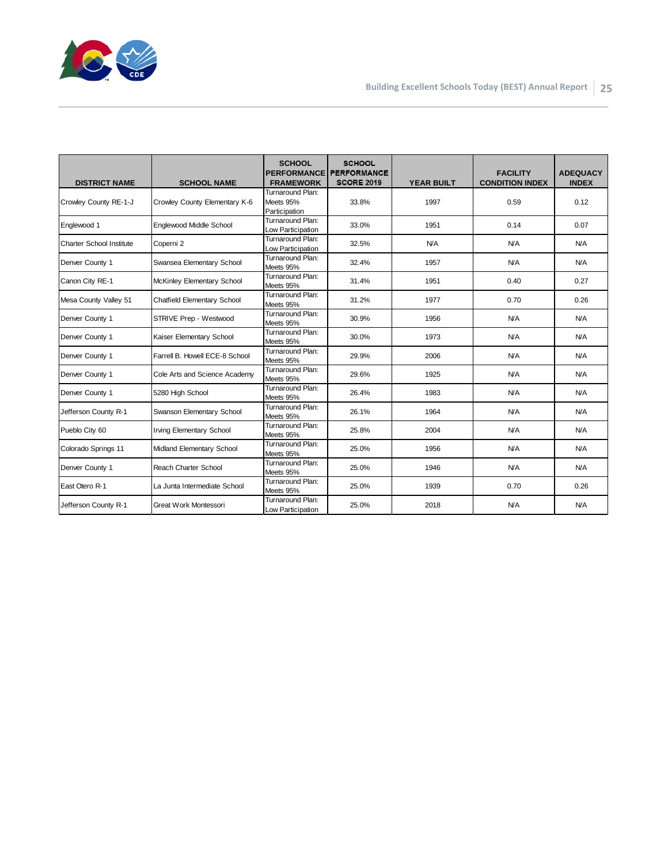

| <b>DISTRICT NAME</b>     | <b>SCHOOL NAME</b>              | <b>SCHOOL</b><br><b>PERFORMANCE</b><br><b>FRAMEWORK</b> | <b>SCHOOL</b><br><b>PERFORMANCE</b><br><b>SCORE 2019</b> | <b>YEAR BUILT</b> | <b>FACILITY</b><br><b>CONDITION INDEX</b> | <b>ADEQUACY</b><br><b>INDEX</b> |
|--------------------------|---------------------------------|---------------------------------------------------------|----------------------------------------------------------|-------------------|-------------------------------------------|---------------------------------|
| Crowley County RE-1-J    | Crowley County Elementary K-6   | Turnaround Plan:<br>Meets 95%<br>Participation          | 33.8%                                                    | 1997              | 0.59                                      | 0.12                            |
| Englewood 1              | Englewood Middle School         | Turnaround Plan:<br>Low Participation                   | 33.0%                                                    | 1951              | 0.14                                      | 0.07                            |
| Charter School Institute | Coperni 2                       | Turnaround Plan:<br>Low Participation                   | 32.5%                                                    | N/A               | <b>N/A</b>                                | <b>N/A</b>                      |
| Denver County 1          | Swansea Elementary School       | Turnaround Plan:<br>Meets 95%                           | 32.4%                                                    | 1957              | <b>N/A</b>                                | <b>N/A</b>                      |
| Canon City RE-1          | McKinley Elementary School      | Turnaround Plan:<br>Meets 95%                           | 31.4%                                                    | 1951              | 0.40                                      | 0.27                            |
| Mesa County Valley 51    | Chatfield Elementary School     | Turnaround Plan:<br>Meets 95%                           | 31.2%                                                    | 1977              | 0.70                                      | 0.26                            |
| Denver County 1          | STRIVE Prep - Westwood          | Turnaround Plan:<br>Meets 95%                           | 30.9%                                                    | 1956              | <b>N/A</b>                                | <b>N/A</b>                      |
| Denver County 1          | Kaiser Elementary School        | Turnaround Plan:<br>Meets 95%                           | 30.0%                                                    | 1973              | <b>N/A</b>                                | N/A                             |
| Denver County 1          | Farrell B. Howell ECE-8 School  | Turnaround Plan:<br>Meets 95%                           | 29.9%                                                    | 2006              | <b>N/A</b>                                | <b>N/A</b>                      |
| Denver County 1          | Cole Arts and Science Academy   | Turnaround Plan:<br>Meets 95%                           | 29.6%                                                    | 1925              | <b>N/A</b>                                | <b>N/A</b>                      |
| Denver County 1          | 5280 High School                | Turnaround Plan:<br>Meets 95%                           | 26.4%                                                    | 1983              | <b>N/A</b>                                | <b>N/A</b>                      |
| Jefferson County R-1     | Swanson Elementary School       | Turnaround Plan:<br>Meets 95%                           | 26.1%                                                    | 1964              | <b>N/A</b>                                | <b>N/A</b>                      |
| Pueblo City 60           | <b>Irving Elementary School</b> | Turnaround Plan:<br>Meets 95%                           | 25.8%                                                    | 2004              | <b>N/A</b>                                | N/A                             |
| Colorado Springs 11      | Midland Elementary School       | Turnaround Plan:<br>Meets 95%                           | 25.0%                                                    | 1956              | <b>N/A</b>                                | <b>N/A</b>                      |
| Denver County 1          | <b>Reach Charter School</b>     | Turnaround Plan:<br>Meets 95%                           | 25.0%                                                    | 1946              | <b>N/A</b>                                | <b>N/A</b>                      |
| East Otero R-1           | La Junta Intermediate School    | Turnaround Plan:<br>Meets 95%                           | 25.0%                                                    | 1939              | 0.70                                      | 0.26                            |
| Jefferson County R-1     | Great Work Montessori           | Turnaround Plan:<br>Low Participation                   | 25.0%                                                    | 2018              | <b>N/A</b>                                | N/A                             |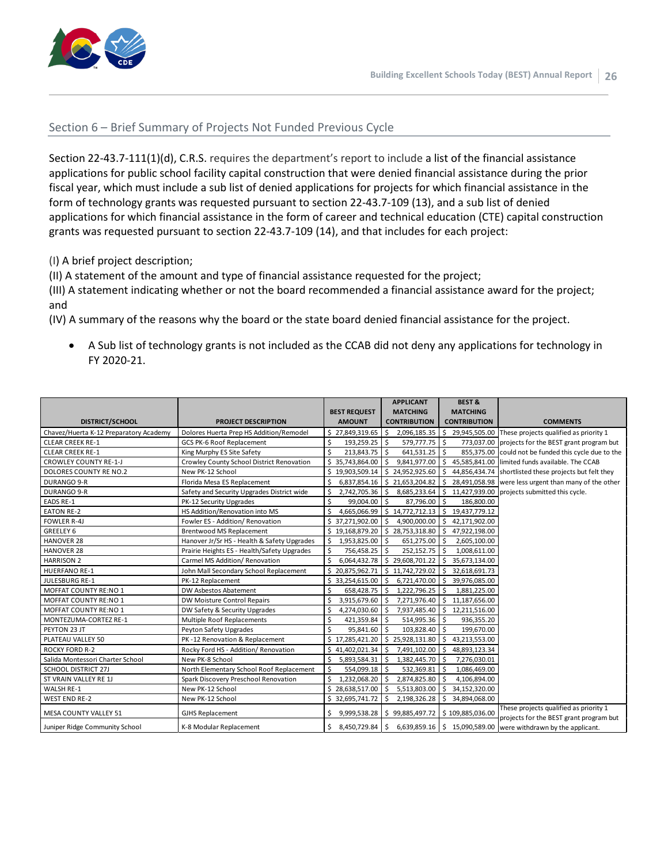

#### Section 6 – Brief Summary of Projects Not Funded Previous Cycle

Section 22-43.7-111(1)(d), C.R.S. requires the department's report to include a list of the financial assistance applications for public school facility capital construction that were denied financial assistance during the prior fiscal year, which must include a sub list of denied applications for projects for which financial assistance in the form of technology grants was requested pursuant to [section 22-43.7-109 \(13\),](http://web.lexisnexis.com/research/buttonTFLink?_m=ff9187a259beef79bc9f98d59666946f&_xfercite=%3ccite%20cc%3d%22USA%22%3e%3c%21%5bCDATA%5bC.R.S.%2022-43.7-111%5d%5d%3e%3c%2fcite%3e&_butType=4&_butStat=0&_butNum=6&_butInline=1&_butinfo=COCODE%2022-43.7-109&_fmtstr=FULL&docnum=1&_startdoc=1&wchp=dGLzVzB-zSkAA&_md5=710b346a3e8c892f5655af53673fe556) and a sub list of denied applications for which financial assistance in the form of career and technical education (CTE) capital construction grants was requested pursuant to section 22-43.7-109 (14), and that includes for each project:

(I) A brief project description;

(II) A statement of the amount and type of financial assistance requested for the project;

(III) A statement indicating whether or not the board recommended a financial assistance award for the project; and

(IV) A summary of the reasons why the board or the state board denied financial assistance for the project.

• A Sub list of technology grants is not included as the CCAB did not deny any applications for technology in FY 2020-21.

|                                        |                                             |                       | <b>APPLICANT</b>                | <b>BEST &amp;</b>               |                                                                                   |
|----------------------------------------|---------------------------------------------|-----------------------|---------------------------------|---------------------------------|-----------------------------------------------------------------------------------|
|                                        |                                             | <b>BEST REQUEST</b>   | <b>MATCHING</b>                 | <b>MATCHING</b>                 |                                                                                   |
| DISTRICT/SCHOOL                        | <b>PROJECT DESCRIPTION</b>                  | <b>AMOUNT</b>         | <b>CONTRIBUTION</b>             | <b>CONTRIBUTION</b>             | <b>COMMENTS</b>                                                                   |
| Chavez/Huerta K-12 Preparatory Academy | Dolores Huerta Prep HS Addition/Remodel     | \$27,849,319.65       |                                 | 2,096,185.35 \$ 29,945,505.00   | These projects qualified as priority 1                                            |
| <b>CLEAR CREEK RE-1</b>                | GCS PK-6 Roof Replacement                   | \$<br>193,259.25 \$   | 579,777.75 \$                   | 773,037.00                      | projects for the BEST grant program but                                           |
| <b>CLEAR CREEK RE-1</b>                | King Murphy ES Site Safety                  | \$<br>213,843.75 \$   | 641,531.25 \$                   | 855,375.00                      | could not be funded this cycle due to the                                         |
| <b>CROWLEY COUNTY RE-1-J</b>           | Crowley County School District Renovation   | \$35,743,864.00       | 9,841,977.00<br>Ŝ.              | 45,585,841.00<br>Ś.             | limited funds available. The CCAB                                                 |
| DOLORES COUNTY RE NO.2                 | New PK-12 School                            | \$19,903,509.14       | 24,952,925.60<br>Ŝ.             | Ŝ.                              | 44,856,434.74 shortlisted these projects but felt they                            |
| DURANGO 9-R                            | Florida Mesa ES Replacement                 | \$                    | 6,837,854.16 \$ 21,653,204.82   | $\vert$ \$                      | 28,491,058.98 were less urgent than many of the other                             |
| DURANGO 9-R                            | Safety and Security Upgrades District wide  | 2,742,705.36          | 8,685,233.64 \$<br>\$.          |                                 | 11,427,939.00 projects submitted this cycle.                                      |
| EADS RE-1                              | PK-12 Security Upgrades                     | \$<br>99,004.00 \$    | 87,796.00 \$                    | 186,800.00                      |                                                                                   |
| <b>EATON RE-2</b>                      | HS Addition/Renovation into MS              |                       | 4,665,066.99 \$14,772,712.13 \$ | 19,437,779.12                   |                                                                                   |
| <b>FOWLER R-4J</b>                     | Fowler ES - Addition/ Renovation            | \$37,271,902.00       | 4,900,000.00<br>S.              | Ŝ.<br>42,171,902.00             |                                                                                   |
| GREELEY 6                              | Brentwood MS Replacement                    | \$19,168,879.20       | \$28,753,318.80                 | Ŝ.<br>47,922,198.00             |                                                                                   |
| <b>HANOVER 28</b>                      | Hanover Jr/Sr HS - Health & Safety Upgrades | 1,953,825.00 \$       | 651,275.00 \$                   | 2,605,100.00                    |                                                                                   |
| <b>HANOVER 28</b>                      | Prairie Heights ES - Health/Safety Upgrades | Ś.<br>756,458.25 \$   | 252,152.75 \$                   | 1,008,611.00                    |                                                                                   |
| <b>HARRISON 2</b>                      | Carmel MS Addition/ Renovation              | Ś.<br>6,064,432.78    | \$29,608,701.22                 | Ŝ.<br>35,673,134.00             |                                                                                   |
| <b>HUERFANO RE-1</b>                   | John Mall Secondary School Replacement      | \$20,875,962.71       | \$11,742,729.02                 | 32,618,691.73<br>Ŝ.             |                                                                                   |
| <b>JULESBURG RE-1</b>                  | PK-12 Replacement                           | \$33,254,615.00       | Ŝ.<br>6,721,470.00 \$           | 39,976,085.00                   |                                                                                   |
| <b>MOFFAT COUNTY RE:NO 1</b>           | DW Asbestos Abatement                       | Ś.<br>658,428.75      | 1,222,796.25 \$<br>Ŝ.           | 1,881,225.00                    |                                                                                   |
| <b>MOFFAT COUNTY RE:NO 1</b>           | DW Moisture Control Repairs                 | $3,915,679.60$ \$     | 7,271,976.40                    | Ŝ.<br>11,187,656.00             |                                                                                   |
| MOFFAT COUNTY RE:NO 1                  | DW Safety & Security Upgrades               | 4,274,030.60 \$       | 7,937,485.40 \$                 | 12,211,516.00                   |                                                                                   |
| MONTEZUMA-CORTEZ RE-1                  | Multiple Roof Replacements                  | 421,359.84            | 514,995.36 \$<br>-S             | 936,355.20                      |                                                                                   |
| PEYTON 23 JT                           | Peyton Safety Upgrades                      | \$.<br>95,841.60      | 103,828.40 \$<br>-Ś             | 199,670.00                      |                                                                                   |
| PLATEAU VALLEY 50                      | PK-12 Renovation & Replacement              | \$17,285,421.20       | Ś.<br>25,928,131.80             | Ś<br>43,213,553.00              |                                                                                   |
| <b>ROCKY FORD R-2</b>                  | Rocky Ford HS - Addition/ Renovation        | \$41,402,021.34       | Ŝ<br>7,491,102.00               | Ŝ<br>48,893,123.34              |                                                                                   |
| Salida Montessori Charter School       | New PK-8 School                             | Ś.<br>5,893,584.31 \$ | 1,382,445.70                    | -\$<br>7,276,030.01             |                                                                                   |
| <b>SCHOOL DISTRICT 27J</b>             | North Elementary School Roof Replacement    | \$<br>554,099.18      | 532,369.81<br>-Ś                | I\$<br>1,086,469.00             |                                                                                   |
| ST VRAIN VALLEY RE 1J                  | Spark Discovery Preschool Renovation        | \$<br>1,232,068.20    | 2,874,825.80<br>Ŝ.              | -Ŝ<br>4,106,894.00              |                                                                                   |
| WALSH RE-1                             | New PK-12 School                            | \$28,638,517.00       | 5,513,803.00<br>\$.             | 34,152,320.00<br>Ŝ.             |                                                                                   |
| WEST END RE-2                          | New PK-12 School                            | \$32,695,741.72       | Ŝ<br>2,198,326.28               | -Ŝ<br>34,894,068.00             |                                                                                   |
| <b>MESA COUNTY VALLEY 51</b>           | <b>GJHS Replacement</b>                     |                       | 9,999,538.28   \$ 99,885,497.72 | $\frac{1}{2}$ \$ 109,885,036.00 | These projects qualified as priority 1<br>projects for the BEST grant program but |
| Juniper Ridge Community School         | K-8 Modular Replacement                     | $$8,450,729.84$ $$$   |                                 |                                 | 6,639,859.16 $\vert$ \$ 15,090,589.00 were withdrawn by the applicant.            |